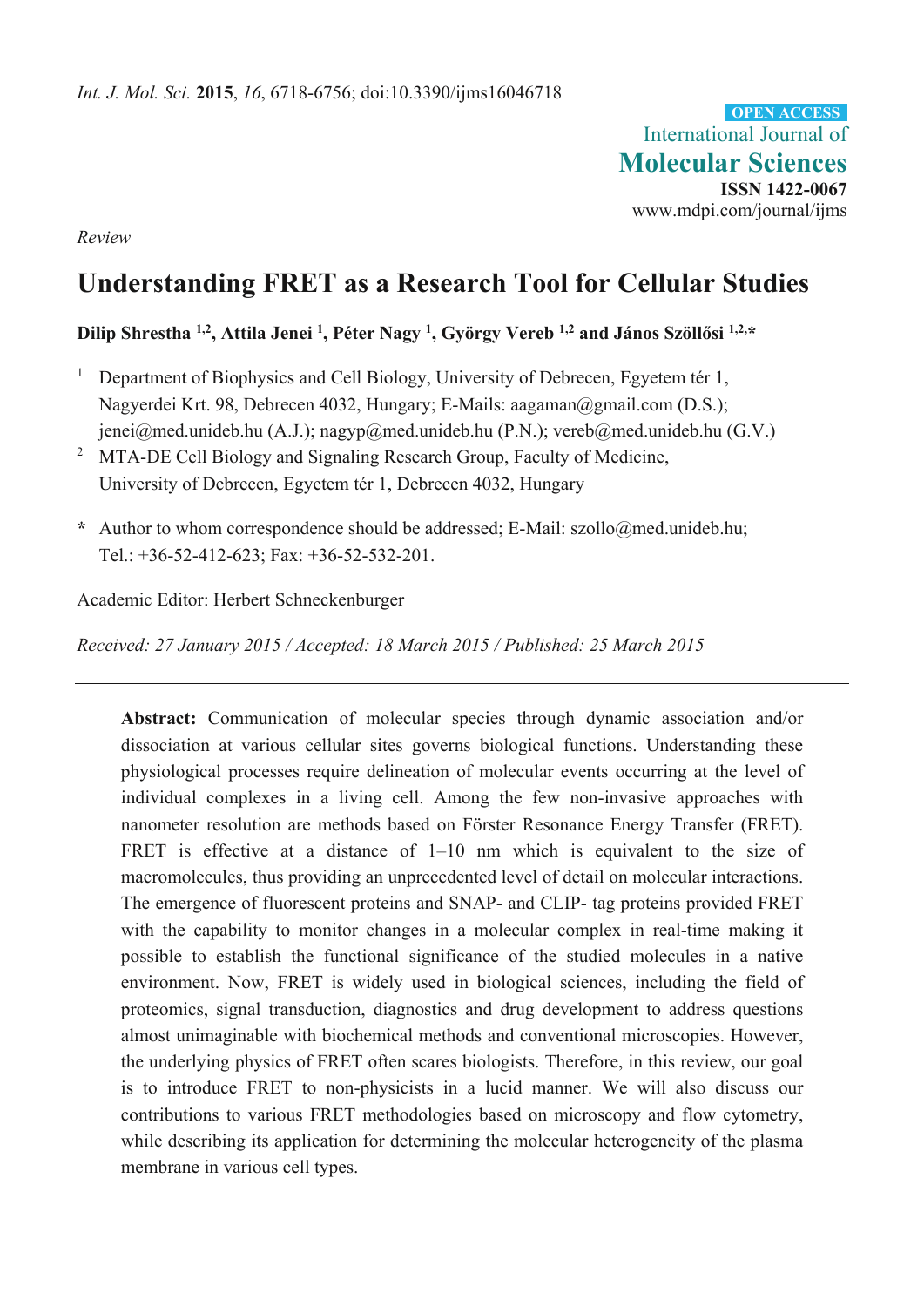International Journal of **Molecular Sciences ISSN 1422-0067**  www.mdpi.com/journal/ijms **OPEN ACCESS**

*Review* 

# **Understanding FRET as a Research Tool for Cellular Studies**

**Dilip Shrestha 1,2, Attila Jenei 1, Péter Nagy 1, György Vereb 1,2 and János Szöllősi 1,2,\*** 

- 1 Department of Biophysics and Cell Biology, University of Debrecen, Egyetem tér 1, Nagyerdei Krt. 98, Debrecen 4032, Hungary; E-Mails: aagaman@gmail.com (D.S.); jenei@med.unideb.hu (A.J.); nagyp@med.unideb.hu (P.N.); vereb@med.unideb.hu (G.V.)
- 2 MTA-DE Cell Biology and Signaling Research Group, Faculty of Medicine, University of Debrecen, Egyetem tér 1, Debrecen 4032, Hungary
- **\*** Author to whom correspondence should be addressed; E-Mail: szollo@med.unideb.hu; Tel.: +36-52-412-623; Fax: +36-52-532-201.

Academic Editor: Herbert Schneckenburger

*Received: 27 January 2015 / Accepted: 18 March 2015 / Published: 25 March 2015* 

**Abstract:** Communication of molecular species through dynamic association and/or dissociation at various cellular sites governs biological functions. Understanding these physiological processes require delineation of molecular events occurring at the level of individual complexes in a living cell. Among the few non-invasive approaches with nanometer resolution are methods based on Förster Resonance Energy Transfer (FRET). FRET is effective at a distance of 1–10 nm which is equivalent to the size of macromolecules, thus providing an unprecedented level of detail on molecular interactions. The emergence of fluorescent proteins and SNAP- and CLIP- tag proteins provided FRET with the capability to monitor changes in a molecular complex in real-time making it possible to establish the functional significance of the studied molecules in a native environment. Now, FRET is widely used in biological sciences, including the field of proteomics, signal transduction, diagnostics and drug development to address questions almost unimaginable with biochemical methods and conventional microscopies. However, the underlying physics of FRET often scares biologists. Therefore, in this review, our goal is to introduce FRET to non-physicists in a lucid manner. We will also discuss our contributions to various FRET methodologies based on microscopy and flow cytometry, while describing its application for determining the molecular heterogeneity of the plasma membrane in various cell types.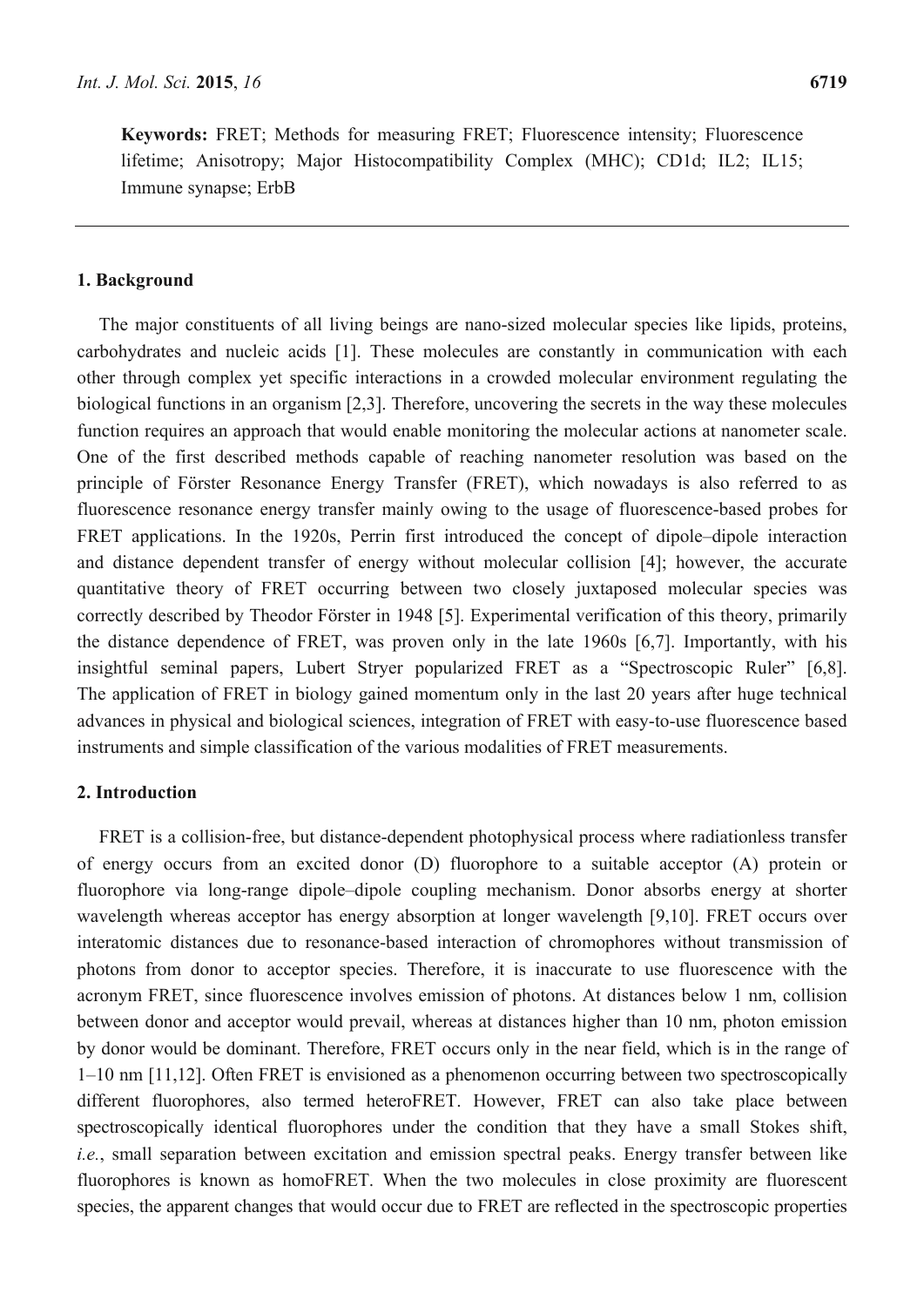**Keywords:** FRET; Methods for measuring FRET; Fluorescence intensity; Fluorescence lifetime; Anisotropy; Major Histocompatibility Complex (MHC); CD1d; IL2; IL15; Immune synapse; ErbB

## **1. Background**

The major constituents of all living beings are nano-sized molecular species like lipids, proteins, carbohydrates and nucleic acids [1]. These molecules are constantly in communication with each other through complex yet specific interactions in a crowded molecular environment regulating the biological functions in an organism [2,3]. Therefore, uncovering the secrets in the way these molecules function requires an approach that would enable monitoring the molecular actions at nanometer scale. One of the first described methods capable of reaching nanometer resolution was based on the principle of Förster Resonance Energy Transfer (FRET), which nowadays is also referred to as fluorescence resonance energy transfer mainly owing to the usage of fluorescence-based probes for FRET applications. In the 1920s, Perrin first introduced the concept of dipole–dipole interaction and distance dependent transfer of energy without molecular collision [4]; however, the accurate quantitative theory of FRET occurring between two closely juxtaposed molecular species was correctly described by Theodor Förster in 1948 [5]. Experimental verification of this theory, primarily the distance dependence of FRET, was proven only in the late 1960s [6,7]. Importantly, with his insightful seminal papers, Lubert Stryer popularized FRET as a "Spectroscopic Ruler" [6,8]. The application of FRET in biology gained momentum only in the last 20 years after huge technical advances in physical and biological sciences, integration of FRET with easy-to-use fluorescence based instruments and simple classification of the various modalities of FRET measurements.

## **2. Introduction**

FRET is a collision-free, but distance-dependent photophysical process where radiationless transfer of energy occurs from an excited donor (D) fluorophore to a suitable acceptor (A) protein or fluorophore via long-range dipole–dipole coupling mechanism. Donor absorbs energy at shorter wavelength whereas acceptor has energy absorption at longer wavelength [9,10]. FRET occurs over interatomic distances due to resonance-based interaction of chromophores without transmission of photons from donor to acceptor species. Therefore, it is inaccurate to use fluorescence with the acronym FRET, since fluorescence involves emission of photons. At distances below 1 nm, collision between donor and acceptor would prevail, whereas at distances higher than 10 nm, photon emission by donor would be dominant. Therefore, FRET occurs only in the near field, which is in the range of 1–10 nm [11,12]. Often FRET is envisioned as a phenomenon occurring between two spectroscopically different fluorophores, also termed heteroFRET. However, FRET can also take place between spectroscopically identical fluorophores under the condition that they have a small Stokes shift, *i.e.*, small separation between excitation and emission spectral peaks. Energy transfer between like fluorophores is known as homoFRET. When the two molecules in close proximity are fluorescent species, the apparent changes that would occur due to FRET are reflected in the spectroscopic properties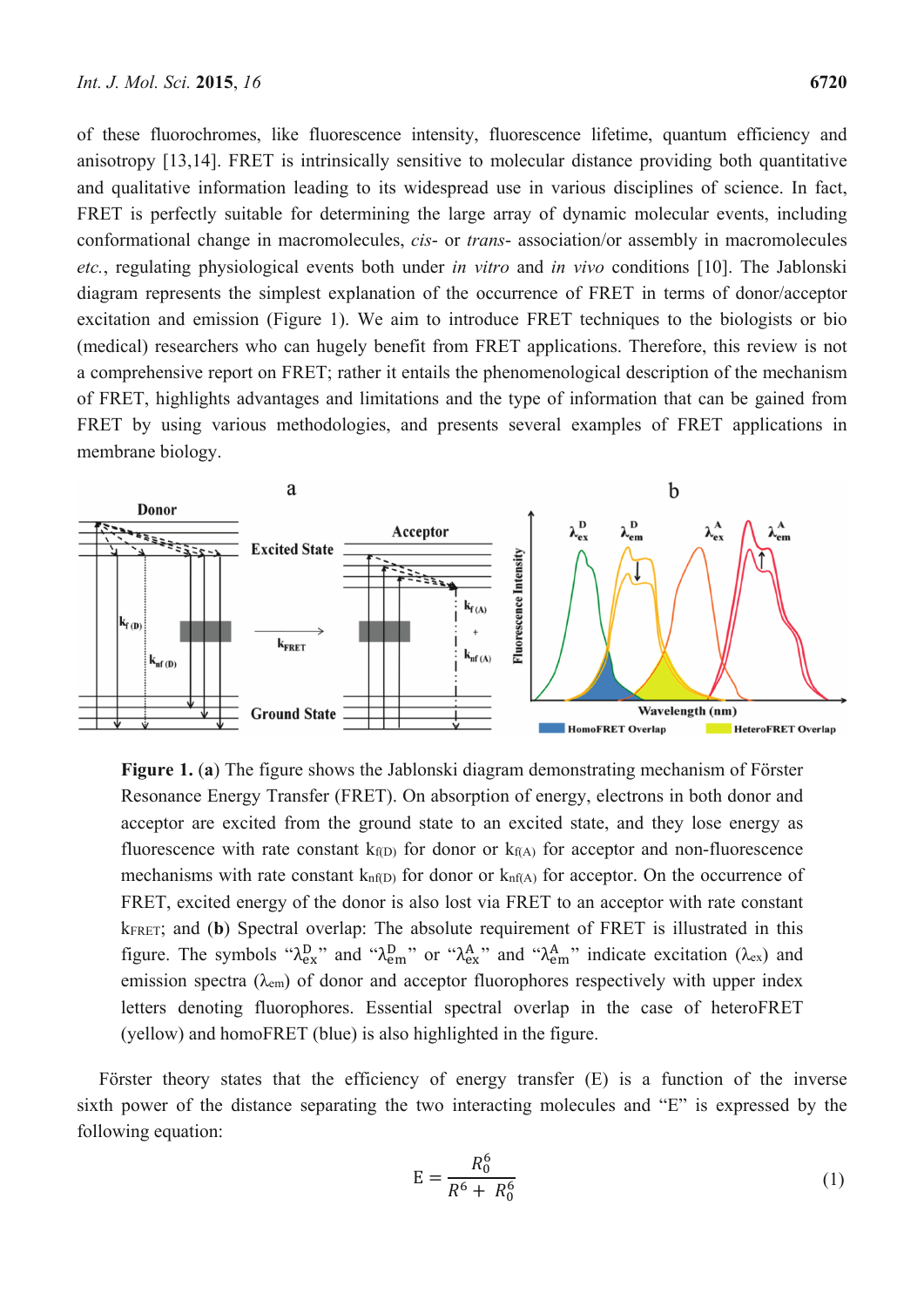of these fluorochromes, like fluorescence intensity, fluorescence lifetime, quantum efficiency and anisotropy [13,14]. FRET is intrinsically sensitive to molecular distance providing both quantitative and qualitative information leading to its widespread use in various disciplines of science. In fact, FRET is perfectly suitable for determining the large array of dynamic molecular events, including conformational change in macromolecules, *cis*- or *trans*- association/or assembly in macromolecules *etc.*, regulating physiological events both under *in vitro* and *in vivo* conditions [10]. The Jablonski diagram represents the simplest explanation of the occurrence of FRET in terms of donor/acceptor excitation and emission (Figure 1). We aim to introduce FRET techniques to the biologists or bio (medical) researchers who can hugely benefit from FRET applications. Therefore, this review is not a comprehensive report on FRET; rather it entails the phenomenological description of the mechanism of FRET, highlights advantages and limitations and the type of information that can be gained from FRET by using various methodologies, and presents several examples of FRET applications in membrane biology.



**Figure 1.** (**a**) The figure shows the Jablonski diagram demonstrating mechanism of Förster Resonance Energy Transfer (FRET). On absorption of energy, electrons in both donor and acceptor are excited from the ground state to an excited state, and they lose energy as fluorescence with rate constant  $k_{f(D)}$  for donor or  $k_{f(A)}$  for acceptor and non-fluorescence mechanisms with rate constant  $k_{nf(D)}$  for donor or  $k_{nf(A)}$  for acceptor. On the occurrence of FRET, excited energy of the donor is also lost via FRET to an acceptor with rate constant kFRET; and (**b**) Spectral overlap: The absolute requirement of FRET is illustrated in this figure. The symbols " $\lambda_{ex}^{D}$ " and " $\lambda_{em}^{D}$ " or " $\lambda_{ex}^{A}$ " and " $\lambda_{em}^{A}$ " indicate excitation ( $\lambda_{ex}$ ) and emission spectra  $(\lambda_{em})$  of donor and acceptor fluorophores respectively with upper index letters denoting fluorophores. Essential spectral overlap in the case of heteroFRET (yellow) and homoFRET (blue) is also highlighted in the figure.

Förster theory states that the efficiency of energy transfer (E) is a function of the inverse sixth power of the distance separating the two interacting molecules and "E" is expressed by the following equation:

$$
E = \frac{R_0^6}{R^6 + R_0^6}
$$
 (1)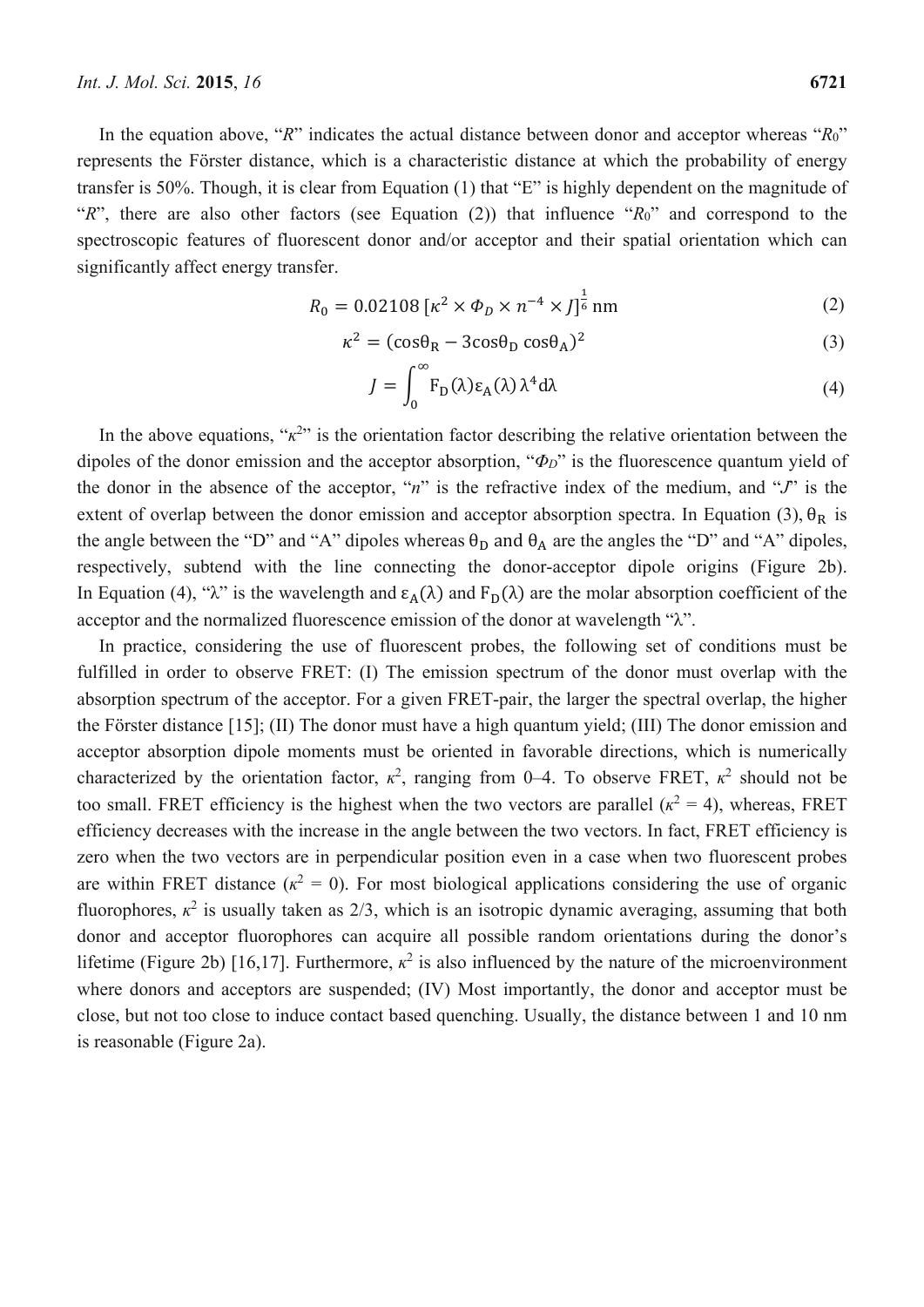In the equation above, "*R*" indicates the actual distance between donor and acceptor whereas "*R*0" represents the Förster distance, which is a characteristic distance at which the probability of energy transfer is 50%. Though, it is clear from Equation (1) that "E" is highly dependent on the magnitude of "*R*", there are also other factors (see Equation (2)) that influence "*R*0" and correspond to the spectroscopic features of fluorescent donor and/or acceptor and their spatial orientation which can significantly affect energy transfer.

$$
R_0 = 0.02108 \left[ \kappa^2 \times \Phi_D \times n^{-4} \times J \right]_6^{\frac{1}{6}} \text{nm}
$$
 (2)

$$
\kappa^2 = (\cos \theta_R - 3\cos \theta_D \cos \theta_A)^2 \tag{3}
$$

$$
J = \int_0^\infty F_D(\lambda) \varepsilon_A(\lambda) \lambda^4 d\lambda \tag{4}
$$

In the above equations, " $\kappa^{2}$ " is the orientation factor describing the relative orientation between the dipoles of the donor emission and the acceptor absorption, "*ΦD*" is the fluorescence quantum yield of the donor in the absence of the acceptor, "*n*" is the refractive index of the medium, and "*J*" is the extent of overlap between the donor emission and acceptor absorption spectra. In Equation (3),  $\theta_R$  is the angle between the "D" and "A" dipoles whereas  $\theta_D$  and  $\theta_A$  are the angles the "D" and "A" dipoles, respectively, subtend with the line connecting the donor-acceptor dipole origins (Figure 2b). In Equation (4), " $\lambda$ " is the wavelength and  $\epsilon_A(\lambda)$  and  $F_n(\lambda)$  are the molar absorption coefficient of the acceptor and the normalized fluorescence emission of the donor at wavelength "λ".

In practice, considering the use of fluorescent probes, the following set of conditions must be fulfilled in order to observe FRET: (I) The emission spectrum of the donor must overlap with the absorption spectrum of the acceptor. For a given FRET-pair, the larger the spectral overlap, the higher the Förster distance [15]; (II) The donor must have a high quantum yield; (III) The donor emission and acceptor absorption dipole moments must be oriented in favorable directions, which is numerically characterized by the orientation factor,  $\kappa^2$ , ranging from 0–4. To observe FRET,  $\kappa^2$  should not be too small. FRET efficiency is the highest when the two vectors are parallel  $(\kappa^2 = 4)$ , whereas, FRET efficiency decreases with the increase in the angle between the two vectors. In fact, FRET efficiency is zero when the two vectors are in perpendicular position even in a case when two fluorescent probes are within FRET distance  $(\kappa^2 = 0)$ . For most biological applications considering the use of organic fluorophores,  $\kappa^2$  is usually taken as 2/3, which is an isotropic dynamic averaging, assuming that both donor and acceptor fluorophores can acquire all possible random orientations during the donor's lifetime (Figure 2b) [16,17]. Furthermore,  $\kappa^2$  is also influenced by the nature of the microenvironment where donors and acceptors are suspended; (IV) Most importantly, the donor and acceptor must be close, but not too close to induce contact based quenching. Usually, the distance between 1 and 10 nm is reasonable (Figure 2a).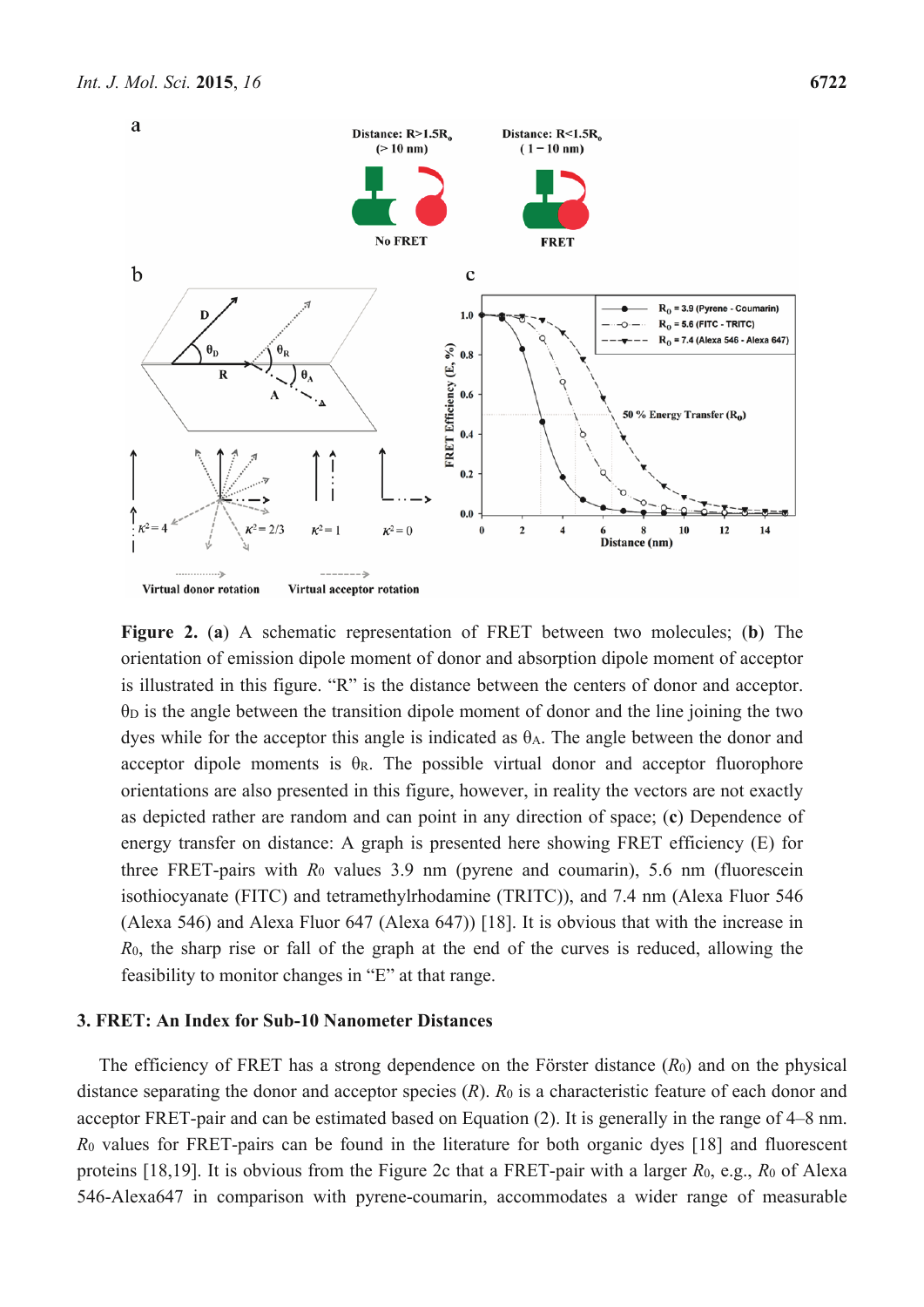

**Figure 2.** (**a**) A schematic representation of FRET between two molecules; (**b**) The orientation of emission dipole moment of donor and absorption dipole moment of acceptor is illustrated in this figure. "R" is the distance between the centers of donor and acceptor.  $\theta$  is the angle between the transition dipole moment of donor and the line joining the two dyes while for the acceptor this angle is indicated as  $\theta_A$ . The angle between the donor and acceptor dipole moments is  $\theta$ <sub>R</sub>. The possible virtual donor and acceptor fluorophore orientations are also presented in this figure, however, in reality the vectors are not exactly as depicted rather are random and can point in any direction of space; (**c**) Dependence of energy transfer on distance: A graph is presented here showing FRET efficiency (E) for three FRET-pairs with  $R_0$  values 3.9 nm (pyrene and coumarin), 5.6 nm (fluorescein isothiocyanate (FITC) and tetramethylrhodamine (TRITC)), and 7.4 nm (Alexa Fluor 546 (Alexa 546) and Alexa Fluor 647 (Alexa 647)) [18]. It is obvious that with the increase in *R*0, the sharp rise or fall of the graph at the end of the curves is reduced, allowing the feasibility to monitor changes in "E" at that range.

#### **3. FRET: An Index for Sub-10 Nanometer Distances**

The efficiency of FRET has a strong dependence on the Förster distance (*R*0) and on the physical distance separating the donor and acceptor species (*R*). *R*0 is a characteristic feature of each donor and acceptor FRET-pair and can be estimated based on Equation (2). It is generally in the range of 4–8 nm. *R*0 values for FRET-pairs can be found in the literature for both organic dyes [18] and fluorescent proteins [18,19]. It is obvious from the Figure 2c that a FRET-pair with a larger *R*0, e.g., *R*0 of Alexa 546-Alexa647 in comparison with pyrene-coumarin, accommodates a wider range of measurable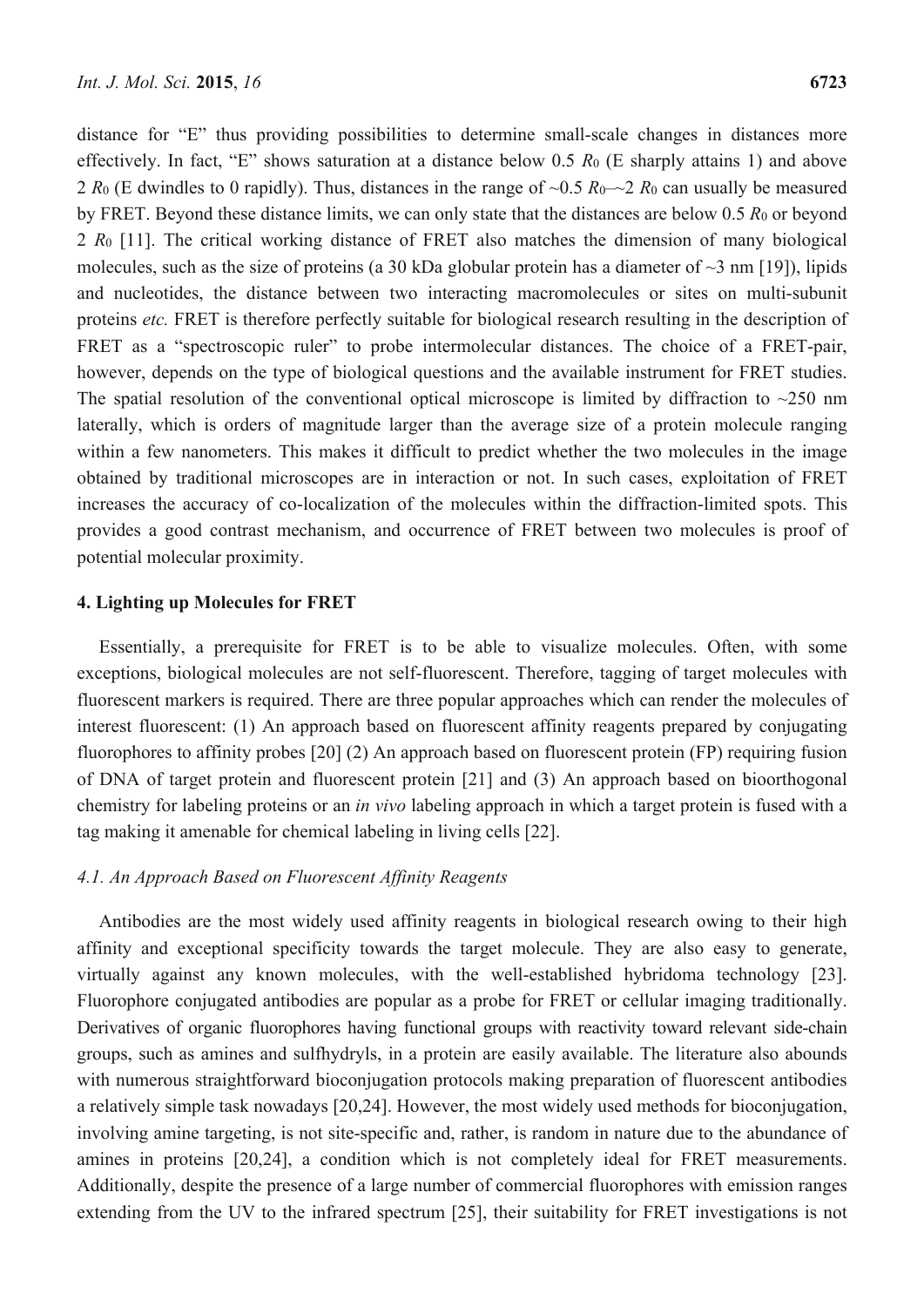distance for "E" thus providing possibilities to determine small-scale changes in distances more effectively. In fact, "E" shows saturation at a distance below 0.5  $R_0$  (E sharply attains 1) and above 2 *R*0 (E dwindles to 0 rapidly). Thus, distances in the range of ~0.5 *R*0–~2 *R*0 can usually be measured by FRET. Beyond these distance limits, we can only state that the distances are below 0.5 *R*0 or beyond 2 *R*0 [11]. The critical working distance of FRET also matches the dimension of many biological molecules, such as the size of proteins (a 30 kDa globular protein has a diameter of  $\sim$ 3 nm [19]), lipids and nucleotides, the distance between two interacting macromolecules or sites on multi-subunit proteins *etc.* FRET is therefore perfectly suitable for biological research resulting in the description of FRET as a "spectroscopic ruler" to probe intermolecular distances. The choice of a FRET-pair, however, depends on the type of biological questions and the available instrument for FRET studies. The spatial resolution of the conventional optical microscope is limited by diffraction to  $\sim$ 250 nm laterally, which is orders of magnitude larger than the average size of a protein molecule ranging within a few nanometers. This makes it difficult to predict whether the two molecules in the image obtained by traditional microscopes are in interaction or not. In such cases, exploitation of FRET increases the accuracy of co-localization of the molecules within the diffraction-limited spots. This provides a good contrast mechanism, and occurrence of FRET between two molecules is proof of potential molecular proximity.

# **4. Lighting up Molecules for FRET**

Essentially, a prerequisite for FRET is to be able to visualize molecules. Often, with some exceptions, biological molecules are not self-fluorescent. Therefore, tagging of target molecules with fluorescent markers is required. There are three popular approaches which can render the molecules of interest fluorescent: (1) An approach based on fluorescent affinity reagents prepared by conjugating fluorophores to affinity probes [20] (2) An approach based on fluorescent protein (FP) requiring fusion of DNA of target protein and fluorescent protein [21] and (3) An approach based on bioorthogonal chemistry for labeling proteins or an *in vivo* labeling approach in which a target protein is fused with a tag making it amenable for chemical labeling in living cells [22].

# *4.1. An Approach Based on Fluorescent Affinity Reagents*

Antibodies are the most widely used affinity reagents in biological research owing to their high affinity and exceptional specificity towards the target molecule. They are also easy to generate, virtually against any known molecules, with the well-established hybridoma technology [23]. Fluorophore conjugated antibodies are popular as a probe for FRET or cellular imaging traditionally. Derivatives of organic fluorophores having functional groups with reactivity toward relevant side-chain groups, such as amines and sulfhydryls, in a protein are easily available. The literature also abounds with numerous straightforward bioconjugation protocols making preparation of fluorescent antibodies a relatively simple task nowadays [20,24]. However, the most widely used methods for bioconjugation, involving amine targeting, is not site-specific and, rather, is random in nature due to the abundance of amines in proteins [20,24], a condition which is not completely ideal for FRET measurements. Additionally, despite the presence of a large number of commercial fluorophores with emission ranges extending from the UV to the infrared spectrum [25], their suitability for FRET investigations is not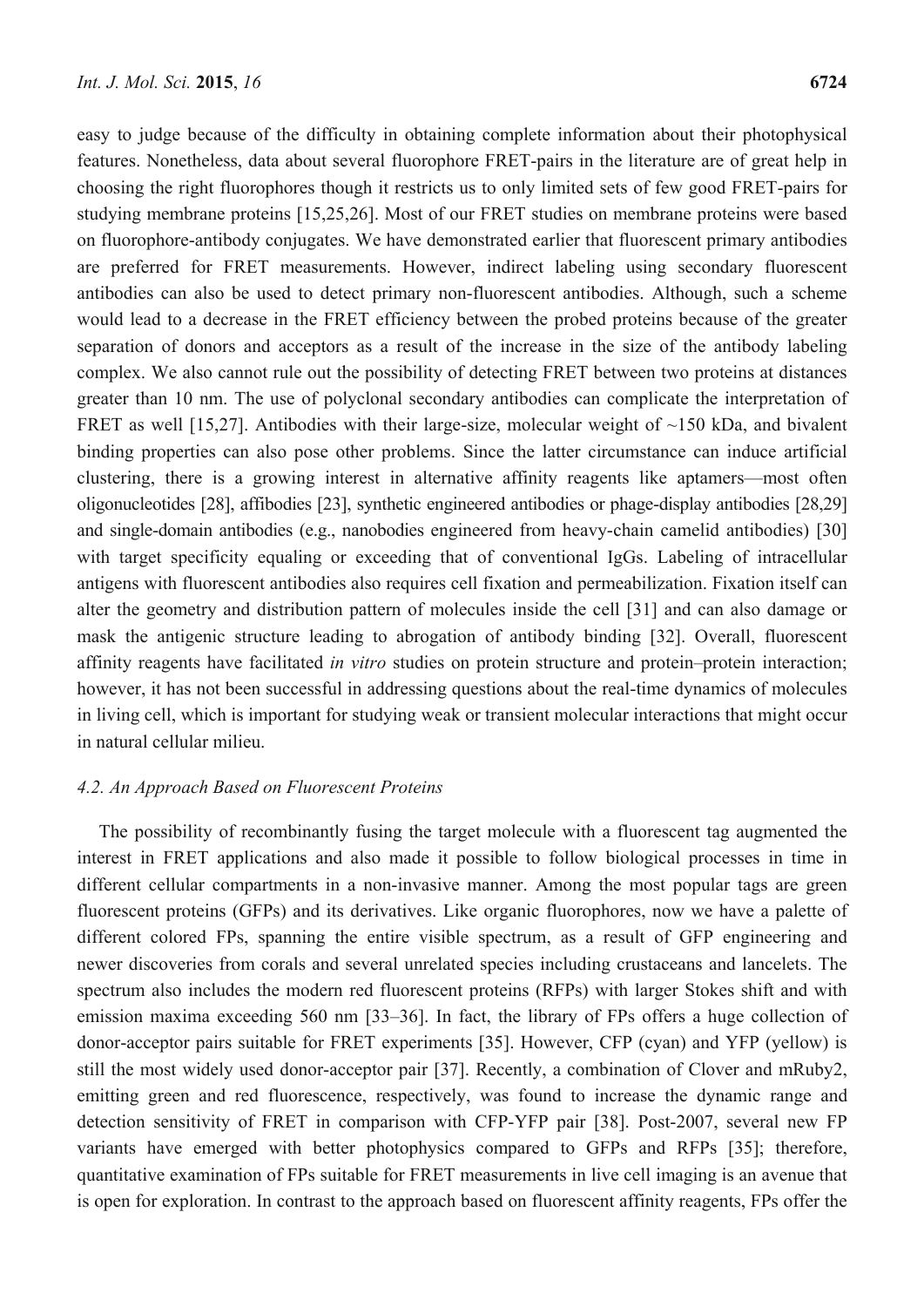easy to judge because of the difficulty in obtaining complete information about their photophysical features. Nonetheless, data about several fluorophore FRET-pairs in the literature are of great help in choosing the right fluorophores though it restricts us to only limited sets of few good FRET-pairs for studying membrane proteins [15,25,26]. Most of our FRET studies on membrane proteins were based on fluorophore-antibody conjugates. We have demonstrated earlier that fluorescent primary antibodies are preferred for FRET measurements. However, indirect labeling using secondary fluorescent antibodies can also be used to detect primary non-fluorescent antibodies. Although, such a scheme would lead to a decrease in the FRET efficiency between the probed proteins because of the greater separation of donors and acceptors as a result of the increase in the size of the antibody labeling complex. We also cannot rule out the possibility of detecting FRET between two proteins at distances greater than 10 nm. The use of polyclonal secondary antibodies can complicate the interpretation of FRET as well [15,27]. Antibodies with their large-size, molecular weight of  $\sim$ 150 kDa, and bivalent binding properties can also pose other problems. Since the latter circumstance can induce artificial clustering, there is a growing interest in alternative affinity reagents like aptamers—most often oligonucleotides [28], affibodies [23], synthetic engineered antibodies or phage-display antibodies [28,29] and single-domain antibodies (e.g., nanobodies engineered from heavy-chain camelid antibodies) [30] with target specificity equaling or exceeding that of conventional IgGs. Labeling of intracellular antigens with fluorescent antibodies also requires cell fixation and permeabilization. Fixation itself can alter the geometry and distribution pattern of molecules inside the cell [31] and can also damage or mask the antigenic structure leading to abrogation of antibody binding [32]. Overall, fluorescent affinity reagents have facilitated *in vitro* studies on protein structure and protein–protein interaction; however, it has not been successful in addressing questions about the real-time dynamics of molecules in living cell, which is important for studying weak or transient molecular interactions that might occur in natural cellular milieu.

## *4.2. An Approach Based on Fluorescent Proteins*

The possibility of recombinantly fusing the target molecule with a fluorescent tag augmented the interest in FRET applications and also made it possible to follow biological processes in time in different cellular compartments in a non-invasive manner. Among the most popular tags are green fluorescent proteins (GFPs) and its derivatives. Like organic fluorophores, now we have a palette of different colored FPs, spanning the entire visible spectrum, as a result of GFP engineering and newer discoveries from corals and several unrelated species including crustaceans and lancelets. The spectrum also includes the modern red fluorescent proteins (RFPs) with larger Stokes shift and with emission maxima exceeding 560 nm [33–36]. In fact, the library of FPs offers a huge collection of donor-acceptor pairs suitable for FRET experiments [35]. However, CFP (cyan) and YFP (yellow) is still the most widely used donor-acceptor pair [37]. Recently, a combination of Clover and mRuby2, emitting green and red fluorescence, respectively, was found to increase the dynamic range and detection sensitivity of FRET in comparison with CFP-YFP pair [38]. Post-2007, several new FP variants have emerged with better photophysics compared to GFPs and RFPs [35]; therefore, quantitative examination of FPs suitable for FRET measurements in live cell imaging is an avenue that is open for exploration. In contrast to the approach based on fluorescent affinity reagents, FPs offer the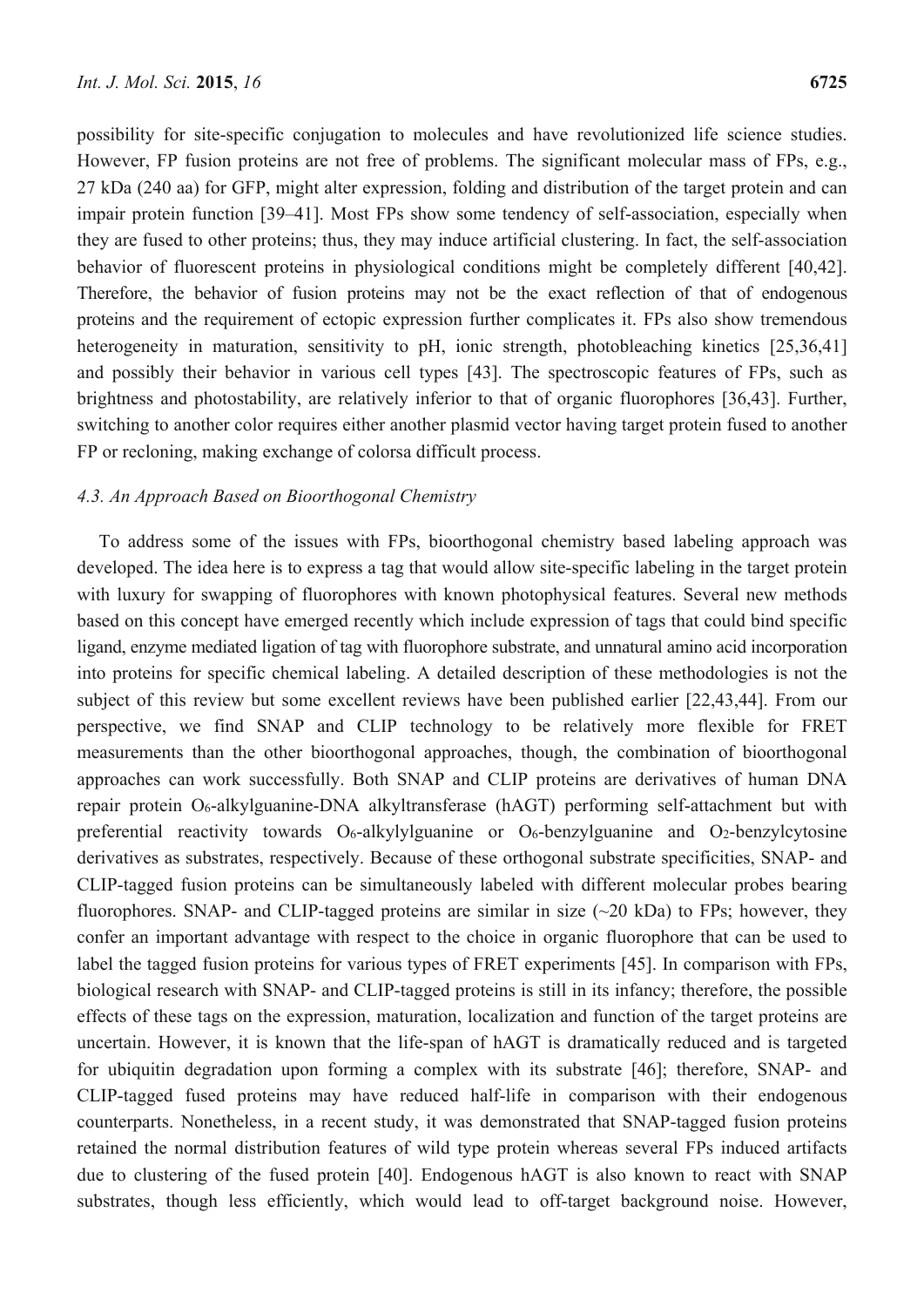possibility for site-specific conjugation to molecules and have revolutionized life science studies. However, FP fusion proteins are not free of problems. The significant molecular mass of FPs, e.g., 27 kDa (240 aa) for GFP, might alter expression, folding and distribution of the target protein and can impair protein function [39–41]. Most FPs show some tendency of self-association, especially when they are fused to other proteins; thus, they may induce artificial clustering. In fact, the self-association behavior of fluorescent proteins in physiological conditions might be completely different [40,42]. Therefore, the behavior of fusion proteins may not be the exact reflection of that of endogenous proteins and the requirement of ectopic expression further complicates it. FPs also show tremendous heterogeneity in maturation, sensitivity to pH, ionic strength, photobleaching kinetics [25,36,41] and possibly their behavior in various cell types [43]. The spectroscopic features of FPs, such as brightness and photostability, are relatively inferior to that of organic fluorophores [36,43]. Further, switching to another color requires either another plasmid vector having target protein fused to another FP or recloning, making exchange of colorsa difficult process.

#### *4.3. An Approach Based on Bioorthogonal Chemistry*

To address some of the issues with FPs, bioorthogonal chemistry based labeling approach was developed. The idea here is to express a tag that would allow site-specific labeling in the target protein with luxury for swapping of fluorophores with known photophysical features. Several new methods based on this concept have emerged recently which include expression of tags that could bind specific ligand, enzyme mediated ligation of tag with fluorophore substrate, and unnatural amino acid incorporation into proteins for specific chemical labeling. A detailed description of these methodologies is not the subject of this review but some excellent reviews have been published earlier [22,43,44]. From our perspective, we find SNAP and CLIP technology to be relatively more flexible for FRET measurements than the other bioorthogonal approaches, though, the combination of bioorthogonal approaches can work successfully. Both SNAP and CLIP proteins are derivatives of human DNA repair protein O6-alkylguanine-DNA alkyltransferase (hAGT) performing self-attachment but with preferential reactivity towards  $O_6$ -alkylylguanine or  $O_6$ -benzylguanine and  $O_2$ -benzylcytosine derivatives as substrates, respectively. Because of these orthogonal substrate specificities, SNAP- and CLIP-tagged fusion proteins can be simultaneously labeled with different molecular probes bearing fluorophores. SNAP- and CLIP-tagged proteins are similar in size  $(\sim 20 \text{ kDa})$  to FPs; however, they confer an important advantage with respect to the choice in organic fluorophore that can be used to label the tagged fusion proteins for various types of FRET experiments [45]. In comparison with FPs, biological research with SNAP- and CLIP-tagged proteins is still in its infancy; therefore, the possible effects of these tags on the expression, maturation, localization and function of the target proteins are uncertain. However, it is known that the life-span of hAGT is dramatically reduced and is targeted for ubiquitin degradation upon forming a complex with its substrate [46]; therefore, SNAP- and CLIP-tagged fused proteins may have reduced half-life in comparison with their endogenous counterparts. Nonetheless, in a recent study, it was demonstrated that SNAP-tagged fusion proteins retained the normal distribution features of wild type protein whereas several FPs induced artifacts due to clustering of the fused protein [40]. Endogenous hAGT is also known to react with SNAP substrates, though less efficiently, which would lead to off-target background noise. However,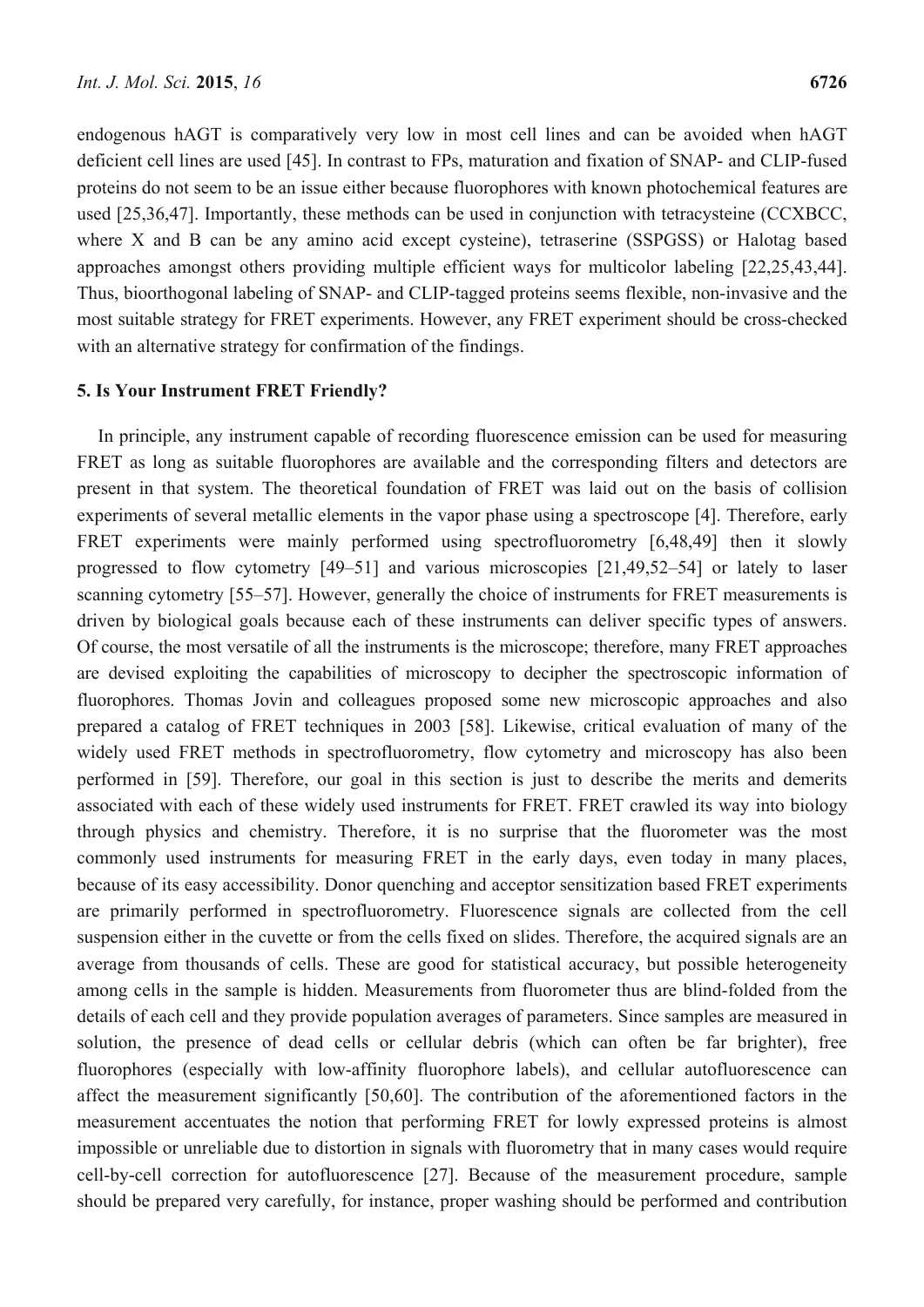endogenous hAGT is comparatively very low in most cell lines and can be avoided when hAGT deficient cell lines are used [45]. In contrast to FPs, maturation and fixation of SNAP- and CLIP-fused proteins do not seem to be an issue either because fluorophores with known photochemical features are used [25,36,47]. Importantly, these methods can be used in conjunction with tetracysteine (CCXBCC, where X and B can be any amino acid except cysteine), tetraserine (SSPGSS) or Halotag based approaches amongst others providing multiple efficient ways for multicolor labeling [22,25,43,44]. Thus, bioorthogonal labeling of SNAP- and CLIP-tagged proteins seems flexible, non-invasive and the most suitable strategy for FRET experiments. However, any FRET experiment should be cross-checked with an alternative strategy for confirmation of the findings.

#### **5. Is Your Instrument FRET Friendly?**

In principle, any instrument capable of recording fluorescence emission can be used for measuring FRET as long as suitable fluorophores are available and the corresponding filters and detectors are present in that system. The theoretical foundation of FRET was laid out on the basis of collision experiments of several metallic elements in the vapor phase using a spectroscope [4]. Therefore, early FRET experiments were mainly performed using spectrofluorometry [6,48,49] then it slowly progressed to flow cytometry [49–51] and various microscopies [21,49,52–54] or lately to laser scanning cytometry [55–57]. However, generally the choice of instruments for FRET measurements is driven by biological goals because each of these instruments can deliver specific types of answers. Of course, the most versatile of all the instruments is the microscope; therefore, many FRET approaches are devised exploiting the capabilities of microscopy to decipher the spectroscopic information of fluorophores. Thomas Jovin and colleagues proposed some new microscopic approaches and also prepared a catalog of FRET techniques in 2003 [58]. Likewise, critical evaluation of many of the widely used FRET methods in spectrofluorometry, flow cytometry and microscopy has also been performed in [59]. Therefore, our goal in this section is just to describe the merits and demerits associated with each of these widely used instruments for FRET. FRET crawled its way into biology through physics and chemistry. Therefore, it is no surprise that the fluorometer was the most commonly used instruments for measuring FRET in the early days, even today in many places, because of its easy accessibility. Donor quenching and acceptor sensitization based FRET experiments are primarily performed in spectrofluorometry. Fluorescence signals are collected from the cell suspension either in the cuvette or from the cells fixed on slides. Therefore, the acquired signals are an average from thousands of cells. These are good for statistical accuracy, but possible heterogeneity among cells in the sample is hidden. Measurements from fluorometer thus are blind-folded from the details of each cell and they provide population averages of parameters. Since samples are measured in solution, the presence of dead cells or cellular debris (which can often be far brighter), free fluorophores (especially with low-affinity fluorophore labels), and cellular autofluorescence can affect the measurement significantly [50,60]. The contribution of the aforementioned factors in the measurement accentuates the notion that performing FRET for lowly expressed proteins is almost impossible or unreliable due to distortion in signals with fluorometry that in many cases would require cell-by-cell correction for autofluorescence [27]. Because of the measurement procedure, sample should be prepared very carefully, for instance, proper washing should be performed and contribution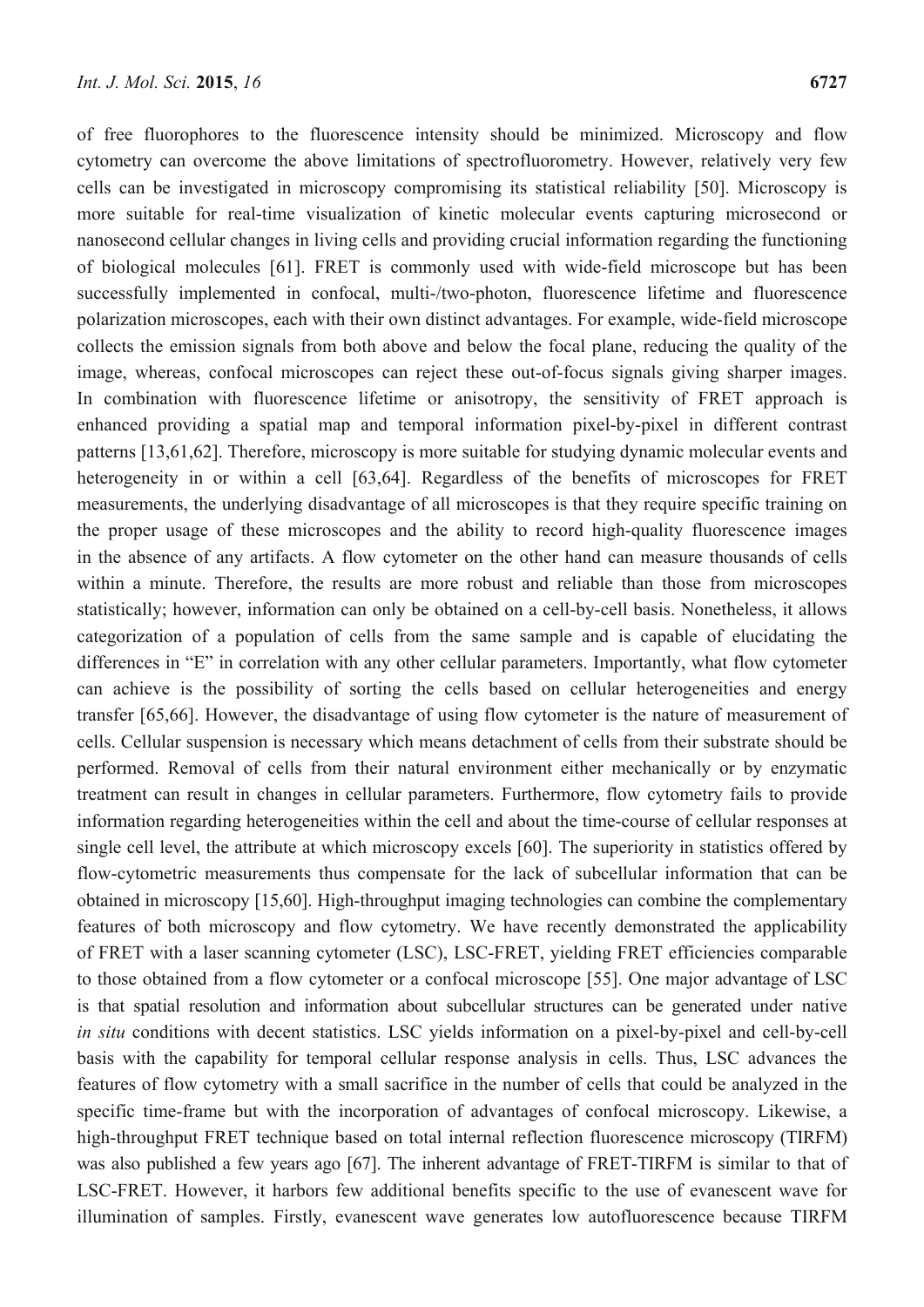of free fluorophores to the fluorescence intensity should be minimized. Microscopy and flow cytometry can overcome the above limitations of spectrofluorometry. However, relatively very few cells can be investigated in microscopy compromising its statistical reliability [50]. Microscopy is more suitable for real-time visualization of kinetic molecular events capturing microsecond or nanosecond cellular changes in living cells and providing crucial information regarding the functioning of biological molecules [61]. FRET is commonly used with wide-field microscope but has been successfully implemented in confocal, multi-/two-photon, fluorescence lifetime and fluorescence polarization microscopes, each with their own distinct advantages. For example, wide-field microscope collects the emission signals from both above and below the focal plane, reducing the quality of the image, whereas, confocal microscopes can reject these out-of-focus signals giving sharper images. In combination with fluorescence lifetime or anisotropy, the sensitivity of FRET approach is enhanced providing a spatial map and temporal information pixel-by-pixel in different contrast patterns [13,61,62]. Therefore, microscopy is more suitable for studying dynamic molecular events and heterogeneity in or within a cell [63,64]. Regardless of the benefits of microscopes for FRET measurements, the underlying disadvantage of all microscopes is that they require specific training on the proper usage of these microscopes and the ability to record high-quality fluorescence images in the absence of any artifacts. A flow cytometer on the other hand can measure thousands of cells within a minute. Therefore, the results are more robust and reliable than those from microscopes statistically; however, information can only be obtained on a cell-by-cell basis. Nonetheless, it allows categorization of a population of cells from the same sample and is capable of elucidating the differences in "E" in correlation with any other cellular parameters. Importantly, what flow cytometer can achieve is the possibility of sorting the cells based on cellular heterogeneities and energy transfer [65,66]. However, the disadvantage of using flow cytometer is the nature of measurement of cells. Cellular suspension is necessary which means detachment of cells from their substrate should be performed. Removal of cells from their natural environment either mechanically or by enzymatic treatment can result in changes in cellular parameters. Furthermore, flow cytometry fails to provide information regarding heterogeneities within the cell and about the time-course of cellular responses at single cell level, the attribute at which microscopy excels [60]. The superiority in statistics offered by flow-cytometric measurements thus compensate for the lack of subcellular information that can be obtained in microscopy [15,60]. High-throughput imaging technologies can combine the complementary features of both microscopy and flow cytometry. We have recently demonstrated the applicability of FRET with a laser scanning cytometer (LSC), LSC-FRET, yielding FRET efficiencies comparable to those obtained from a flow cytometer or a confocal microscope [55]. One major advantage of LSC is that spatial resolution and information about subcellular structures can be generated under native *in situ* conditions with decent statistics. LSC yields information on a pixel-by-pixel and cell-by-cell basis with the capability for temporal cellular response analysis in cells. Thus, LSC advances the features of flow cytometry with a small sacrifice in the number of cells that could be analyzed in the specific time-frame but with the incorporation of advantages of confocal microscopy. Likewise, a high-throughput FRET technique based on total internal reflection fluorescence microscopy (TIRFM) was also published a few years ago [67]. The inherent advantage of FRET-TIRFM is similar to that of LSC-FRET. However, it harbors few additional benefits specific to the use of evanescent wave for illumination of samples. Firstly, evanescent wave generates low autofluorescence because TIRFM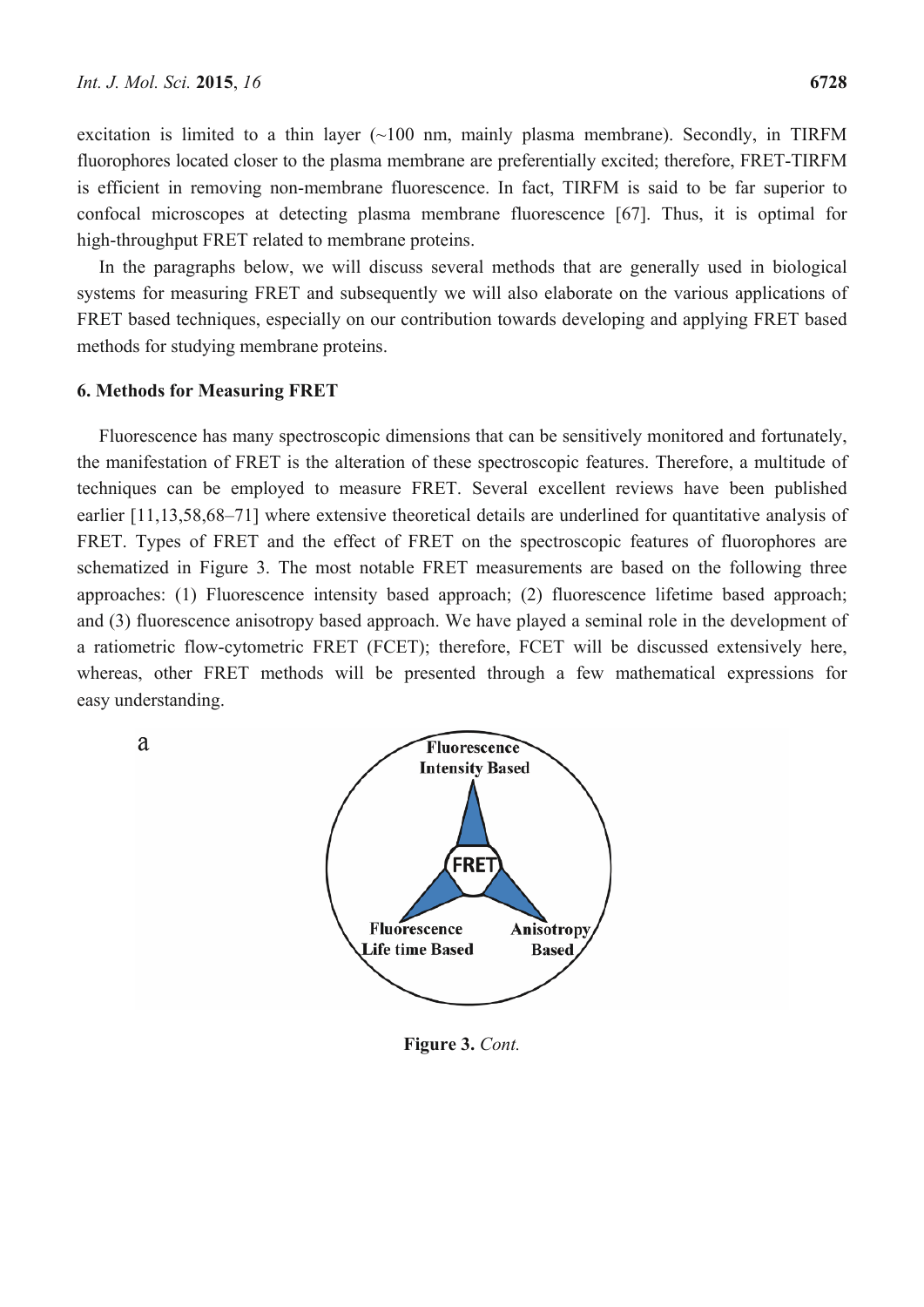excitation is limited to a thin layer  $(\sim 100 \text{ nm}, \text{mainly plasma membrane})$ . Secondly, in TIRFM fluorophores located closer to the plasma membrane are preferentially excited; therefore, FRET-TIRFM is efficient in removing non-membrane fluorescence. In fact, TIRFM is said to be far superior to confocal microscopes at detecting plasma membrane fluorescence [67]. Thus, it is optimal for high-throughput FRET related to membrane proteins.

In the paragraphs below, we will discuss several methods that are generally used in biological systems for measuring FRET and subsequently we will also elaborate on the various applications of FRET based techniques, especially on our contribution towards developing and applying FRET based methods for studying membrane proteins.

#### **6. Methods for Measuring FRET**

Fluorescence has many spectroscopic dimensions that can be sensitively monitored and fortunately, the manifestation of FRET is the alteration of these spectroscopic features. Therefore, a multitude of techniques can be employed to measure FRET. Several excellent reviews have been published earlier [11,13,58,68–71] where extensive theoretical details are underlined for quantitative analysis of FRET. Types of FRET and the effect of FRET on the spectroscopic features of fluorophores are schematized in Figure 3. The most notable FRET measurements are based on the following three approaches: (1) Fluorescence intensity based approach; (2) fluorescence lifetime based approach; and (3) fluorescence anisotropy based approach. We have played a seminal role in the development of a ratiometric flow-cytometric FRET (FCET); therefore, FCET will be discussed extensively here, whereas, other FRET methods will be presented through a few mathematical expressions for easy understanding.





**Figure 3.** *Cont.*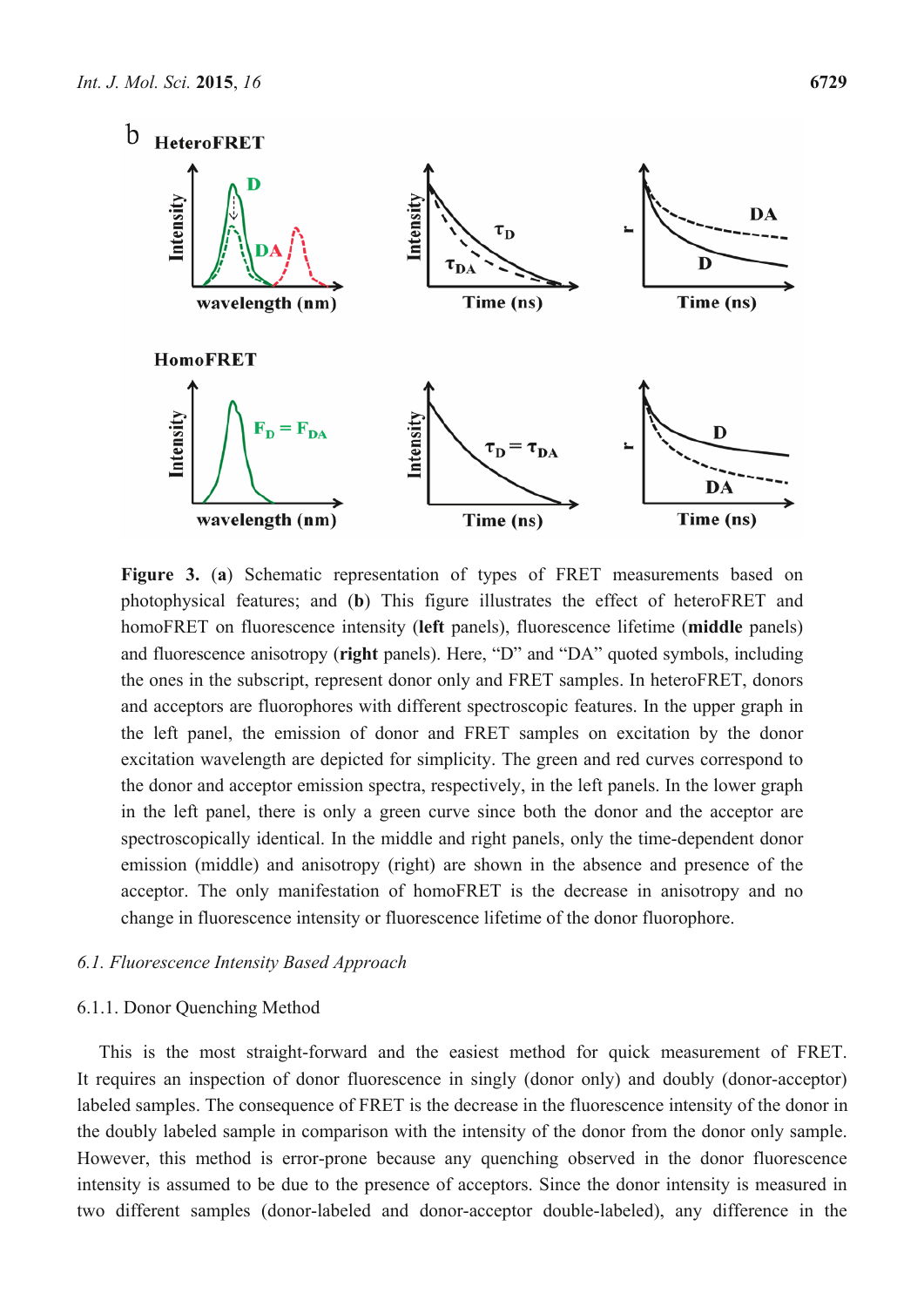

**Figure 3.** (**a**) Schematic representation of types of FRET measurements based on photophysical features; and (**b**) This figure illustrates the effect of heteroFRET and homoFRET on fluorescence intensity (**left** panels), fluorescence lifetime (**middle** panels) and fluorescence anisotropy (**right** panels). Here, "D" and "DA" quoted symbols, including the ones in the subscript, represent donor only and FRET samples. In heteroFRET, donors and acceptors are fluorophores with different spectroscopic features. In the upper graph in the left panel, the emission of donor and FRET samples on excitation by the donor excitation wavelength are depicted for simplicity. The green and red curves correspond to the donor and acceptor emission spectra, respectively, in the left panels. In the lower graph in the left panel, there is only a green curve since both the donor and the acceptor are spectroscopically identical. In the middle and right panels, only the time-dependent donor emission (middle) and anisotropy (right) are shown in the absence and presence of the acceptor. The only manifestation of homoFRET is the decrease in anisotropy and no change in fluorescence intensity or fluorescence lifetime of the donor fluorophore.

#### *6.1. Fluorescence Intensity Based Approach*

#### 6.1.1. Donor Quenching Method

This is the most straight-forward and the easiest method for quick measurement of FRET. It requires an inspection of donor fluorescence in singly (donor only) and doubly (donor-acceptor) labeled samples. The consequence of FRET is the decrease in the fluorescence intensity of the donor in the doubly labeled sample in comparison with the intensity of the donor from the donor only sample. However, this method is error-prone because any quenching observed in the donor fluorescence intensity is assumed to be due to the presence of acceptors. Since the donor intensity is measured in two different samples (donor-labeled and donor-acceptor double-labeled), any difference in the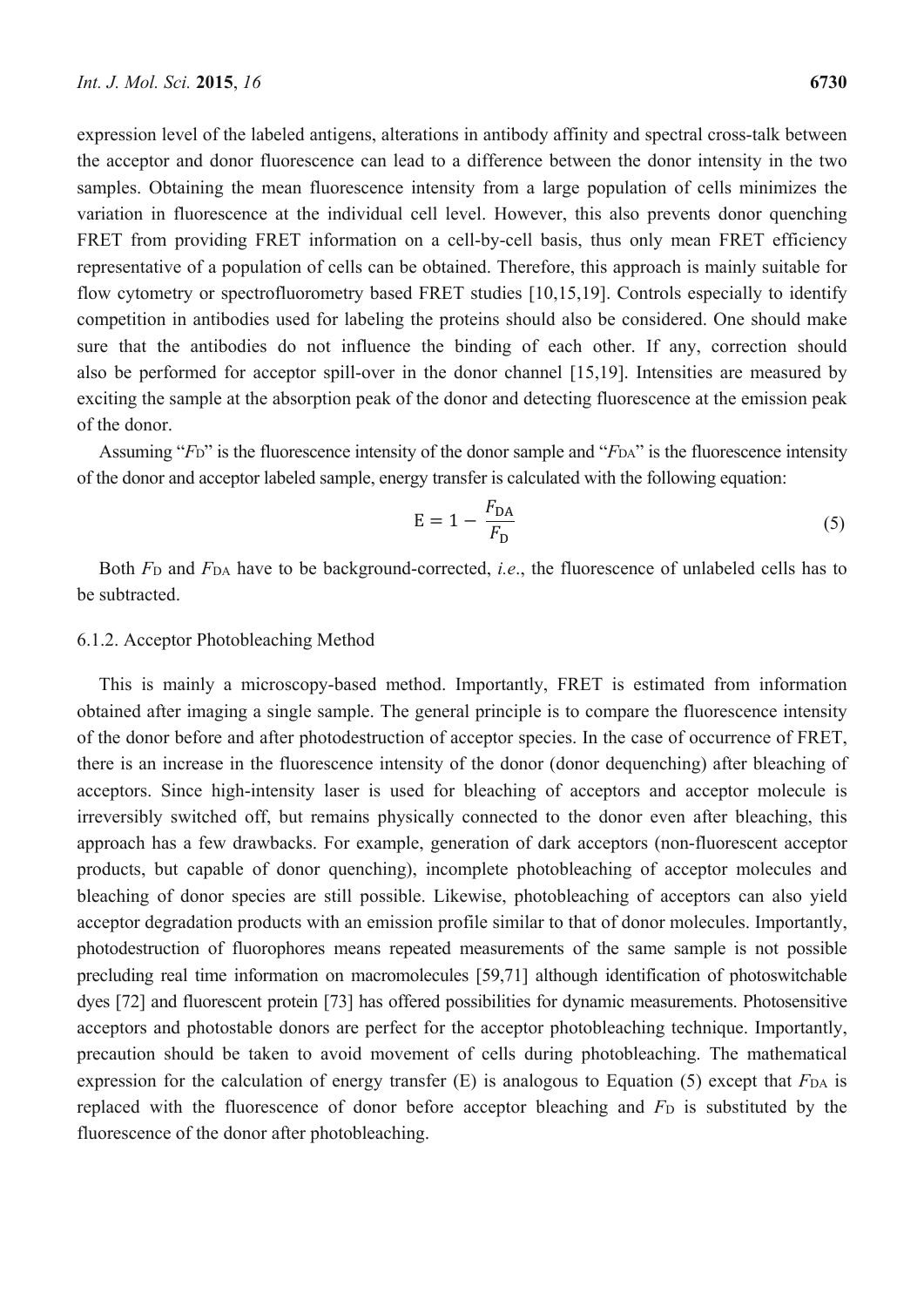expression level of the labeled antigens, alterations in antibody affinity and spectral cross-talk between the acceptor and donor fluorescence can lead to a difference between the donor intensity in the two samples. Obtaining the mean fluorescence intensity from a large population of cells minimizes the variation in fluorescence at the individual cell level. However, this also prevents donor quenching FRET from providing FRET information on a cell-by-cell basis, thus only mean FRET efficiency representative of a population of cells can be obtained. Therefore, this approach is mainly suitable for flow cytometry or spectrofluorometry based FRET studies [10,15,19]. Controls especially to identify competition in antibodies used for labeling the proteins should also be considered. One should make sure that the antibodies do not influence the binding of each other. If any, correction should also be performed for acceptor spill-over in the donor channel [15,19]. Intensities are measured by exciting the sample at the absorption peak of the donor and detecting fluorescence at the emission peak of the donor.

Assuming " $F_D$ " is the fluorescence intensity of the donor sample and " $F_{DA}$ " is the fluorescence intensity of the donor and acceptor labeled sample, energy transfer is calculated with the following equation:

$$
E = 1 - \frac{F_{DA}}{F_D} \tag{5}
$$

Both *F*<sub>D</sub> and *F*<sub>DA</sub> have to be background-corrected, *i.e.*, the fluorescence of unlabeled cells has to be subtracted.

#### 6.1.2. Acceptor Photobleaching Method

This is mainly a microscopy-based method. Importantly, FRET is estimated from information obtained after imaging a single sample. The general principle is to compare the fluorescence intensity of the donor before and after photodestruction of acceptor species. In the case of occurrence of FRET, there is an increase in the fluorescence intensity of the donor (donor dequenching) after bleaching of acceptors. Since high-intensity laser is used for bleaching of acceptors and acceptor molecule is irreversibly switched off, but remains physically connected to the donor even after bleaching, this approach has a few drawbacks. For example, generation of dark acceptors (non-fluorescent acceptor products, but capable of donor quenching), incomplete photobleaching of acceptor molecules and bleaching of donor species are still possible. Likewise, photobleaching of acceptors can also yield acceptor degradation products with an emission profile similar to that of donor molecules. Importantly, photodestruction of fluorophores means repeated measurements of the same sample is not possible precluding real time information on macromolecules [59,71] although identification of photoswitchable dyes [72] and fluorescent protein [73] has offered possibilities for dynamic measurements. Photosensitive acceptors and photostable donors are perfect for the acceptor photobleaching technique. Importantly, precaution should be taken to avoid movement of cells during photobleaching. The mathematical expression for the calculation of energy transfer  $(E)$  is analogous to Equation (5) except that  $F_{DA}$  is replaced with the fluorescence of donor before acceptor bleaching and  $F<sub>D</sub>$  is substituted by the fluorescence of the donor after photobleaching.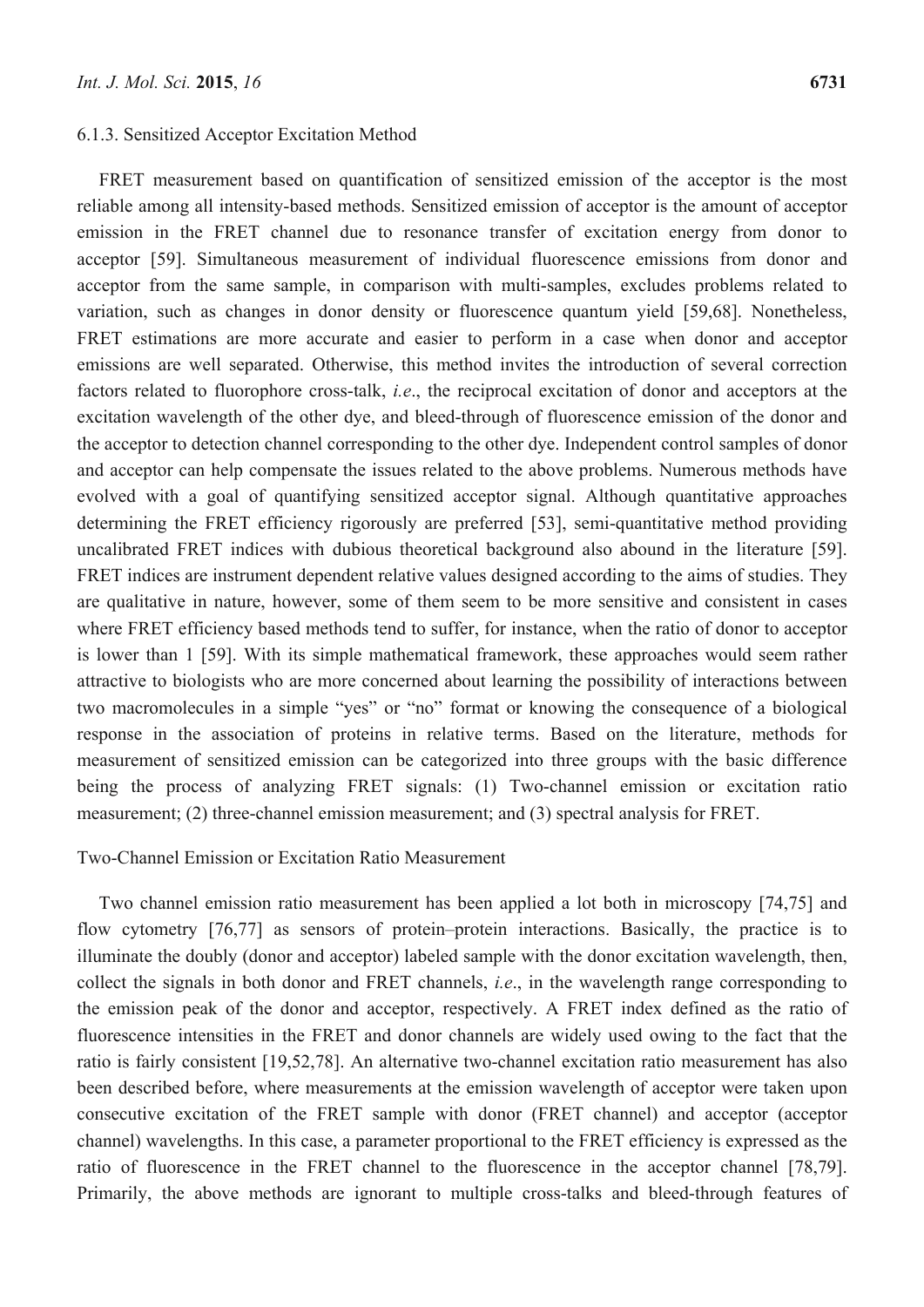#### 6.1.3. Sensitized Acceptor Excitation Method

FRET measurement based on quantification of sensitized emission of the acceptor is the most reliable among all intensity-based methods. Sensitized emission of acceptor is the amount of acceptor emission in the FRET channel due to resonance transfer of excitation energy from donor to acceptor [59]. Simultaneous measurement of individual fluorescence emissions from donor and acceptor from the same sample, in comparison with multi-samples, excludes problems related to variation, such as changes in donor density or fluorescence quantum yield [59,68]. Nonetheless, FRET estimations are more accurate and easier to perform in a case when donor and acceptor emissions are well separated. Otherwise, this method invites the introduction of several correction factors related to fluorophore cross-talk, *i.e*., the reciprocal excitation of donor and acceptors at the excitation wavelength of the other dye, and bleed-through of fluorescence emission of the donor and the acceptor to detection channel corresponding to the other dye. Independent control samples of donor and acceptor can help compensate the issues related to the above problems. Numerous methods have evolved with a goal of quantifying sensitized acceptor signal. Although quantitative approaches determining the FRET efficiency rigorously are preferred [53], semi-quantitative method providing uncalibrated FRET indices with dubious theoretical background also abound in the literature [59]. FRET indices are instrument dependent relative values designed according to the aims of studies. They are qualitative in nature, however, some of them seem to be more sensitive and consistent in cases where FRET efficiency based methods tend to suffer, for instance, when the ratio of donor to acceptor is lower than 1 [59]. With its simple mathematical framework, these approaches would seem rather attractive to biologists who are more concerned about learning the possibility of interactions between two macromolecules in a simple "yes" or "no" format or knowing the consequence of a biological response in the association of proteins in relative terms. Based on the literature, methods for measurement of sensitized emission can be categorized into three groups with the basic difference being the process of analyzing FRET signals: (1) Two-channel emission or excitation ratio measurement; (2) three-channel emission measurement; and (3) spectral analysis for FRET.

## Two-Channel Emission or Excitation Ratio Measurement

Two channel emission ratio measurement has been applied a lot both in microscopy [74,75] and flow cytometry [76,77] as sensors of protein–protein interactions. Basically, the practice is to illuminate the doubly (donor and acceptor) labeled sample with the donor excitation wavelength, then, collect the signals in both donor and FRET channels, *i.e*., in the wavelength range corresponding to the emission peak of the donor and acceptor, respectively. A FRET index defined as the ratio of fluorescence intensities in the FRET and donor channels are widely used owing to the fact that the ratio is fairly consistent [19,52,78]. An alternative two-channel excitation ratio measurement has also been described before, where measurements at the emission wavelength of acceptor were taken upon consecutive excitation of the FRET sample with donor (FRET channel) and acceptor (acceptor channel) wavelengths. In this case, a parameter proportional to the FRET efficiency is expressed as the ratio of fluorescence in the FRET channel to the fluorescence in the acceptor channel [78,79]. Primarily, the above methods are ignorant to multiple cross-talks and bleed-through features of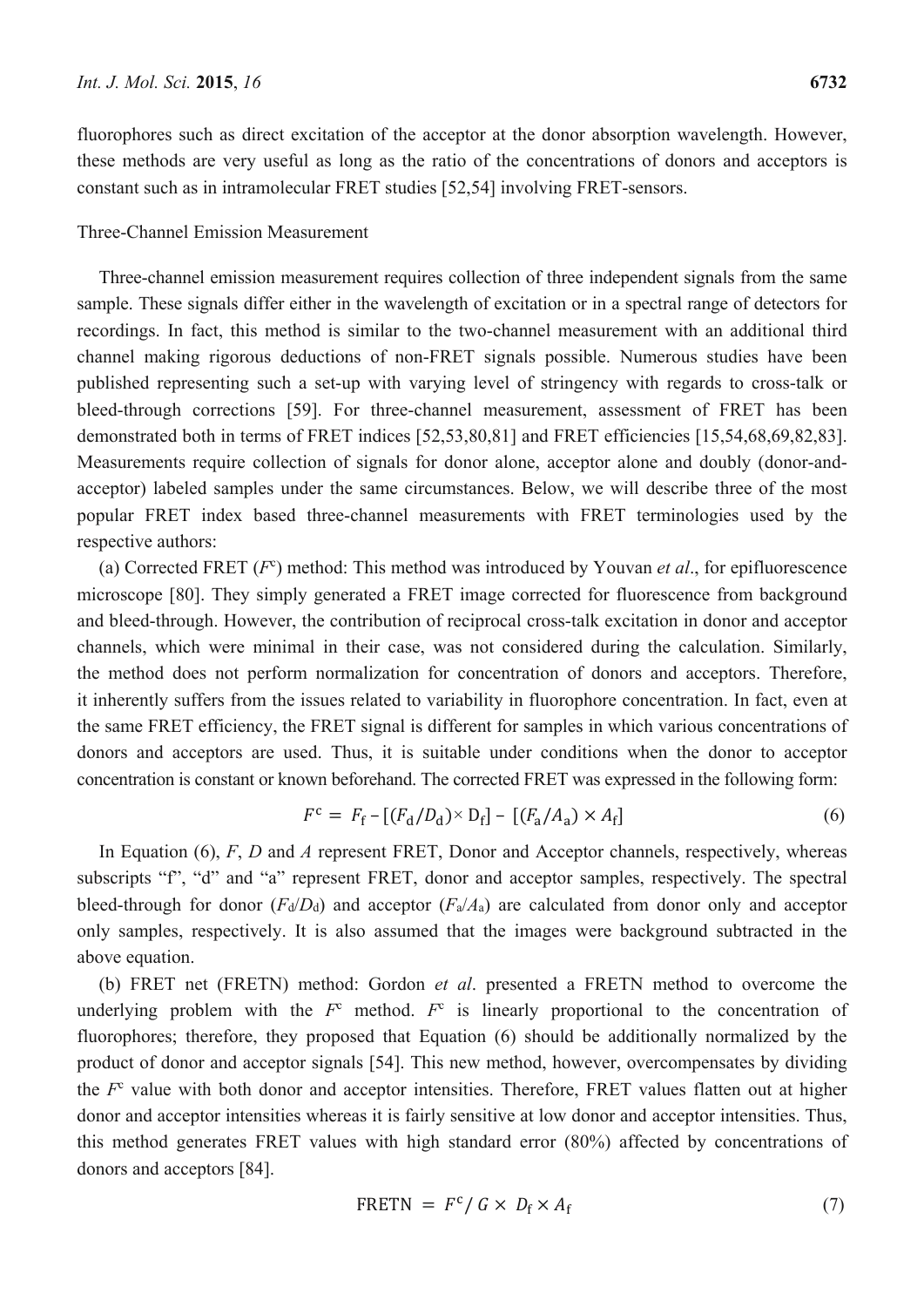fluorophores such as direct excitation of the acceptor at the donor absorption wavelength. However, these methods are very useful as long as the ratio of the concentrations of donors and acceptors is constant such as in intramolecular FRET studies [52,54] involving FRET-sensors.

## Three-Channel Emission Measurement

Three-channel emission measurement requires collection of three independent signals from the same sample. These signals differ either in the wavelength of excitation or in a spectral range of detectors for recordings. In fact, this method is similar to the two-channel measurement with an additional third channel making rigorous deductions of non-FRET signals possible. Numerous studies have been published representing such a set-up with varying level of stringency with regards to cross-talk or bleed-through corrections [59]. For three-channel measurement, assessment of FRET has been demonstrated both in terms of FRET indices [52,53,80,81] and FRET efficiencies [15,54,68,69,82,83]. Measurements require collection of signals for donor alone, acceptor alone and doubly (donor-andacceptor) labeled samples under the same circumstances. Below, we will describe three of the most popular FRET index based three-channel measurements with FRET terminologies used by the respective authors:

(a) Corrected FRET  $(F^c)$  method: This method was introduced by Youvan *et al.*, for epifluorescence microscope [80]. They simply generated a FRET image corrected for fluorescence from background and bleed-through. However, the contribution of reciprocal cross-talk excitation in donor and acceptor channels, which were minimal in their case, was not considered during the calculation. Similarly, the method does not perform normalization for concentration of donors and acceptors. Therefore, it inherently suffers from the issues related to variability in fluorophore concentration. In fact, even at the same FRET efficiency, the FRET signal is different for samples in which various concentrations of donors and acceptors are used. Thus, it is suitable under conditions when the donor to acceptor concentration is constant or known beforehand. The corrected FRET was expressed in the following form:

$$
F^{c} = F_{f} - [(F_{d}/D_{d}) \times D_{f}] - [(F_{a}/A_{a}) \times A_{f}] \tag{6}
$$

In Equation (6), *F*, *D* and *A* represent FRET, Donor and Acceptor channels, respectively, whereas subscripts "f", "d" and "a" represent FRET, donor and acceptor samples, respectively. The spectral bleed-through for donor  $(F_d/D_d)$  and acceptor  $(F_d/A_a)$  are calculated from donor only and acceptor only samples, respectively. It is also assumed that the images were background subtracted in the above equation.

(b) FRET net (FRETN) method: Gordon *et al*. presented a FRETN method to overcome the underlying problem with the  $F<sup>c</sup>$  method.  $F<sup>c</sup>$  is linearly proportional to the concentration of fluorophores; therefore, they proposed that Equation (6) should be additionally normalized by the product of donor and acceptor signals [54]. This new method, however, overcompensates by dividing the  $F<sup>c</sup>$  value with both donor and acceptor intensities. Therefore, FRET values flatten out at higher donor and acceptor intensities whereas it is fairly sensitive at low donor and acceptor intensities. Thus, this method generates FRET values with high standard error (80%) affected by concentrations of donors and acceptors [84].

$$
\text{FRETN} = F^c / G \times D_f \times A_f \tag{7}
$$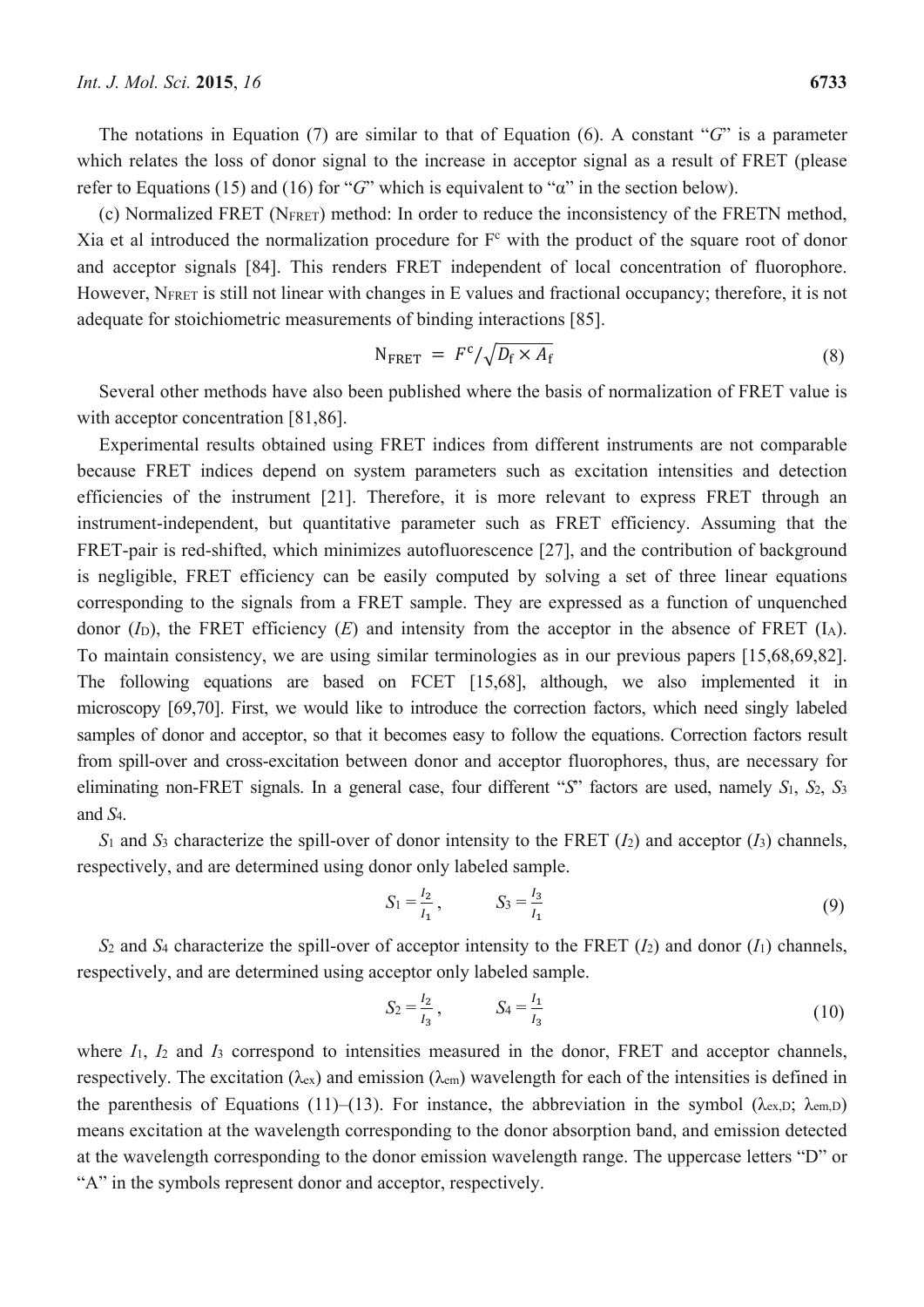The notations in Equation (7) are similar to that of Equation (6). A constant "*G*" is a parameter which relates the loss of donor signal to the increase in acceptor signal as a result of FRET (please refer to Equations (15) and (16) for "*G*" which is equivalent to "α" in the section below).

(c) Normalized FRET (NFRET) method: In order to reduce the inconsistency of the FRETN method, Xia et al introduced the normalization procedure for  $F<sup>c</sup>$  with the product of the square root of donor and acceptor signals [84]. This renders FRET independent of local concentration of fluorophore. However, N<sub>FRET</sub> is still not linear with changes in E values and fractional occupancy; therefore, it is not adequate for stoichiometric measurements of binding interactions [85].

$$
N_{FRET} = F^c / \sqrt{D_f \times A_f}
$$
 (8)

Several other methods have also been published where the basis of normalization of FRET value is with acceptor concentration [81,86].

Experimental results obtained using FRET indices from different instruments are not comparable because FRET indices depend on system parameters such as excitation intensities and detection efficiencies of the instrument [21]. Therefore, it is more relevant to express FRET through an instrument-independent, but quantitative parameter such as FRET efficiency. Assuming that the FRET-pair is red-shifted, which minimizes autofluorescence [27], and the contribution of background is negligible, FRET efficiency can be easily computed by solving a set of three linear equations corresponding to the signals from a FRET sample. They are expressed as a function of unquenched donor (*I*<sub>D</sub>), the FRET efficiency (*E*) and intensity from the acceptor in the absence of FRET (I<sub>A</sub>). To maintain consistency, we are using similar terminologies as in our previous papers [15,68,69,82]. The following equations are based on FCET [15,68], although, we also implemented it in microscopy [69,70]. First, we would like to introduce the correction factors, which need singly labeled samples of donor and acceptor, so that it becomes easy to follow the equations. Correction factors result from spill-over and cross-excitation between donor and acceptor fluorophores, thus, are necessary for eliminating non-FRET signals. In a general case, four different "*S*" factors are used, namely *S*1, *S*2, *S*3 and *S*4.

*S*1 and *S*3 characterize the spill-over of donor intensity to the FRET (*I*2) and acceptor (*I*3) channels, respectively, and are determined using donor only labeled sample.

$$
S_1 = \frac{I_2}{I_1}, \qquad S_3 = \frac{I_3}{I_1} \tag{9}
$$

*S*2 and *S*4 characterize the spill-over of acceptor intensity to the FRET (*I*2) and donor (*I*1) channels, respectively, and are determined using acceptor only labeled sample.

$$
S_2 = \frac{l_2}{l_3}, \qquad S_4 = \frac{l_1}{l_3} \tag{10}
$$

where  $I_1$ ,  $I_2$  and  $I_3$  correspond to intensities measured in the donor, FRET and acceptor channels, respectively. The excitation ( $\lambda_{ex}$ ) and emission ( $\lambda_{em}$ ) wavelength for each of the intensities is defined in the parenthesis of Equations (11)–(13). For instance, the abbreviation in the symbol ( $\lambda_{\text{ex},D}$ ;  $\lambda_{\text{em},D}$ ) means excitation at the wavelength corresponding to the donor absorption band, and emission detected at the wavelength corresponding to the donor emission wavelength range. The uppercase letters "D" or "A" in the symbols represent donor and acceptor, respectively.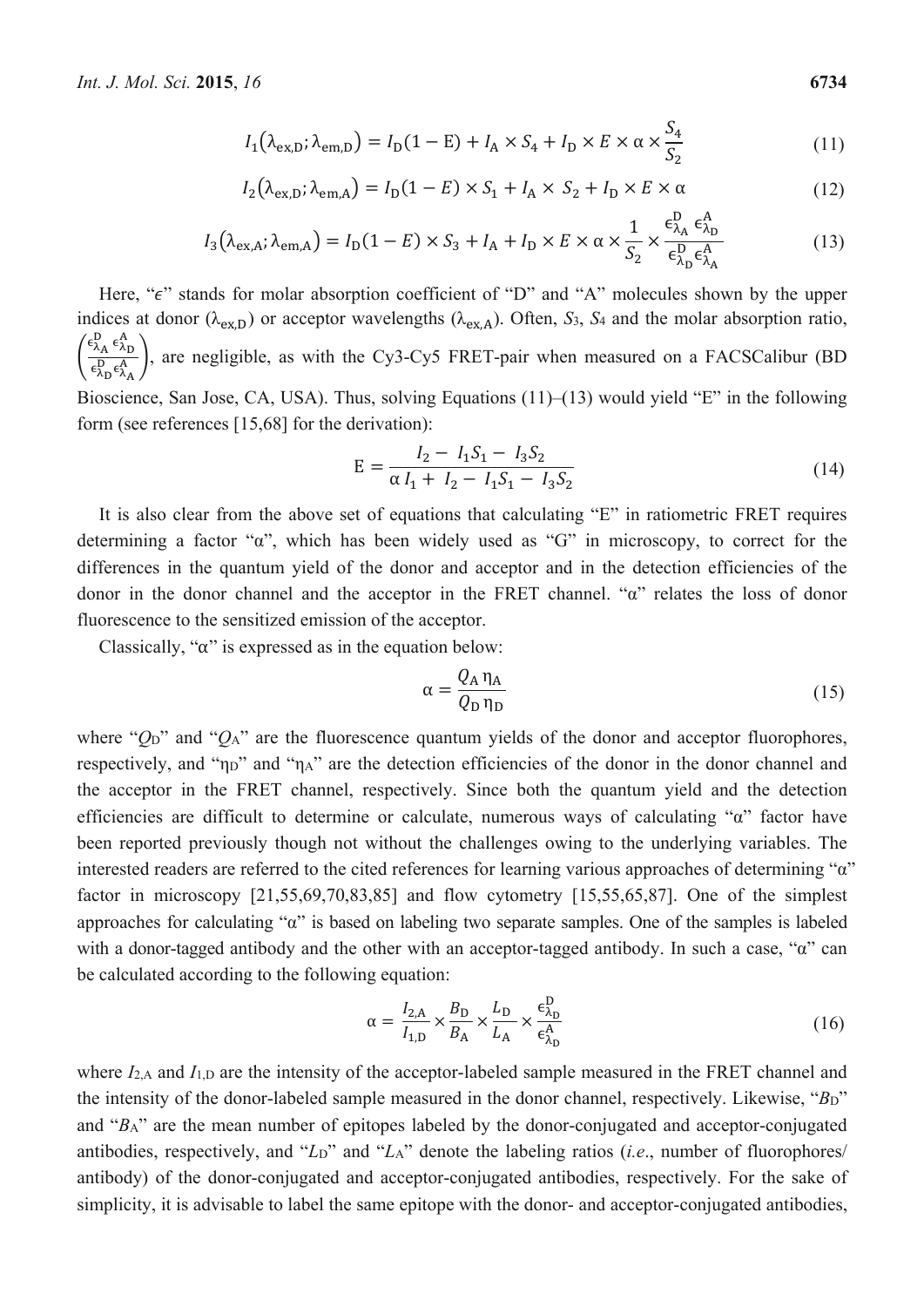$$
I_1(\lambda_{\text{ex},D}; \lambda_{\text{em},D}) = I_D(1 - E) + I_A \times S_4 + I_D \times E \times \alpha \times \frac{S_4}{S_2}
$$
(11)

$$
I_2(\lambda_{\text{ex,D}}; \lambda_{\text{em,A}}) = I_D(1 - E) \times S_1 + I_A \times S_2 + I_D \times E \times \alpha
$$
 (12)

$$
I_3(\lambda_{\text{ex},A}; \lambda_{\text{em},A}) = I_D(1 - E) \times S_3 + I_A + I_D \times E \times \alpha \times \frac{1}{S_2} \times \frac{\epsilon_{\lambda_A}^D \epsilon_{\lambda_D}^A}{\epsilon_{\lambda_D}^D \epsilon_{\lambda_A}^A}
$$
(13)

Here, " $\epsilon$ " stands for molar absorption coefficient of "D" and "A" molecules shown by the upper indices at donor ( $\lambda_{\text{ex},D}$ ) or acceptor wavelengths ( $\lambda_{\text{ex},A}$ ). Often, *S*<sub>3</sub>, *S*<sub>4</sub> and the molar absorption ratio,  $\int_{-D}^{\epsilon_{\lambda_A}^D \epsilon_{\lambda_D}^A}$  $\frac{L_{\rm A} L_{\rm D}}{E_{\rm A} L_{\rm B} A}$ , are negligible, as with the Cy3-Cy5 FRET-pair when measured on a FACSCalibur (BD Bioscience, San Jose, CA, USA). Thus, solving Equations (11)–(13) would yield "E" in the following form (see references [15,68] for the derivation):

$$
E = \frac{I_2 - I_1 S_1 - I_3 S_2}{\alpha I_1 + I_2 - I_1 S_1 - I_3 S_2}
$$
(14)

 $\mathbf{D}$ 

It is also clear from the above set of equations that calculating "E" in ratiometric FRET requires determining a factor "α", which has been widely used as "G" in microscopy, to correct for the differences in the quantum yield of the donor and acceptor and in the detection efficiencies of the donor in the donor channel and the acceptor in the FRET channel. "α" relates the loss of donor fluorescence to the sensitized emission of the acceptor.

Classically, " $\alpha$ " is expressed as in the equation below:

$$
\alpha = \frac{Q_A \eta_A}{Q_D \eta_D} \tag{15}
$$

where " $Q_D$ " and " $Q_A$ " are the fluorescence quantum yields of the donor and acceptor fluorophores, respectively, and "η<sub>D</sub>" and "η<sub>A</sub>" are the detection efficiencies of the donor in the donor channel and the acceptor in the FRET channel, respectively. Since both the quantum yield and the detection efficiencies are difficult to determine or calculate, numerous ways of calculating "α" factor have been reported previously though not without the challenges owing to the underlying variables. The interested readers are referred to the cited references for learning various approaches of determining "α" factor in microscopy [21,55,69,70,83,85] and flow cytometry [15,55,65,87]. One of the simplest approaches for calculating "α" is based on labeling two separate samples. One of the samples is labeled with a donor-tagged antibody and the other with an acceptor-tagged antibody. In such a case, "α" can be calculated according to the following equation:

$$
\alpha = \frac{I_{2,A}}{I_{1,D}} \times \frac{B_{\rm D}}{B_{\rm A}} \times \frac{L_{\rm D}}{L_{\rm A}} \times \frac{\epsilon_{\lambda_{\rm D}}^{\rm D}}{\epsilon_{\lambda_{\rm D}}^{\rm A}}
$$
(16)

where  $I_{2,A}$  and  $I_{1,D}$  are the intensity of the acceptor-labeled sample measured in the FRET channel and the intensity of the donor-labeled sample measured in the donor channel, respectively. Likewise, "*B*D" and "*B*A" are the mean number of epitopes labeled by the donor-conjugated and acceptor-conjugated antibodies, respectively, and "*L*<sub>D</sub>" and "*L*<sub>A</sub>" denote the labeling ratios (*i.e.*, number of fluorophores/ antibody) of the donor-conjugated and acceptor-conjugated antibodies, respectively. For the sake of simplicity, it is advisable to label the same epitope with the donor- and acceptor-conjugated antibodies,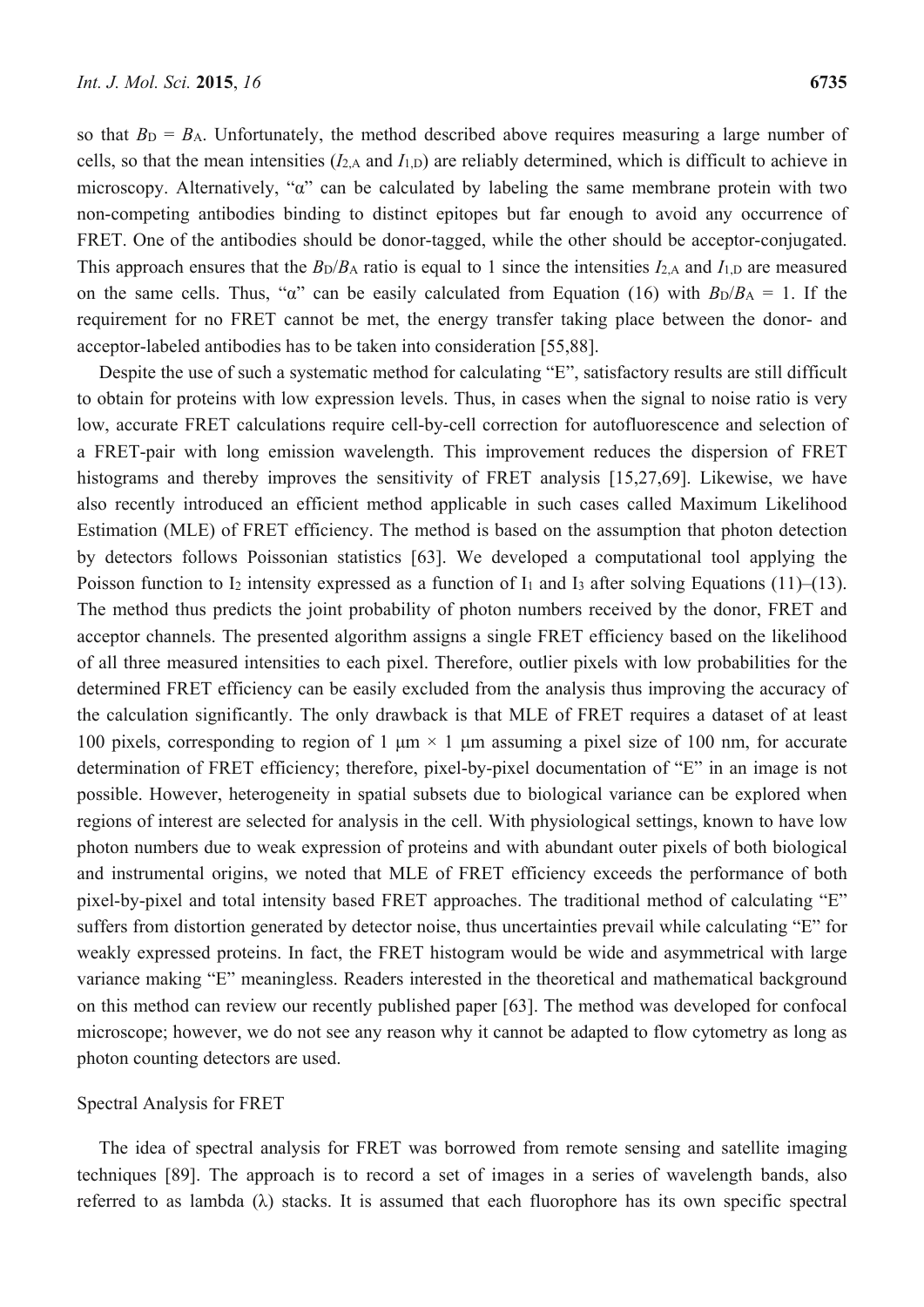so that  $B_D = B_A$ . Unfortunately, the method described above requires measuring a large number of cells, so that the mean intensities  $(I_{2,A}$  and  $I_{1,D}$ ) are reliably determined, which is difficult to achieve in microscopy. Alternatively, "α" can be calculated by labeling the same membrane protein with two non-competing antibodies binding to distinct epitopes but far enough to avoid any occurrence of FRET. One of the antibodies should be donor-tagged, while the other should be acceptor-conjugated. This approach ensures that the  $B_D/B_A$  ratio is equal to 1 since the intensities  $I_{2,A}$  and  $I_{1,D}$  are measured on the same cells. Thus, " $\alpha$ " can be easily calculated from Equation (16) with  $B_D/B_A = 1$ . If the requirement for no FRET cannot be met, the energy transfer taking place between the donor- and acceptor-labeled antibodies has to be taken into consideration [55,88].

Despite the use of such a systematic method for calculating "E", satisfactory results are still difficult to obtain for proteins with low expression levels. Thus, in cases when the signal to noise ratio is very low, accurate FRET calculations require cell-by-cell correction for autofluorescence and selection of a FRET-pair with long emission wavelength. This improvement reduces the dispersion of FRET histograms and thereby improves the sensitivity of FRET analysis [15,27,69]. Likewise, we have also recently introduced an efficient method applicable in such cases called Maximum Likelihood Estimation (MLE) of FRET efficiency. The method is based on the assumption that photon detection by detectors follows Poissonian statistics [63]. We developed a computational tool applying the Poisson function to I<sub>2</sub> intensity expressed as a function of I<sub>1</sub> and I<sub>3</sub> after solving Equations (11)–(13). The method thus predicts the joint probability of photon numbers received by the donor, FRET and acceptor channels. The presented algorithm assigns a single FRET efficiency based on the likelihood of all three measured intensities to each pixel. Therefore, outlier pixels with low probabilities for the determined FRET efficiency can be easily excluded from the analysis thus improving the accuracy of the calculation significantly. The only drawback is that MLE of FRET requires a dataset of at least 100 pixels, corresponding to region of 1  $\mu$ m  $\times$  1  $\mu$ m assuming a pixel size of 100 nm, for accurate determination of FRET efficiency; therefore, pixel-by-pixel documentation of "E" in an image is not possible. However, heterogeneity in spatial subsets due to biological variance can be explored when regions of interest are selected for analysis in the cell. With physiological settings, known to have low photon numbers due to weak expression of proteins and with abundant outer pixels of both biological and instrumental origins, we noted that MLE of FRET efficiency exceeds the performance of both pixel-by-pixel and total intensity based FRET approaches. The traditional method of calculating "E" suffers from distortion generated by detector noise, thus uncertainties prevail while calculating "E" for weakly expressed proteins. In fact, the FRET histogram would be wide and asymmetrical with large variance making "E" meaningless. Readers interested in the theoretical and mathematical background on this method can review our recently published paper [63]. The method was developed for confocal microscope; however, we do not see any reason why it cannot be adapted to flow cytometry as long as photon counting detectors are used.

#### Spectral Analysis for FRET

The idea of spectral analysis for FRET was borrowed from remote sensing and satellite imaging techniques [89]. The approach is to record a set of images in a series of wavelength bands, also referred to as lambda  $(\lambda)$  stacks. It is assumed that each fluorophore has its own specific spectral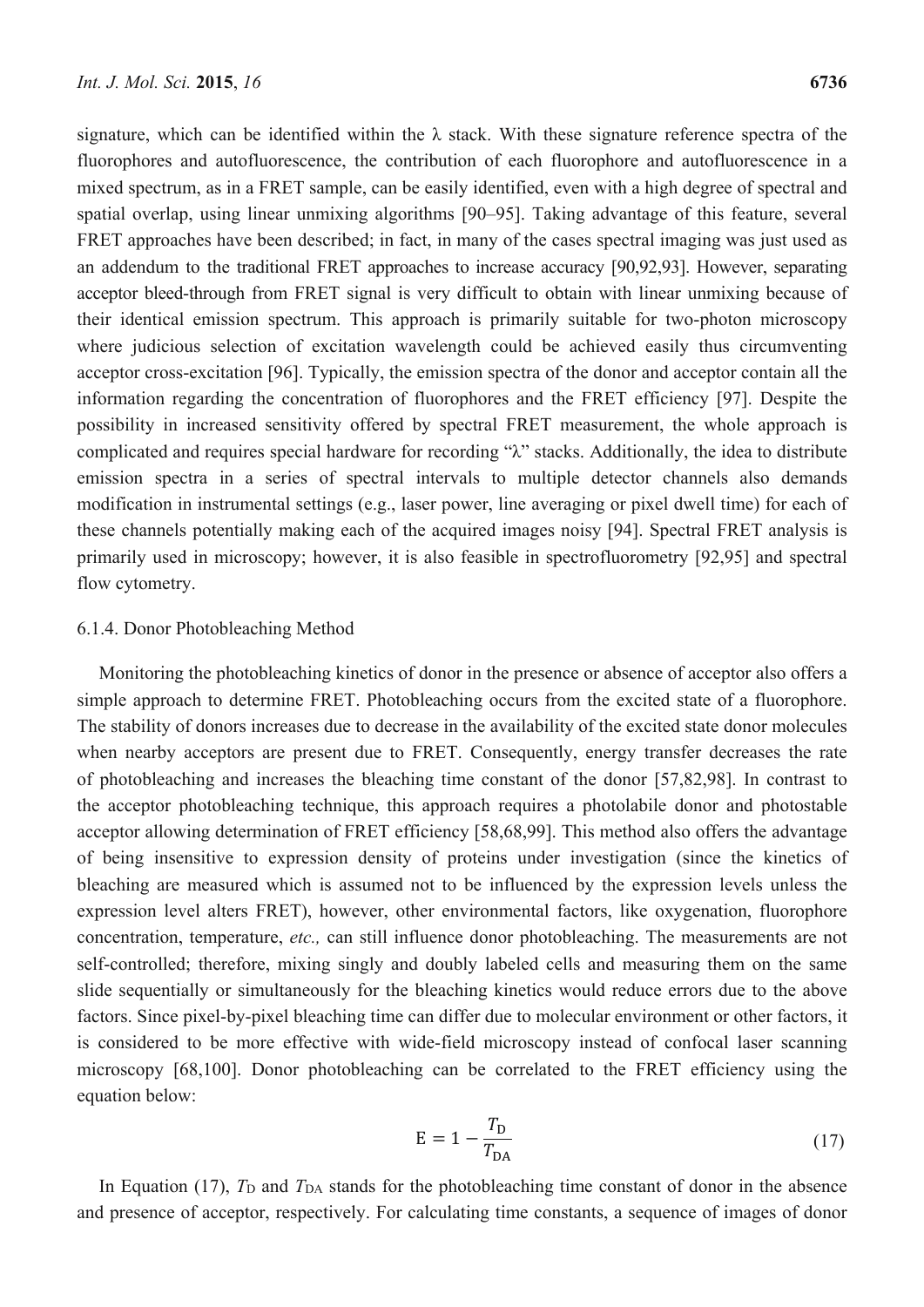signature, which can be identified within the  $\lambda$  stack. With these signature reference spectra of the fluorophores and autofluorescence, the contribution of each fluorophore and autofluorescence in a mixed spectrum, as in a FRET sample, can be easily identified, even with a high degree of spectral and spatial overlap, using linear unmixing algorithms [90–95]. Taking advantage of this feature, several FRET approaches have been described; in fact, in many of the cases spectral imaging was just used as an addendum to the traditional FRET approaches to increase accuracy [90,92,93]. However, separating acceptor bleed-through from FRET signal is very difficult to obtain with linear unmixing because of their identical emission spectrum. This approach is primarily suitable for two-photon microscopy where judicious selection of excitation wavelength could be achieved easily thus circumventing acceptor cross-excitation [96]. Typically, the emission spectra of the donor and acceptor contain all the information regarding the concentration of fluorophores and the FRET efficiency [97]. Despite the possibility in increased sensitivity offered by spectral FRET measurement, the whole approach is complicated and requires special hardware for recording "λ" stacks. Additionally, the idea to distribute emission spectra in a series of spectral intervals to multiple detector channels also demands modification in instrumental settings (e.g., laser power, line averaging or pixel dwell time) for each of these channels potentially making each of the acquired images noisy [94]. Spectral FRET analysis is primarily used in microscopy; however, it is also feasible in spectrofluorometry [92,95] and spectral flow cytometry.

#### 6.1.4. Donor Photobleaching Method

Monitoring the photobleaching kinetics of donor in the presence or absence of acceptor also offers a simple approach to determine FRET. Photobleaching occurs from the excited state of a fluorophore. The stability of donors increases due to decrease in the availability of the excited state donor molecules when nearby acceptors are present due to FRET. Consequently, energy transfer decreases the rate of photobleaching and increases the bleaching time constant of the donor [57,82,98]. In contrast to the acceptor photobleaching technique, this approach requires a photolabile donor and photostable acceptor allowing determination of FRET efficiency [58,68,99]. This method also offers the advantage of being insensitive to expression density of proteins under investigation (since the kinetics of bleaching are measured which is assumed not to be influenced by the expression levels unless the expression level alters FRET), however, other environmental factors, like oxygenation, fluorophore concentration, temperature, *etc.,* can still influence donor photobleaching. The measurements are not self-controlled; therefore, mixing singly and doubly labeled cells and measuring them on the same slide sequentially or simultaneously for the bleaching kinetics would reduce errors due to the above factors. Since pixel-by-pixel bleaching time can differ due to molecular environment or other factors, it is considered to be more effective with wide-field microscopy instead of confocal laser scanning microscopy [68,100]. Donor photobleaching can be correlated to the FRET efficiency using the equation below:

$$
E = 1 - \frac{T_D}{T_{DA}}\tag{17}
$$

In Equation (17), *T*<sub>D</sub> and *T*<sub>DA</sub> stands for the photobleaching time constant of donor in the absence and presence of acceptor, respectively. For calculating time constants, a sequence of images of donor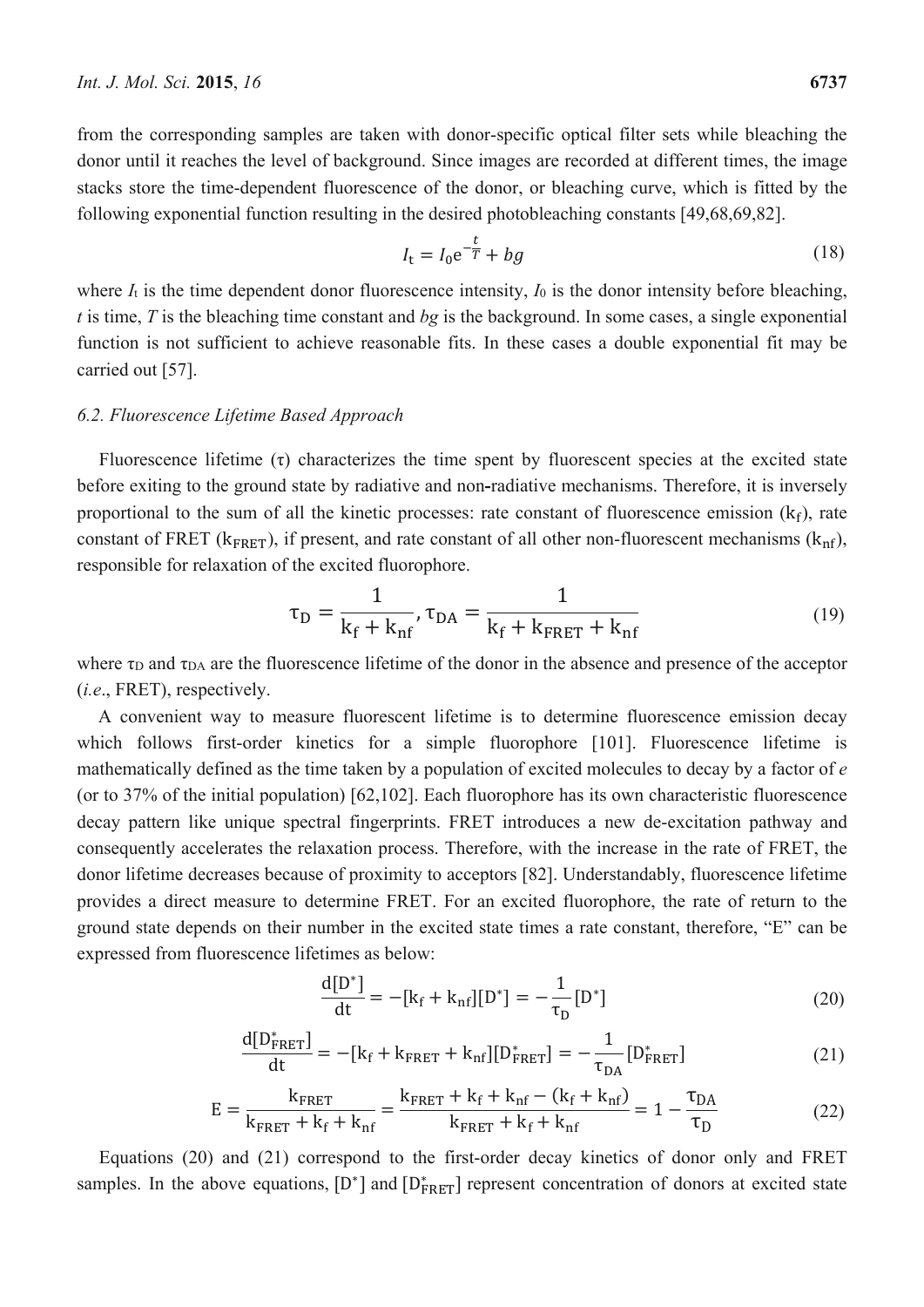from the corresponding samples are taken with donor-specific optical filter sets while bleaching the donor until it reaches the level of background. Since images are recorded at different times, the image stacks store the time-dependent fluorescence of the donor, or bleaching curve, which is fitted by the following exponential function resulting in the desired photobleaching constants [49,68,69,82].

$$
I_{t} = I_{0}e^{-\frac{t}{T}} + bg \tag{18}
$$

where *I*<sub>t</sub> is the time dependent donor fluorescence intensity, *I*<sub>0</sub> is the donor intensity before bleaching, *t* is time, *T* is the bleaching time constant and *bg* is the background. In some cases, a single exponential function is not sufficient to achieve reasonable fits. In these cases a double exponential fit may be carried out [57].

## *6.2. Fluorescence Lifetime Based Approach*

Fluorescence lifetime  $(\tau)$  characterizes the time spent by fluorescent species at the excited state before exiting to the ground state by radiative and non**-**radiative mechanisms. Therefore, it is inversely proportional to the sum of all the kinetic processes: rate constant of fluorescence emission  $(k_f)$ , rate constant of FRET ( $k_{\text{FRFT}}$ ), if present, and rate constant of all other non-fluorescent mechanisms ( $k_{\text{nf}}$ ), responsible for relaxation of the excited fluorophore.

$$
\tau_{\rm D} = \frac{1}{k_{\rm f} + k_{\rm nf}}, \tau_{\rm DA} = \frac{1}{k_{\rm f} + k_{\rm FRET} + k_{\rm nf}} \tag{19}
$$

where τ<sub>D</sub> and τ<sub>DA</sub> are the fluorescence lifetime of the donor in the absence and presence of the acceptor (*i.e*., FRET), respectively.

A convenient way to measure fluorescent lifetime is to determine fluorescence emission decay which follows first-order kinetics for a simple fluorophore [101]. Fluorescence lifetime is mathematically defined as the time taken by a population of excited molecules to decay by a factor of *e* (or to 37% of the initial population) [62,102]. Each fluorophore has its own characteristic fluorescence decay pattern like unique spectral fingerprints. FRET introduces a new de-excitation pathway and consequently accelerates the relaxation process. Therefore, with the increase in the rate of FRET, the donor lifetime decreases because of proximity to acceptors [82]. Understandably, fluorescence lifetime provides a direct measure to determine FRET. For an excited fluorophore, the rate of return to the ground state depends on their number in the excited state times a rate constant, therefore, "E" can be expressed from fluorescence lifetimes as below:

$$
\frac{d[D^*]}{dt} = -[k_f + k_{nf}][D^*] = -\frac{1}{\tau_D}[D^*]
$$
\n(20)

$$
\frac{\mathrm{d}[D_{\text{FRET}}^*]}{\mathrm{dt}} = -[\mathbf{k}_\text{f} + \mathbf{k}_{\text{FRET}} + \mathbf{k}_{\text{nf}}][D_{\text{FRET}}^*] = -\frac{1}{\tau_{\text{DA}}} [D_{\text{FRET}}^*]
$$
(21)

$$
E = \frac{k_{FRET}}{k_{FRET} + k_f + k_{nf}} = \frac{k_{FRET} + k_f + k_{nf} - (k_f + k_{nf})}{k_{FRET} + k_f + k_{nf}} = 1 - \frac{\tau_{DA}}{\tau_D}
$$
(22)

Equations (20) and (21) correspond to the first-order decay kinetics of donor only and FRET samples. In the above equations,  $[D^*]$  and  $[D^*_{FRET}]$  represent concentration of donors at excited state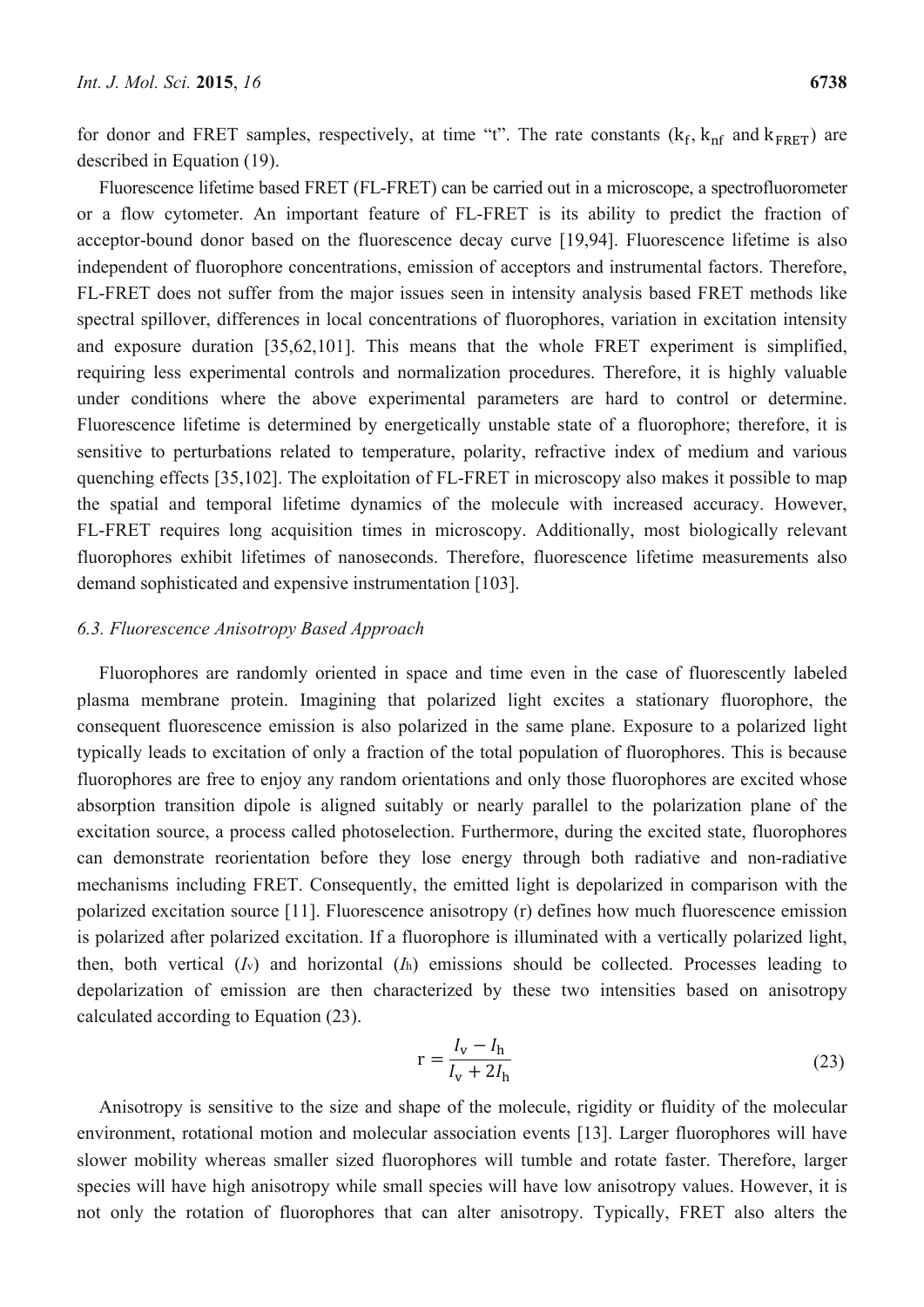for donor and FRET samples, respectively, at time "t". The rate constants  $(k_f, k_{nf}$  and  $k_{FRET}$ ) are described in Equation (19).

Fluorescence lifetime based FRET (FL-FRET) can be carried out in a microscope, a spectrofluorometer or a flow cytometer. An important feature of FL-FRET is its ability to predict the fraction of acceptor-bound donor based on the fluorescence decay curve [19,94]. Fluorescence lifetime is also independent of fluorophore concentrations, emission of acceptors and instrumental factors. Therefore, FL-FRET does not suffer from the major issues seen in intensity analysis based FRET methods like spectral spillover, differences in local concentrations of fluorophores, variation in excitation intensity and exposure duration [35,62,101]. This means that the whole FRET experiment is simplified, requiring less experimental controls and normalization procedures. Therefore, it is highly valuable under conditions where the above experimental parameters are hard to control or determine. Fluorescence lifetime is determined by energetically unstable state of a fluorophore; therefore, it is sensitive to perturbations related to temperature, polarity, refractive index of medium and various quenching effects [35,102]. The exploitation of FL-FRET in microscopy also makes it possible to map the spatial and temporal lifetime dynamics of the molecule with increased accuracy. However, FL-FRET requires long acquisition times in microscopy. Additionally, most biologically relevant fluorophores exhibit lifetimes of nanoseconds. Therefore, fluorescence lifetime measurements also demand sophisticated and expensive instrumentation [103].

## *6.3. Fluorescence Anisotropy Based Approach*

Fluorophores are randomly oriented in space and time even in the case of fluorescently labeled plasma membrane protein. Imagining that polarized light excites a stationary fluorophore, the consequent fluorescence emission is also polarized in the same plane. Exposure to a polarized light typically leads to excitation of only a fraction of the total population of fluorophores. This is because fluorophores are free to enjoy any random orientations and only those fluorophores are excited whose absorption transition dipole is aligned suitably or nearly parallel to the polarization plane of the excitation source, a process called photoselection. Furthermore, during the excited state, fluorophores can demonstrate reorientation before they lose energy through both radiative and non-radiative mechanisms including FRET. Consequently, the emitted light is depolarized in comparison with the polarized excitation source [11]. Fluorescence anisotropy (r) defines how much fluorescence emission is polarized after polarized excitation. If a fluorophore is illuminated with a vertically polarized light, then, both vertical (*I*v) and horizontal (*I*h) emissions should be collected. Processes leading to depolarization of emission are then characterized by these two intensities based on anisotropy calculated according to Equation (23).

$$
r = \frac{I_v - I_h}{I_v + 2I_h} \tag{23}
$$

Anisotropy is sensitive to the size and shape of the molecule, rigidity or fluidity of the molecular environment, rotational motion and molecular association events [13]. Larger fluorophores will have slower mobility whereas smaller sized fluorophores will tumble and rotate faster. Therefore, larger species will have high anisotropy while small species will have low anisotropy values. However, it is not only the rotation of fluorophores that can alter anisotropy. Typically, FRET also alters the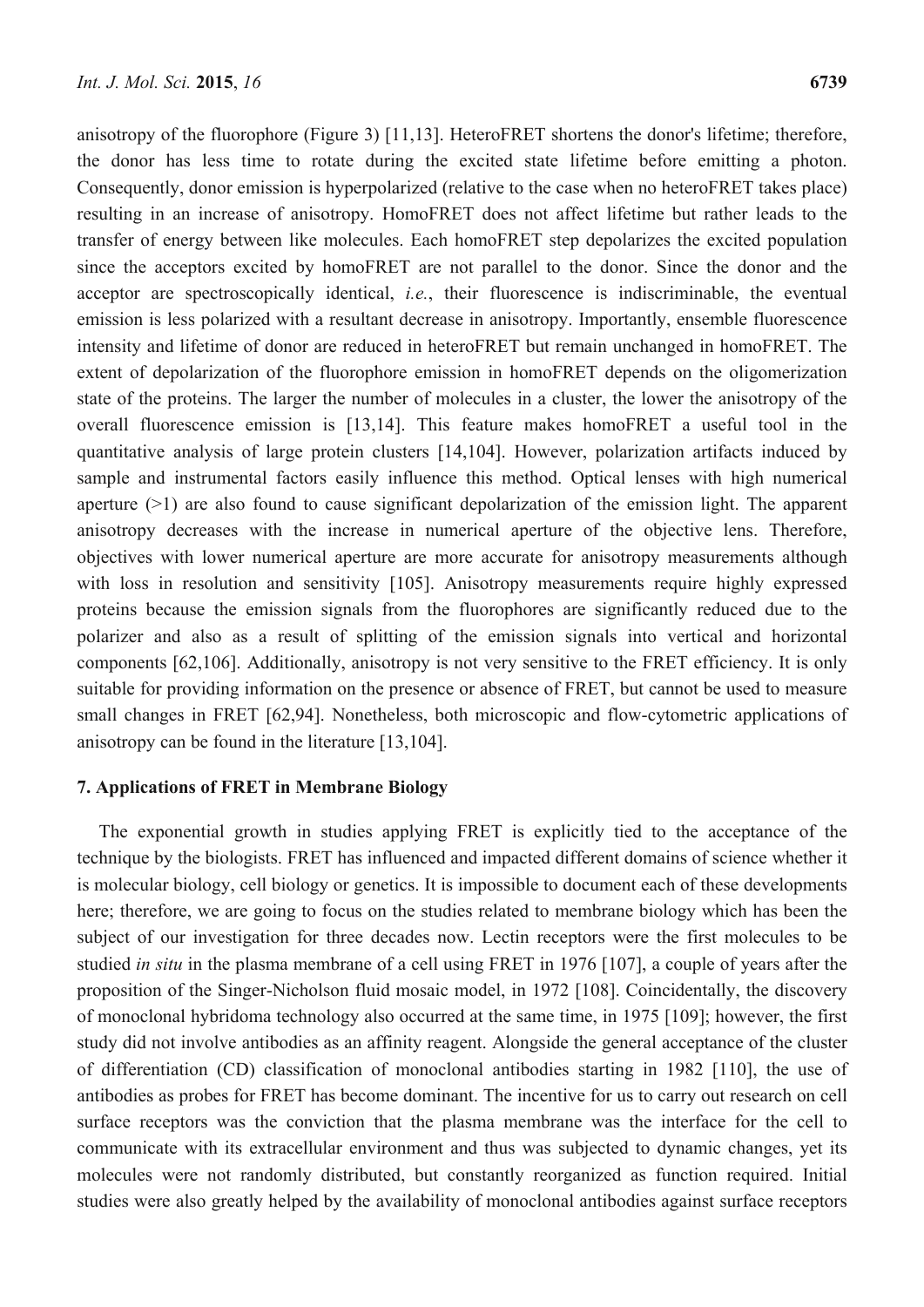anisotropy of the fluorophore (Figure 3) [11,13]. HeteroFRET shortens the donor's lifetime; therefore, the donor has less time to rotate during the excited state lifetime before emitting a photon. Consequently, donor emission is hyperpolarized (relative to the case when no heteroFRET takes place) resulting in an increase of anisotropy. HomoFRET does not affect lifetime but rather leads to the transfer of energy between like molecules. Each homoFRET step depolarizes the excited population since the acceptors excited by homoFRET are not parallel to the donor. Since the donor and the acceptor are spectroscopically identical, *i.e.*, their fluorescence is indiscriminable, the eventual emission is less polarized with a resultant decrease in anisotropy. Importantly, ensemble fluorescence intensity and lifetime of donor are reduced in heteroFRET but remain unchanged in homoFRET. The extent of depolarization of the fluorophore emission in homoFRET depends on the oligomerization state of the proteins. The larger the number of molecules in a cluster, the lower the anisotropy of the overall fluorescence emission is [13,14]. This feature makes homoFRET a useful tool in the quantitative analysis of large protein clusters [14,104]. However, polarization artifacts induced by sample and instrumental factors easily influence this method. Optical lenses with high numerical aperture (>1) are also found to cause significant depolarization of the emission light. The apparent anisotropy decreases with the increase in numerical aperture of the objective lens. Therefore, objectives with lower numerical aperture are more accurate for anisotropy measurements although with loss in resolution and sensitivity [105]. Anisotropy measurements require highly expressed proteins because the emission signals from the fluorophores are significantly reduced due to the polarizer and also as a result of splitting of the emission signals into vertical and horizontal components [62,106]. Additionally, anisotropy is not very sensitive to the FRET efficiency. It is only suitable for providing information on the presence or absence of FRET, but cannot be used to measure small changes in FRET [62,94]. Nonetheless, both microscopic and flow-cytometric applications of anisotropy can be found in the literature [13,104].

## **7. Applications of FRET in Membrane Biology**

The exponential growth in studies applying FRET is explicitly tied to the acceptance of the technique by the biologists. FRET has influenced and impacted different domains of science whether it is molecular biology, cell biology or genetics. It is impossible to document each of these developments here; therefore, we are going to focus on the studies related to membrane biology which has been the subject of our investigation for three decades now. Lectin receptors were the first molecules to be studied *in situ* in the plasma membrane of a cell using FRET in 1976 [107], a couple of years after the proposition of the Singer-Nicholson fluid mosaic model, in 1972 [108]. Coincidentally, the discovery of monoclonal hybridoma technology also occurred at the same time, in 1975 [109]; however, the first study did not involve antibodies as an affinity reagent. Alongside the general acceptance of the cluster of differentiation (CD) classification of monoclonal antibodies starting in 1982 [110], the use of antibodies as probes for FRET has become dominant. The incentive for us to carry out research on cell surface receptors was the conviction that the plasma membrane was the interface for the cell to communicate with its extracellular environment and thus was subjected to dynamic changes, yet its molecules were not randomly distributed, but constantly reorganized as function required. Initial studies were also greatly helped by the availability of monoclonal antibodies against surface receptors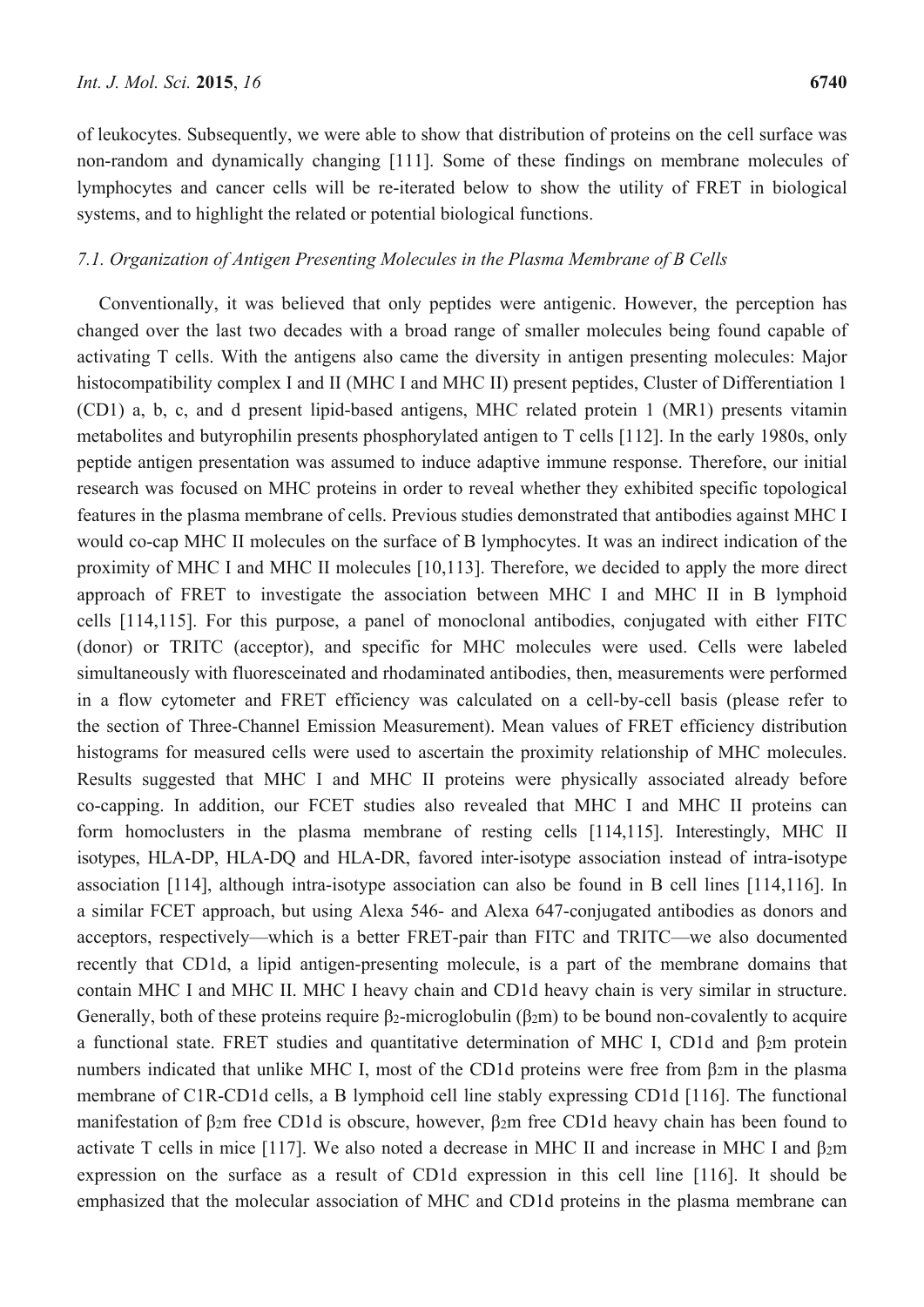of leukocytes. Subsequently, we were able to show that distribution of proteins on the cell surface was non-random and dynamically changing [111]. Some of these findings on membrane molecules of lymphocytes and cancer cells will be re-iterated below to show the utility of FRET in biological systems, and to highlight the related or potential biological functions.

#### *7.1. Organization of Antigen Presenting Molecules in the Plasma Membrane of B Cells*

Conventionally, it was believed that only peptides were antigenic. However, the perception has changed over the last two decades with a broad range of smaller molecules being found capable of activating T cells. With the antigens also came the diversity in antigen presenting molecules: Major histocompatibility complex I and II (MHC I and MHC II) present peptides, Cluster of Differentiation 1 (CD1) a, b, c, and d present lipid-based antigens, MHC related protein 1 (MR1) presents vitamin metabolites and butyrophilin presents phosphorylated antigen to T cells [112]. In the early 1980s, only peptide antigen presentation was assumed to induce adaptive immune response. Therefore, our initial research was focused on MHC proteins in order to reveal whether they exhibited specific topological features in the plasma membrane of cells. Previous studies demonstrated that antibodies against MHC I would co-cap MHC II molecules on the surface of B lymphocytes. It was an indirect indication of the proximity of MHC I and MHC II molecules [10,113]. Therefore, we decided to apply the more direct approach of FRET to investigate the association between MHC I and MHC II in B lymphoid cells [114,115]. For this purpose, a panel of monoclonal antibodies, conjugated with either FITC (donor) or TRITC (acceptor), and specific for MHC molecules were used. Cells were labeled simultaneously with fluoresceinated and rhodaminated antibodies, then, measurements were performed in a flow cytometer and FRET efficiency was calculated on a cell-by-cell basis (please refer to the section of Three-Channel Emission Measurement). Mean values of FRET efficiency distribution histograms for measured cells were used to ascertain the proximity relationship of MHC molecules. Results suggested that MHC I and MHC II proteins were physically associated already before co-capping. In addition, our FCET studies also revealed that MHC I and MHC II proteins can form homoclusters in the plasma membrane of resting cells [114,115]. Interestingly, MHC II isotypes, HLA-DP, HLA-DQ and HLA-DR, favored inter-isotype association instead of intra-isotype association [114], although intra-isotype association can also be found in B cell lines [114,116]. In a similar FCET approach, but using Alexa 546- and Alexa 647-conjugated antibodies as donors and acceptors, respectively—which is a better FRET-pair than FITC and TRITC—we also documented recently that CD1d, a lipid antigen-presenting molecule, is a part of the membrane domains that contain MHC I and MHC II. MHC I heavy chain and CD1d heavy chain is very similar in structure. Generally, both of these proteins require  $\beta_2$ -microglobulin ( $\beta_2$ m) to be bound non-covalently to acquire a functional state. FRET studies and quantitative determination of MHC I, CD1d and β2m protein numbers indicated that unlike MHC I, most of the CD1d proteins were free from β2m in the plasma membrane of C1R-CD1d cells, a B lymphoid cell line stably expressing CD1d [116]. The functional manifestation of β2m free CD1d is obscure, however, β2m free CD1d heavy chain has been found to activate T cells in mice [117]. We also noted a decrease in MHC II and increase in MHC I and β2m expression on the surface as a result of CD1d expression in this cell line [116]. It should be emphasized that the molecular association of MHC and CD1d proteins in the plasma membrane can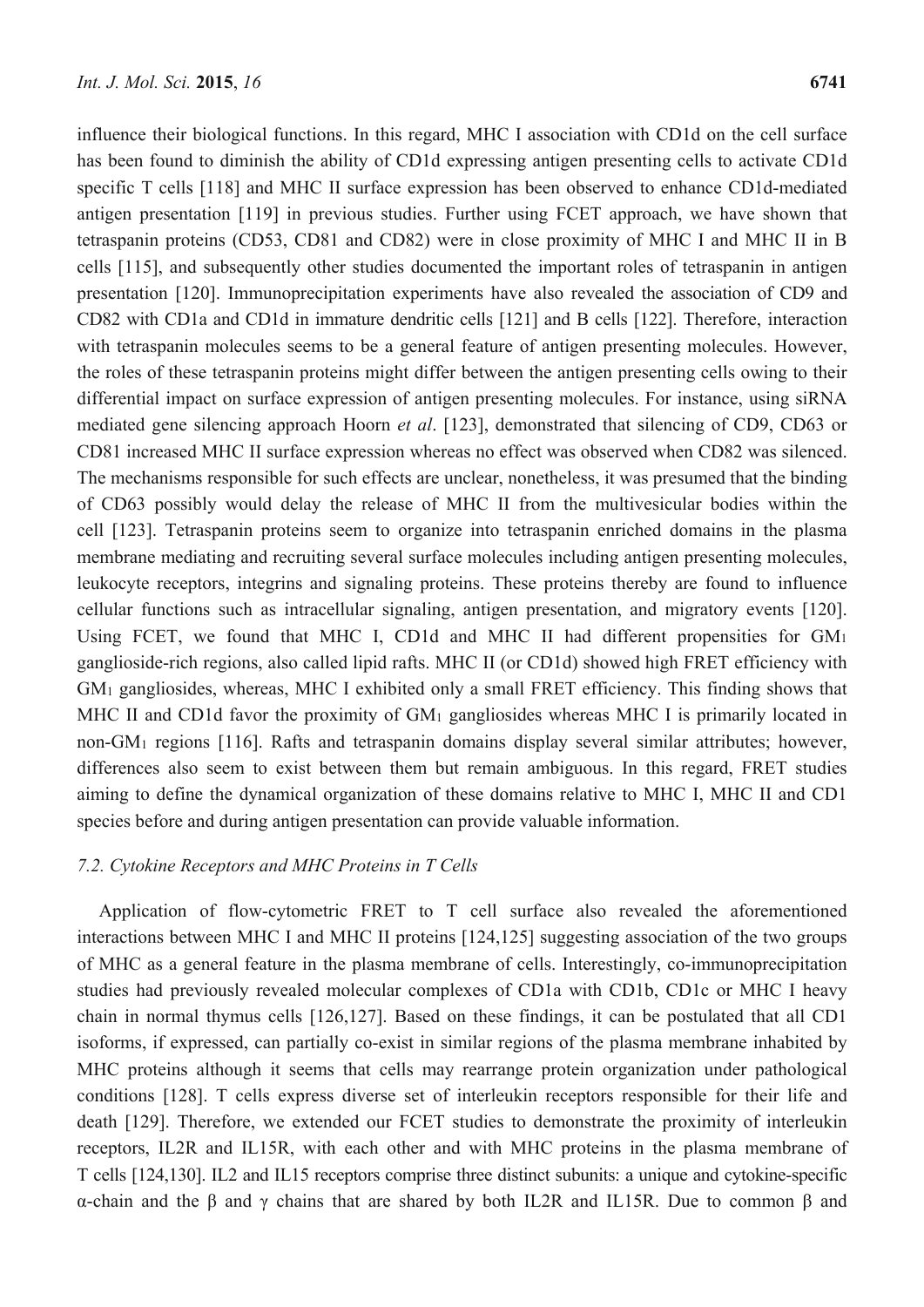influence their biological functions. In this regard, MHC I association with CD1d on the cell surface has been found to diminish the ability of CD1d expressing antigen presenting cells to activate CD1d specific T cells [118] and MHC II surface expression has been observed to enhance CD1d-mediated antigen presentation [119] in previous studies. Further using FCET approach, we have shown that tetraspanin proteins (CD53, CD81 and CD82) were in close proximity of MHC I and MHC II in B cells [115], and subsequently other studies documented the important roles of tetraspanin in antigen presentation [120]. Immunoprecipitation experiments have also revealed the association of CD9 and CD82 with CD1a and CD1d in immature dendritic cells [121] and B cells [122]. Therefore, interaction with tetraspanin molecules seems to be a general feature of antigen presenting molecules. However, the roles of these tetraspanin proteins might differ between the antigen presenting cells owing to their differential impact on surface expression of antigen presenting molecules. For instance, using siRNA mediated gene silencing approach Hoorn *et al*. [123], demonstrated that silencing of CD9, CD63 or CD81 increased MHC II surface expression whereas no effect was observed when CD82 was silenced. The mechanisms responsible for such effects are unclear, nonetheless, it was presumed that the binding of CD63 possibly would delay the release of MHC II from the multivesicular bodies within the cell [123]. Tetraspanin proteins seem to organize into tetraspanin enriched domains in the plasma membrane mediating and recruiting several surface molecules including antigen presenting molecules, leukocyte receptors, integrins and signaling proteins. These proteins thereby are found to influence cellular functions such as intracellular signaling, antigen presentation, and migratory events [120]. Using FCET, we found that MHC I, CD1d and MHC II had different propensities for GM1 ganglioside-rich regions, also called lipid rafts. MHC II (or CD1d) showed high FRET efficiency with GM1 gangliosides, whereas, MHC I exhibited only a small FRET efficiency. This finding shows that MHC II and CD1d favor the proximity of GM<sub>1</sub> gangliosides whereas MHC I is primarily located in non-GM1 regions [116]. Rafts and tetraspanin domains display several similar attributes; however, differences also seem to exist between them but remain ambiguous. In this regard, FRET studies aiming to define the dynamical organization of these domains relative to MHC I, MHC II and CD1 species before and during antigen presentation can provide valuable information.

## *7.2. Cytokine Receptors and MHC Proteins in T Cells*

Application of flow-cytometric FRET to T cell surface also revealed the aforementioned interactions between MHC I and MHC II proteins [124,125] suggesting association of the two groups of MHC as a general feature in the plasma membrane of cells. Interestingly, co-immunoprecipitation studies had previously revealed molecular complexes of CD1a with CD1b, CD1c or MHC I heavy chain in normal thymus cells [126,127]. Based on these findings, it can be postulated that all CD1 isoforms, if expressed, can partially co-exist in similar regions of the plasma membrane inhabited by MHC proteins although it seems that cells may rearrange protein organization under pathological conditions [128]. T cells express diverse set of interleukin receptors responsible for their life and death [129]. Therefore, we extended our FCET studies to demonstrate the proximity of interleukin receptors, IL2R and IL15R, with each other and with MHC proteins in the plasma membrane of T cells [124,130]. IL2 and IL15 receptors comprise three distinct subunits: a unique and cytokine-specific α-chain and the β and γ chains that are shared by both IL2R and IL15R. Due to common β and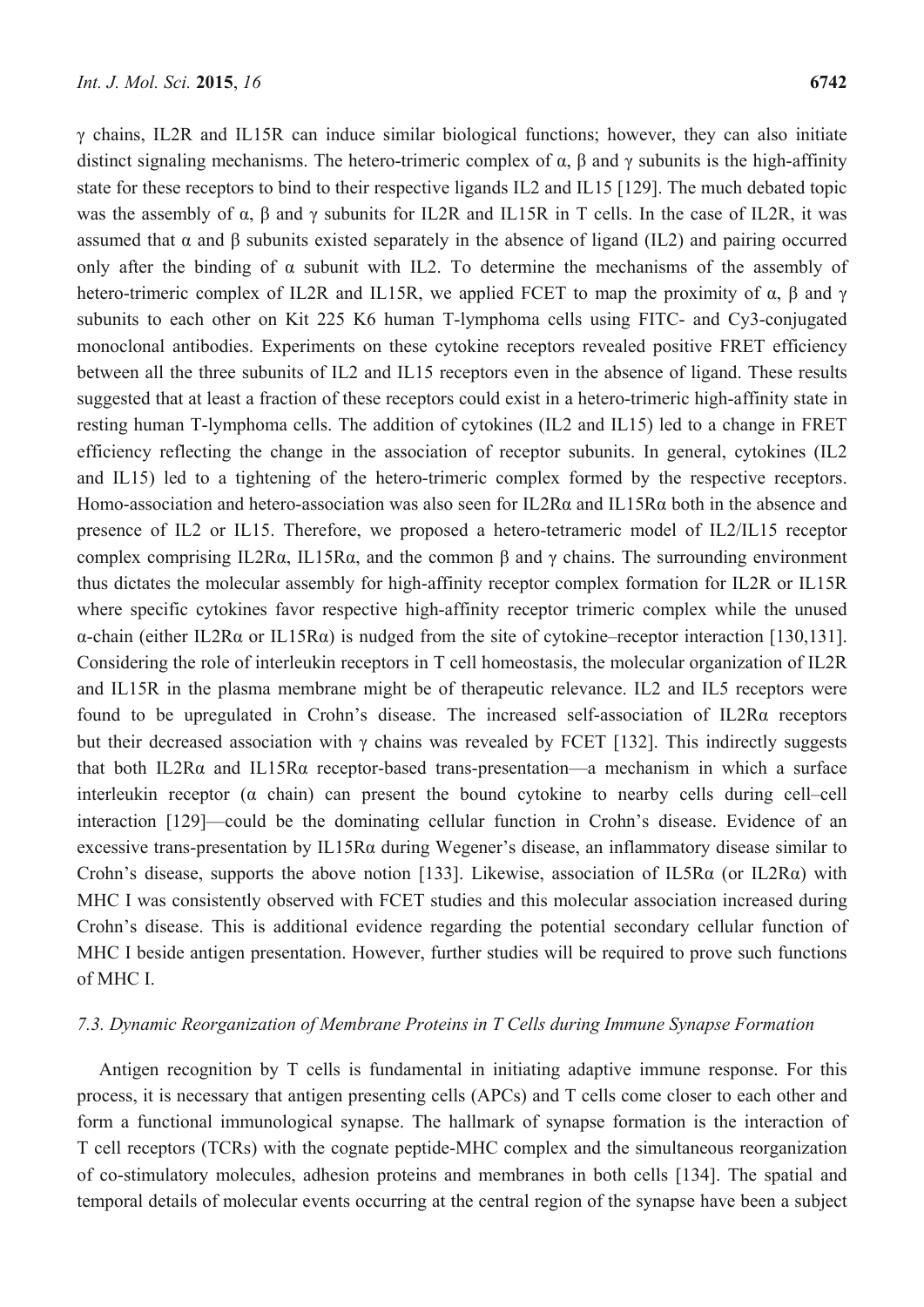γ chains, IL2R and IL15R can induce similar biological functions; however, they can also initiate distinct signaling mechanisms. The hetero-trimeric complex of  $\alpha$ ,  $\beta$  and  $\gamma$  subunits is the high-affinity state for these receptors to bind to their respective ligands IL2 and IL15 [129]. The much debated topic was the assembly of  $\alpha$ ,  $\beta$  and  $\gamma$  subunits for IL2R and IL15R in T cells. In the case of IL2R, it was assumed that  $\alpha$  and  $\beta$  subunits existed separately in the absence of ligand (IL2) and pairing occurred only after the binding of  $\alpha$  subunit with IL2. To determine the mechanisms of the assembly of hetero-trimeric complex of IL2R and IL15R, we applied FCET to map the proximity of  $\alpha$ ,  $\beta$  and  $\gamma$ subunits to each other on Kit 225 K6 human T-lymphoma cells using FITC- and Cy3-conjugated monoclonal antibodies. Experiments on these cytokine receptors revealed positive FRET efficiency between all the three subunits of IL2 and IL15 receptors even in the absence of ligand. These results suggested that at least a fraction of these receptors could exist in a hetero-trimeric high-affinity state in resting human T-lymphoma cells. The addition of cytokines (IL2 and IL15) led to a change in FRET efficiency reflecting the change in the association of receptor subunits. In general, cytokines (IL2 and IL15) led to a tightening of the hetero-trimeric complex formed by the respective receptors. Homo-association and hetero-association was also seen for IL2Rα and IL15Rα both in the absence and presence of IL2 or IL15. Therefore, we proposed a hetero-tetrameric model of IL2/IL15 receptor complex comprising IL2Rα, IL15Rα, and the common β and γ chains. The surrounding environment thus dictates the molecular assembly for high-affinity receptor complex formation for IL2R or IL15R where specific cytokines favor respective high-affinity receptor trimeric complex while the unused α-chain (either IL2Rα or IL15Rα) is nudged from the site of cytokine–receptor interaction [130,131]. Considering the role of interleukin receptors in T cell homeostasis, the molecular organization of IL2R and IL15R in the plasma membrane might be of therapeutic relevance. IL2 and IL5 receptors were found to be upregulated in Crohn's disease. The increased self-association of IL2Rα receptors but their decreased association with  $\gamma$  chains was revealed by FCET [132]. This indirectly suggests that both IL2Rα and IL15Rα receptor-based trans-presentation—a mechanism in which a surface interleukin receptor ( $\alpha$  chain) can present the bound cytokine to nearby cells during cell–cell interaction [129]—could be the dominating cellular function in Crohn's disease. Evidence of an excessive trans-presentation by IL15Rα during Wegener's disease, an inflammatory disease similar to Crohn's disease, supports the above notion [133]. Likewise, association of IL5Rα (or IL2Rα) with MHC I was consistently observed with FCET studies and this molecular association increased during Crohn's disease. This is additional evidence regarding the potential secondary cellular function of MHC I beside antigen presentation. However, further studies will be required to prove such functions of MHC I.

## *7.3. Dynamic Reorganization of Membrane Proteins in T Cells during Immune Synapse Formation*

Antigen recognition by T cells is fundamental in initiating adaptive immune response. For this process, it is necessary that antigen presenting cells (APCs) and T cells come closer to each other and form a functional immunological synapse. The hallmark of synapse formation is the interaction of T cell receptors (TCRs) with the cognate peptide-MHC complex and the simultaneous reorganization of co-stimulatory molecules, adhesion proteins and membranes in both cells [134]. The spatial and temporal details of molecular events occurring at the central region of the synapse have been a subject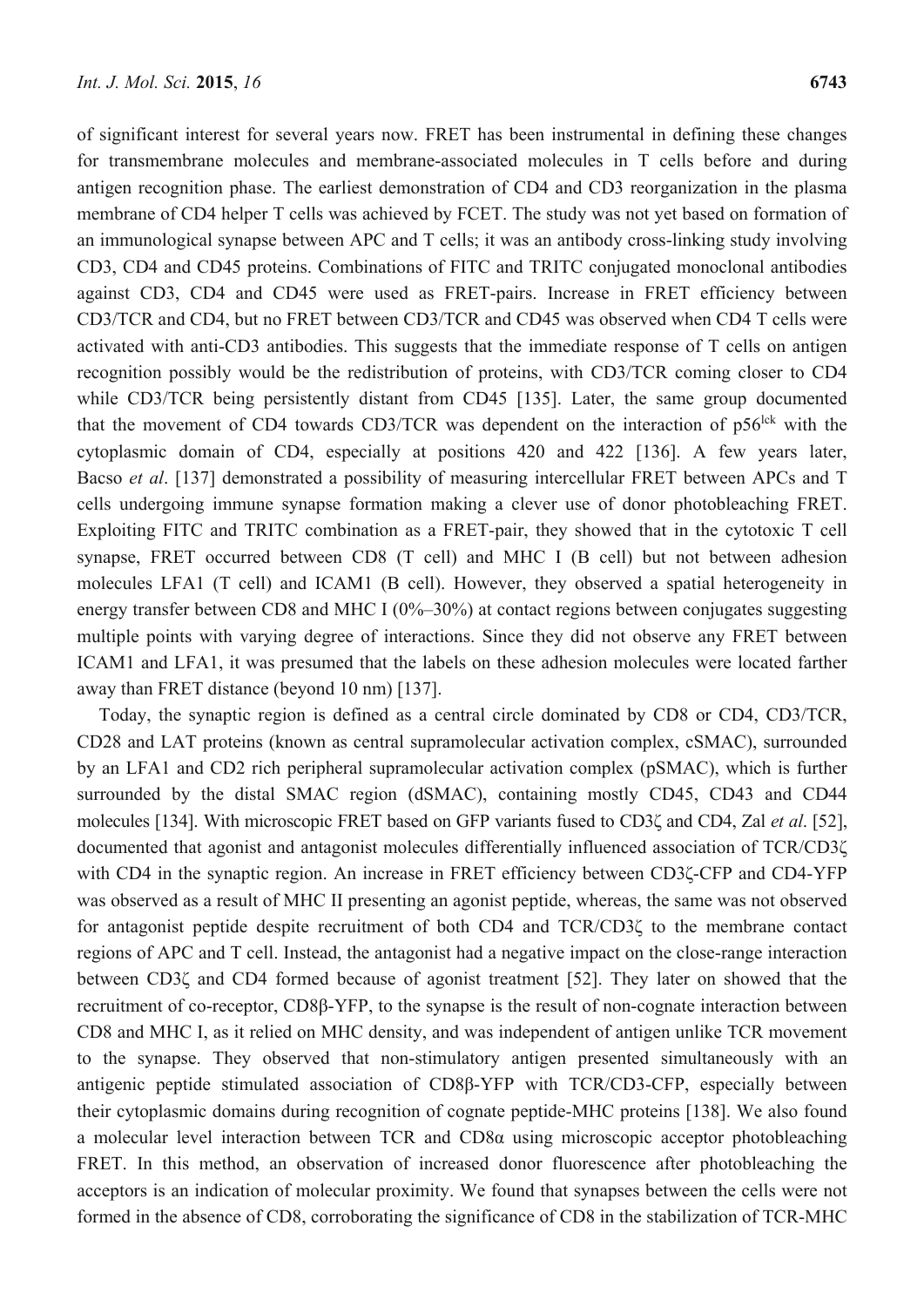of significant interest for several years now. FRET has been instrumental in defining these changes for transmembrane molecules and membrane-associated molecules in T cells before and during antigen recognition phase. The earliest demonstration of CD4 and CD3 reorganization in the plasma membrane of CD4 helper T cells was achieved by FCET. The study was not yet based on formation of an immunological synapse between APC and T cells; it was an antibody cross-linking study involving CD3, CD4 and CD45 proteins. Combinations of FITC and TRITC conjugated monoclonal antibodies against CD3, CD4 and CD45 were used as FRET-pairs. Increase in FRET efficiency between CD3/TCR and CD4, but no FRET between CD3/TCR and CD45 was observed when CD4 T cells were activated with anti-CD3 antibodies. This suggests that the immediate response of T cells on antigen recognition possibly would be the redistribution of proteins, with CD3/TCR coming closer to CD4 while CD3/TCR being persistently distant from CD45 [135]. Later, the same group documented that the movement of CD4 towards CD3/TCR was dependent on the interaction of  $p56<sup>lck</sup>$  with the cytoplasmic domain of CD4, especially at positions 420 and 422 [136]. A few years later, Bacso *et al*. [137] demonstrated a possibility of measuring intercellular FRET between APCs and T cells undergoing immune synapse formation making a clever use of donor photobleaching FRET. Exploiting FITC and TRITC combination as a FRET-pair, they showed that in the cytotoxic T cell synapse, FRET occurred between CD8 (T cell) and MHC I (B cell) but not between adhesion molecules LFA1 (T cell) and ICAM1 (B cell). However, they observed a spatial heterogeneity in energy transfer between CD8 and MHC I (0%–30%) at contact regions between conjugates suggesting multiple points with varying degree of interactions. Since they did not observe any FRET between ICAM1 and LFA1, it was presumed that the labels on these adhesion molecules were located farther away than FRET distance (beyond 10 nm) [137].

Today, the synaptic region is defined as a central circle dominated by CD8 or CD4, CD3/TCR, CD28 and LAT proteins (known as central supramolecular activation complex, cSMAC), surrounded by an LFA1 and CD2 rich peripheral supramolecular activation complex (pSMAC), which is further surrounded by the distal SMAC region (dSMAC), containing mostly CD45, CD43 and CD44 molecules [134]. With microscopic FRET based on GFP variants fused to CD3ζ and CD4, Zal *et al*. [52], documented that agonist and antagonist molecules differentially influenced association of TCR/CD3ζ with CD4 in the synaptic region. An increase in FRET efficiency between CD3ζ-CFP and CD4-YFP was observed as a result of MHC II presenting an agonist peptide, whereas, the same was not observed for antagonist peptide despite recruitment of both CD4 and TCR/CD3ζ to the membrane contact regions of APC and T cell. Instead, the antagonist had a negative impact on the close-range interaction between CD3ζ and CD4 formed because of agonist treatment [52]. They later on showed that the recruitment of co-receptor, CD8β-YFP, to the synapse is the result of non-cognate interaction between CD8 and MHC I, as it relied on MHC density, and was independent of antigen unlike TCR movement to the synapse. They observed that non-stimulatory antigen presented simultaneously with an antigenic peptide stimulated association of CD8β-YFP with TCR/CD3-CFP, especially between their cytoplasmic domains during recognition of cognate peptide-MHC proteins [138]. We also found a molecular level interaction between TCR and CD8α using microscopic acceptor photobleaching FRET. In this method, an observation of increased donor fluorescence after photobleaching the acceptors is an indication of molecular proximity. We found that synapses between the cells were not formed in the absence of CD8, corroborating the significance of CD8 in the stabilization of TCR-MHC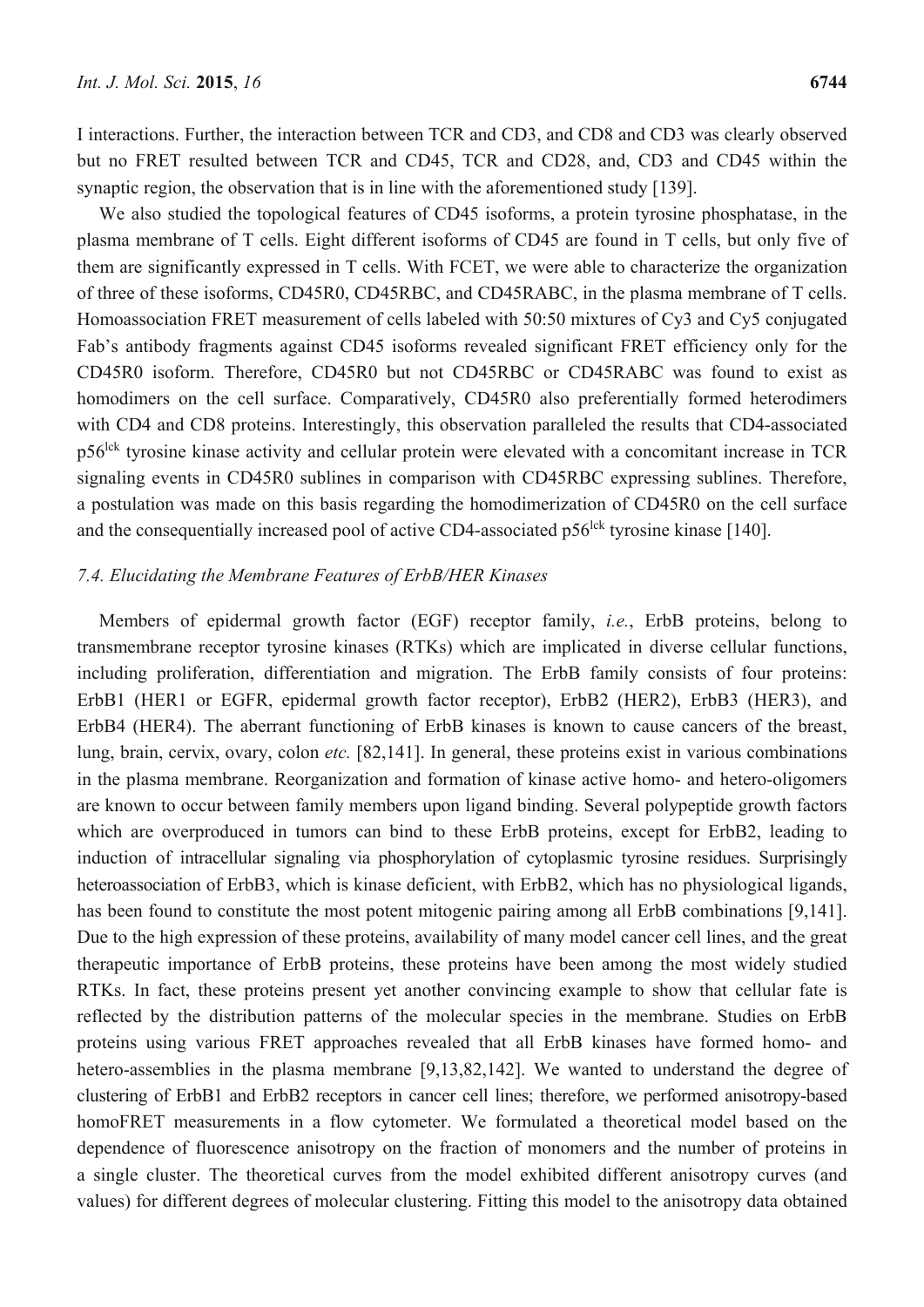I interactions. Further, the interaction between TCR and CD3, and CD8 and CD3 was clearly observed but no FRET resulted between TCR and CD45, TCR and CD28, and, CD3 and CD45 within the synaptic region, the observation that is in line with the aforementioned study [139].

We also studied the topological features of CD45 isoforms, a protein tyrosine phosphatase, in the plasma membrane of T cells. Eight different isoforms of CD45 are found in T cells, but only five of them are significantly expressed in T cells. With FCET, we were able to characterize the organization of three of these isoforms, CD45R0, CD45RBC, and CD45RABC, in the plasma membrane of T cells. Homoassociation FRET measurement of cells labeled with 50:50 mixtures of Cy3 and Cy5 conjugated Fab's antibody fragments against CD45 isoforms revealed significant FRET efficiency only for the CD45R0 isoform. Therefore, CD45R0 but not CD45RBC or CD45RABC was found to exist as homodimers on the cell surface. Comparatively, CD45R0 also preferentially formed heterodimers with CD4 and CD8 proteins. Interestingly, this observation paralleled the results that CD4-associated p56<sup>lck</sup> tyrosine kinase activity and cellular protein were elevated with a concomitant increase in TCR signaling events in CD45R0 sublines in comparison with CD45RBC expressing sublines. Therefore, a postulation was made on this basis regarding the homodimerization of CD45R0 on the cell surface and the consequentially increased pool of active CD4-associated  $p56<sup>lck</sup>$  tyrosine kinase [140].

## *7.4. Elucidating the Membrane Features of ErbB/HER Kinases*

Members of epidermal growth factor (EGF) receptor family, *i.e.*, ErbB proteins, belong to transmembrane receptor tyrosine kinases (RTKs) which are implicated in diverse cellular functions, including proliferation, differentiation and migration. The ErbB family consists of four proteins: ErbB1 (HER1 or EGFR, epidermal growth factor receptor), ErbB2 (HER2), ErbB3 (HER3), and ErbB4 (HER4). The aberrant functioning of ErbB kinases is known to cause cancers of the breast, lung, brain, cervix, ovary, colon *etc.* [82,141]. In general, these proteins exist in various combinations in the plasma membrane. Reorganization and formation of kinase active homo- and hetero-oligomers are known to occur between family members upon ligand binding. Several polypeptide growth factors which are overproduced in tumors can bind to these ErbB proteins, except for ErbB2, leading to induction of intracellular signaling via phosphorylation of cytoplasmic tyrosine residues. Surprisingly heteroassociation of ErbB3, which is kinase deficient, with ErbB2, which has no physiological ligands, has been found to constitute the most potent mitogenic pairing among all ErbB combinations [9,141]. Due to the high expression of these proteins, availability of many model cancer cell lines, and the great therapeutic importance of ErbB proteins, these proteins have been among the most widely studied RTKs. In fact, these proteins present yet another convincing example to show that cellular fate is reflected by the distribution patterns of the molecular species in the membrane. Studies on ErbB proteins using various FRET approaches revealed that all ErbB kinases have formed homo- and hetero-assemblies in the plasma membrane [9,13,82,142]. We wanted to understand the degree of clustering of ErbB1 and ErbB2 receptors in cancer cell lines; therefore, we performed anisotropy-based homoFRET measurements in a flow cytometer. We formulated a theoretical model based on the dependence of fluorescence anisotropy on the fraction of monomers and the number of proteins in a single cluster. The theoretical curves from the model exhibited different anisotropy curves (and values) for different degrees of molecular clustering. Fitting this model to the anisotropy data obtained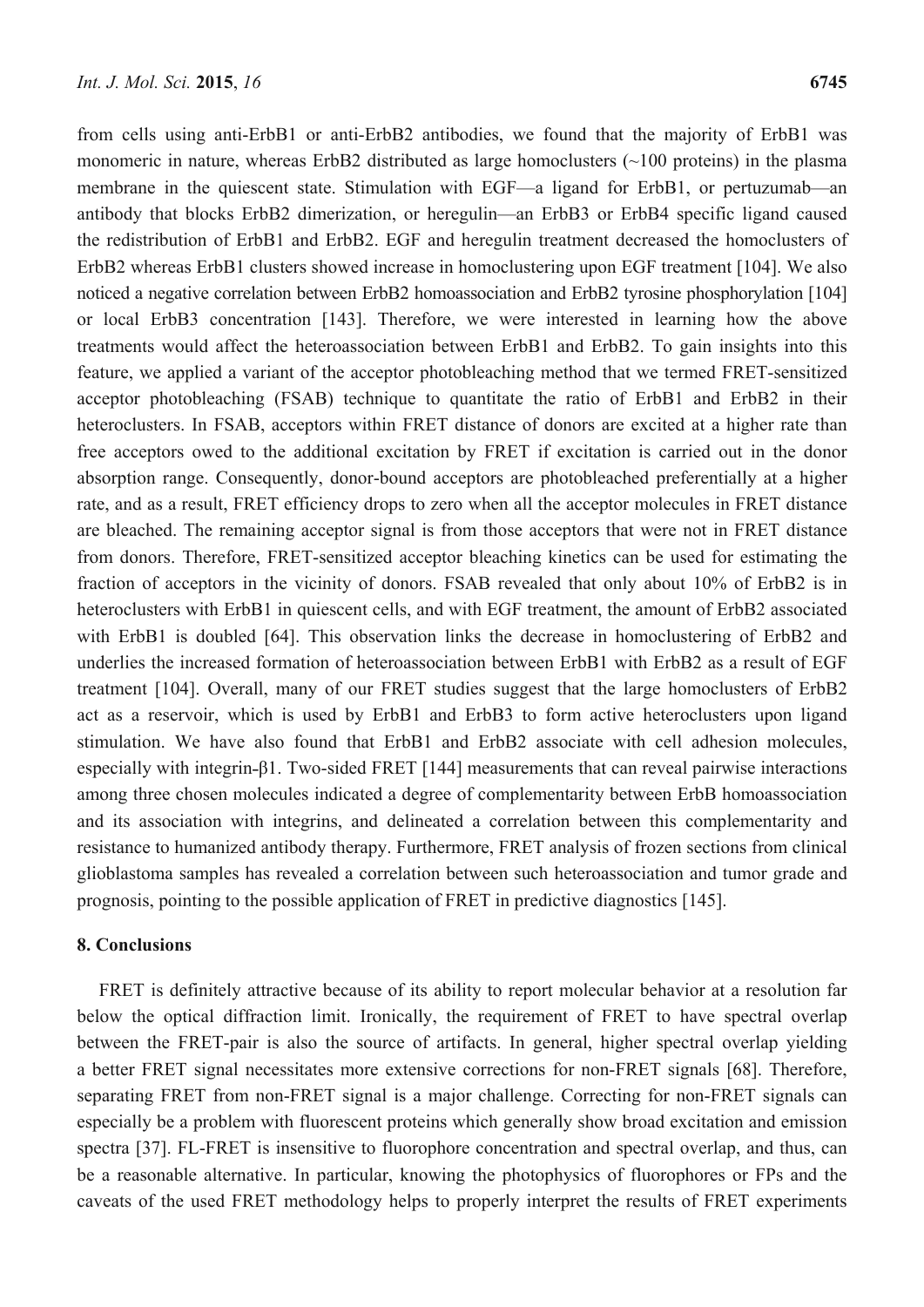from cells using anti-ErbB1 or anti-ErbB2 antibodies, we found that the majority of ErbB1 was monomeric in nature, whereas ErbB2 distributed as large homoclusters (~100 proteins) in the plasma membrane in the quiescent state. Stimulation with EGF—a ligand for ErbB1, or pertuzumab—an antibody that blocks ErbB2 dimerization, or heregulin—an ErbB3 or ErbB4 specific ligand caused the redistribution of ErbB1 and ErbB2. EGF and heregulin treatment decreased the homoclusters of ErbB2 whereas ErbB1 clusters showed increase in homoclustering upon EGF treatment [104]. We also noticed a negative correlation between ErbB2 homoassociation and ErbB2 tyrosine phosphorylation [104] or local ErbB3 concentration [143]. Therefore, we were interested in learning how the above treatments would affect the heteroassociation between ErbB1 and ErbB2. To gain insights into this feature, we applied a variant of the acceptor photobleaching method that we termed FRET-sensitized acceptor photobleaching (FSAB) technique to quantitate the ratio of ErbB1 and ErbB2 in their heteroclusters. In FSAB, acceptors within FRET distance of donors are excited at a higher rate than free acceptors owed to the additional excitation by FRET if excitation is carried out in the donor absorption range. Consequently, donor-bound acceptors are photobleached preferentially at a higher rate, and as a result, FRET efficiency drops to zero when all the acceptor molecules in FRET distance are bleached. The remaining acceptor signal is from those acceptors that were not in FRET distance from donors. Therefore, FRET-sensitized acceptor bleaching kinetics can be used for estimating the fraction of acceptors in the vicinity of donors. FSAB revealed that only about 10% of ErbB2 is in heteroclusters with ErbB1 in quiescent cells, and with EGF treatment, the amount of ErbB2 associated with ErbB1 is doubled [64]. This observation links the decrease in homoclustering of ErbB2 and underlies the increased formation of heteroassociation between ErbB1 with ErbB2 as a result of EGF treatment [104]. Overall, many of our FRET studies suggest that the large homoclusters of ErbB2 act as a reservoir, which is used by ErbB1 and ErbB3 to form active heteroclusters upon ligand stimulation. We have also found that ErbB1 and ErbB2 associate with cell adhesion molecules, especially with integrin-β1. Two-sided FRET [144] measurements that can reveal pairwise interactions among three chosen molecules indicated a degree of complementarity between ErbB homoassociation and its association with integrins, and delineated a correlation between this complementarity and resistance to humanized antibody therapy. Furthermore, FRET analysis of frozen sections from clinical glioblastoma samples has revealed a correlation between such heteroassociation and tumor grade and prognosis, pointing to the possible application of FRET in predictive diagnostics [145].

# **8. Conclusions**

FRET is definitely attractive because of its ability to report molecular behavior at a resolution far below the optical diffraction limit. Ironically, the requirement of FRET to have spectral overlap between the FRET-pair is also the source of artifacts. In general, higher spectral overlap yielding a better FRET signal necessitates more extensive corrections for non-FRET signals [68]. Therefore, separating FRET from non-FRET signal is a major challenge. Correcting for non-FRET signals can especially be a problem with fluorescent proteins which generally show broad excitation and emission spectra [37]. FL-FRET is insensitive to fluorophore concentration and spectral overlap, and thus, can be a reasonable alternative. In particular, knowing the photophysics of fluorophores or FPs and the caveats of the used FRET methodology helps to properly interpret the results of FRET experiments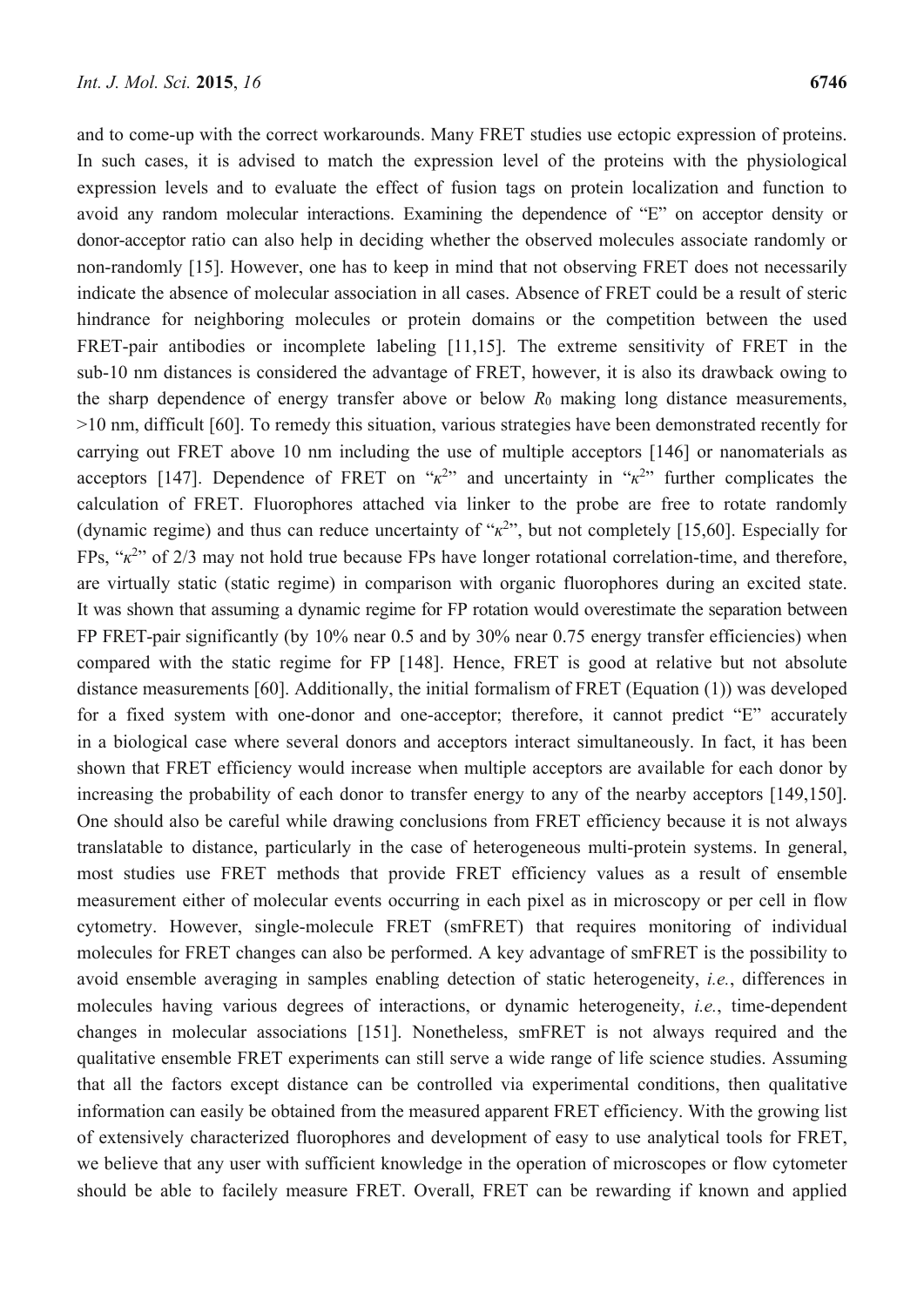and to come-up with the correct workarounds. Many FRET studies use ectopic expression of proteins. In such cases, it is advised to match the expression level of the proteins with the physiological expression levels and to evaluate the effect of fusion tags on protein localization and function to avoid any random molecular interactions. Examining the dependence of "E" on acceptor density or donor-acceptor ratio can also help in deciding whether the observed molecules associate randomly or non-randomly [15]. However, one has to keep in mind that not observing FRET does not necessarily indicate the absence of molecular association in all cases. Absence of FRET could be a result of steric hindrance for neighboring molecules or protein domains or the competition between the used FRET-pair antibodies or incomplete labeling [11,15]. The extreme sensitivity of FRET in the sub-10 nm distances is considered the advantage of FRET, however, it is also its drawback owing to the sharp dependence of energy transfer above or below *R*0 making long distance measurements, >10 nm, difficult [60]. To remedy this situation, various strategies have been demonstrated recently for carrying out FRET above 10 nm including the use of multiple acceptors [146] or nanomaterials as acceptors [147]. Dependence of FRET on " $\kappa^{2}$ " and uncertainty in " $\kappa^{2}$ " further complicates the calculation of FRET. Fluorophores attached via linker to the probe are free to rotate randomly (dynamic regime) and thus can reduce uncertainty of " $\kappa^{2}$ ", but not completely [15,60]. Especially for FPs, " $\kappa^{2}$ " of 2/3 may not hold true because FPs have longer rotational correlation-time, and therefore, are virtually static (static regime) in comparison with organic fluorophores during an excited state. It was shown that assuming a dynamic regime for FP rotation would overestimate the separation between FP FRET-pair significantly (by 10% near 0.5 and by 30% near 0.75 energy transfer efficiencies) when compared with the static regime for FP [148]. Hence, FRET is good at relative but not absolute distance measurements [60]. Additionally, the initial formalism of FRET (Equation (1)) was developed for a fixed system with one-donor and one-acceptor; therefore, it cannot predict "E" accurately in a biological case where several donors and acceptors interact simultaneously. In fact, it has been shown that FRET efficiency would increase when multiple acceptors are available for each donor by increasing the probability of each donor to transfer energy to any of the nearby acceptors [149,150]. One should also be careful while drawing conclusions from FRET efficiency because it is not always translatable to distance, particularly in the case of heterogeneous multi-protein systems. In general, most studies use FRET methods that provide FRET efficiency values as a result of ensemble measurement either of molecular events occurring in each pixel as in microscopy or per cell in flow cytometry. However, single-molecule FRET (smFRET) that requires monitoring of individual molecules for FRET changes can also be performed. A key advantage of smFRET is the possibility to avoid ensemble averaging in samples enabling detection of static heterogeneity, *i.e.*, differences in molecules having various degrees of interactions, or dynamic heterogeneity, *i.e.*, time-dependent changes in molecular associations [151]. Nonetheless, smFRET is not always required and the qualitative ensemble FRET experiments can still serve a wide range of life science studies. Assuming that all the factors except distance can be controlled via experimental conditions, then qualitative information can easily be obtained from the measured apparent FRET efficiency. With the growing list of extensively characterized fluorophores and development of easy to use analytical tools for FRET, we believe that any user with sufficient knowledge in the operation of microscopes or flow cytometer should be able to facilely measure FRET. Overall, FRET can be rewarding if known and applied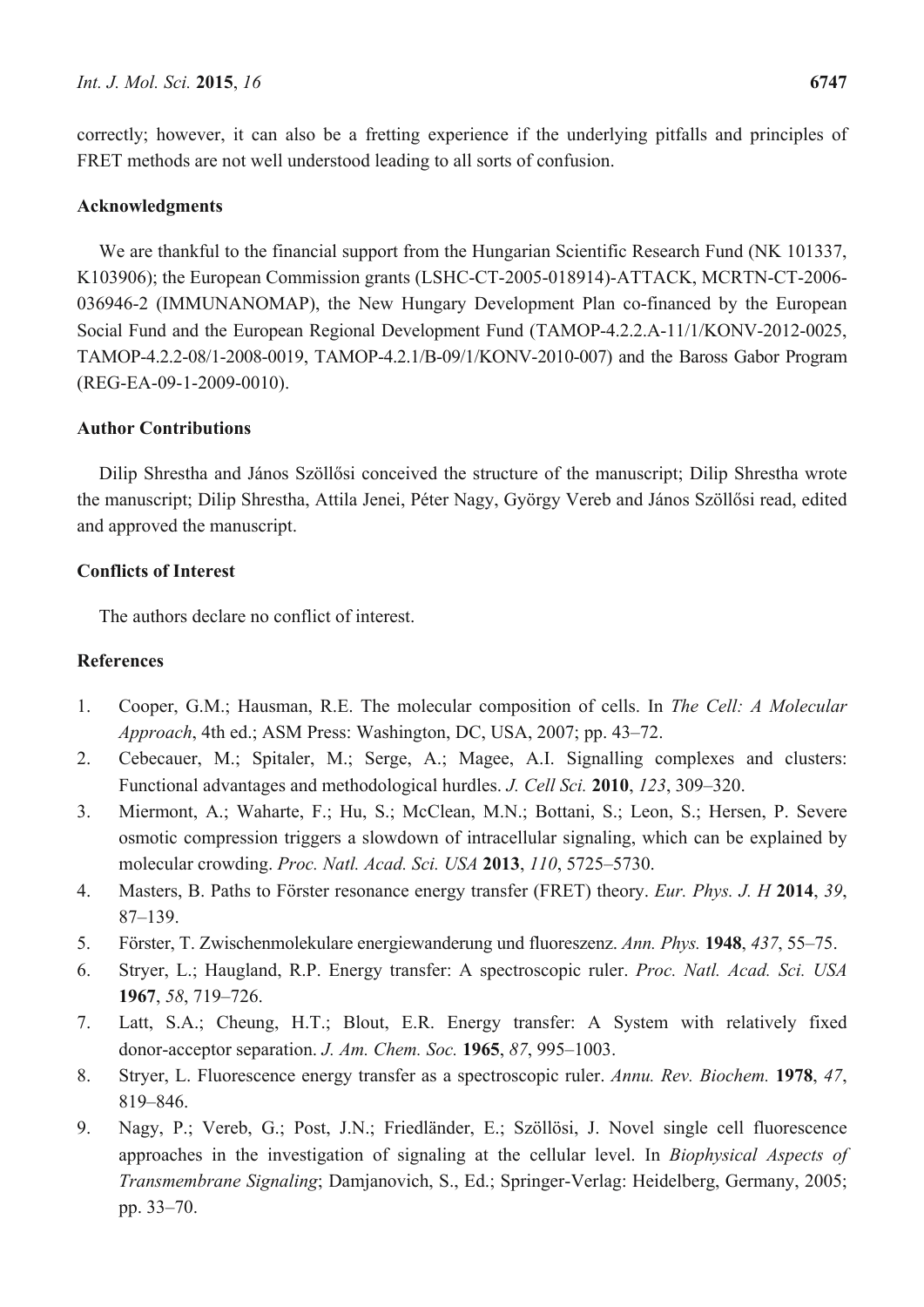correctly; however, it can also be a fretting experience if the underlying pitfalls and principles of FRET methods are not well understood leading to all sorts of confusion.

# **Acknowledgments**

We are thankful to the financial support from the Hungarian Scientific Research Fund (NK 101337, K103906); the European Commission grants (LSHC-CT-2005-018914)-ATTACK, MCRTN-CT-2006- 036946-2 (IMMUNANOMAP), the New Hungary Development Plan co-financed by the European Social Fund and the European Regional Development Fund (TAMOP-4.2.2.A-11/1/KONV-2012-0025, TAMOP-4.2.2-08/1-2008-0019, TAMOP-4.2.1/B-09/1/KONV-2010-007) and the Baross Gabor Program (REG-EA-09-1-2009-0010).

# **Author Contributions**

Dilip Shrestha and János Szöllősi conceived the structure of the manuscript; Dilip Shrestha wrote the manuscript; Dilip Shrestha, Attila Jenei, Péter Nagy, György Vereb and János Szöllősi read, edited and approved the manuscript.

# **Conflicts of Interest**

The authors declare no conflict of interest.

# **References**

- 1. Cooper, G.M.; Hausman, R.E. The molecular composition of cells. In *The Cell: A Molecular Approach*, 4th ed.; ASM Press: Washington, DC, USA, 2007; pp. 43–72.
- 2. Cebecauer, M.; Spitaler, M.; Serge, A.; Magee, A.I. Signalling complexes and clusters: Functional advantages and methodological hurdles. *J. Cell Sci.* **2010**, *123*, 309–320.
- 3. Miermont, A.; Waharte, F.; Hu, S.; McClean, M.N.; Bottani, S.; Leon, S.; Hersen, P. Severe osmotic compression triggers a slowdown of intracellular signaling, which can be explained by molecular crowding. *Proc. Natl. Acad. Sci. USA* **2013**, *110*, 5725–5730.
- 4. Masters, B. Paths to Förster resonance energy transfer (FRET) theory. *Eur. Phys. J. H* **2014**, *39*, 87–139.
- 5. Förster, T. Zwischenmolekulare energiewanderung und fluoreszenz. *Ann. Phys.* **1948**, *437*, 55–75.
- 6. Stryer, L.; Haugland, R.P. Energy transfer: A spectroscopic ruler. *Proc. Natl. Acad. Sci. USA*  **1967**, *58*, 719–726.
- 7. Latt, S.A.; Cheung, H.T.; Blout, E.R. Energy transfer: A System with relatively fixed donor-acceptor separation. *J. Am. Chem. Soc.* **1965**, *87*, 995–1003.
- 8. Stryer, L. Fluorescence energy transfer as a spectroscopic ruler. *Annu. Rev. Biochem.* **1978**, *47*, 819–846.
- 9. Nagy, P.; Vereb, G.; Post, J.N.; Friedländer, E.; Szöllösi, J. Novel single cell fluorescence approaches in the investigation of signaling at the cellular level. In *Biophysical Aspects of Transmembrane Signaling*; Damjanovich, S., Ed.; Springer-Verlag: Heidelberg, Germany, 2005; pp. 33–70.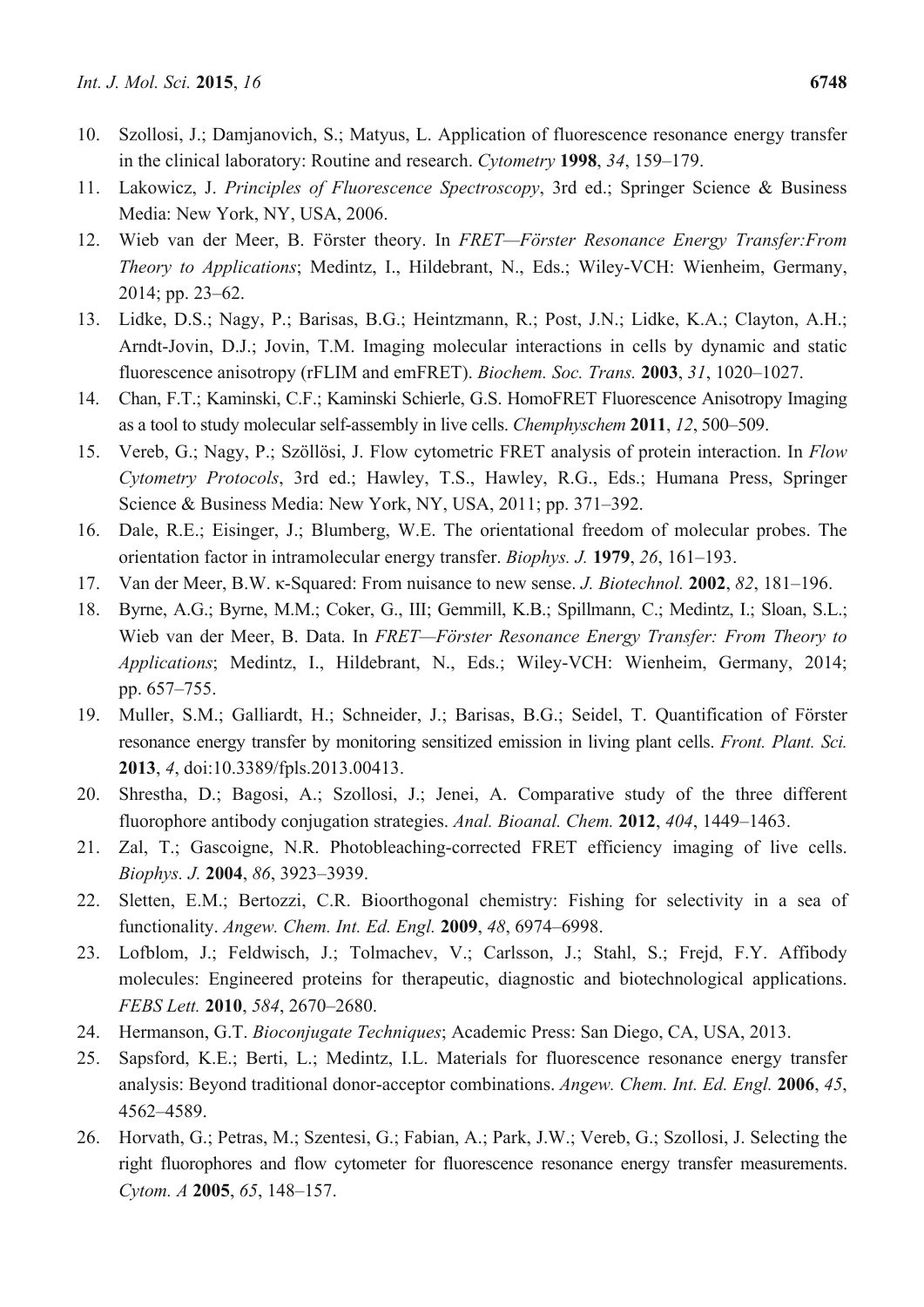- 10. Szollosi, J.; Damjanovich, S.; Matyus, L. Application of fluorescence resonance energy transfer in the clinical laboratory: Routine and research. *Cytometry* **1998**, *34*, 159–179.
- 11. Lakowicz, J. *Principles of Fluorescence Spectroscopy*, 3rd ed.; Springer Science & Business Media: New York, NY, USA, 2006.
- 12. Wieb van der Meer, B. Förster theory. In *FRET—Förster Resonance Energy Transfer:From Theory to Applications*; Medintz, I., Hildebrant, N., Eds.; Wiley-VCH: Wienheim, Germany, 2014; pp. 23–62.
- 13. Lidke, D.S.; Nagy, P.; Barisas, B.G.; Heintzmann, R.; Post, J.N.; Lidke, K.A.; Clayton, A.H.; Arndt-Jovin, D.J.; Jovin, T.M. Imaging molecular interactions in cells by dynamic and static fluorescence anisotropy (rFLIM and emFRET). *Biochem. Soc. Trans.* **2003**, *31*, 1020–1027.
- 14. Chan, F.T.; Kaminski, C.F.; Kaminski Schierle, G.S. HomoFRET Fluorescence Anisotropy Imaging as a tool to study molecular self-assembly in live cells. *Chemphyschem* **2011**, *12*, 500–509.
- 15. Vereb, G.; Nagy, P.; Szöllösi, J. Flow cytometric FRET analysis of protein interaction. In *Flow Cytometry Protocols*, 3rd ed.; Hawley, T.S., Hawley, R.G., Eds.; Humana Press, Springer Science & Business Media: New York, NY, USA, 2011; pp. 371–392.
- 16. Dale, R.E.; Eisinger, J.; Blumberg, W.E. The orientational freedom of molecular probes. The orientation factor in intramolecular energy transfer. *Biophys. J.* **1979**, *26*, 161–193.
- 17. Van der Meer, B.W. κ-Squared: From nuisance to new sense. *J. Biotechnol.* **2002**, *82*, 181–196.
- 18. Byrne, A.G.; Byrne, M.M.; Coker, G., III; Gemmill, K.B.; Spillmann, C.; Medintz, I.; Sloan, S.L.; Wieb van der Meer, B. Data. In *FRET—Förster Resonance Energy Transfer: From Theory to Applications*; Medintz, I., Hildebrant, N., Eds.; Wiley-VCH: Wienheim, Germany, 2014; pp. 657–755.
- 19. Muller, S.M.; Galliardt, H.; Schneider, J.; Barisas, B.G.; Seidel, T. Quantification of Förster resonance energy transfer by monitoring sensitized emission in living plant cells. *Front. Plant. Sci.*  **2013**, *4*, doi:10.3389/fpls.2013.00413.
- 20. Shrestha, D.; Bagosi, A.; Szollosi, J.; Jenei, A. Comparative study of the three different fluorophore antibody conjugation strategies. *Anal. Bioanal. Chem.* **2012**, *404*, 1449–1463.
- 21. Zal, T.; Gascoigne, N.R. Photobleaching-corrected FRET efficiency imaging of live cells. *Biophys. J.* **2004**, *86*, 3923–3939.
- 22. Sletten, E.M.; Bertozzi, C.R. Bioorthogonal chemistry: Fishing for selectivity in a sea of functionality. *Angew. Chem. Int. Ed. Engl.* **2009**, *48*, 6974–6998.
- 23. Lofblom, J.; Feldwisch, J.; Tolmachev, V.; Carlsson, J.; Stahl, S.; Frejd, F.Y. Affibody molecules: Engineered proteins for therapeutic, diagnostic and biotechnological applications. *FEBS Lett.* **2010**, *584*, 2670–2680.
- 24. Hermanson, G.T. *Bioconjugate Techniques*; Academic Press: San Diego, CA, USA, 2013.
- 25. Sapsford, K.E.; Berti, L.; Medintz, I.L. Materials for fluorescence resonance energy transfer analysis: Beyond traditional donor-acceptor combinations. *Angew. Chem. Int. Ed. Engl.* **2006**, *45*, 4562–4589.
- 26. Horvath, G.; Petras, M.; Szentesi, G.; Fabian, A.; Park, J.W.; Vereb, G.; Szollosi, J. Selecting the right fluorophores and flow cytometer for fluorescence resonance energy transfer measurements. *Cytom. A* **2005**, *65*, 148–157.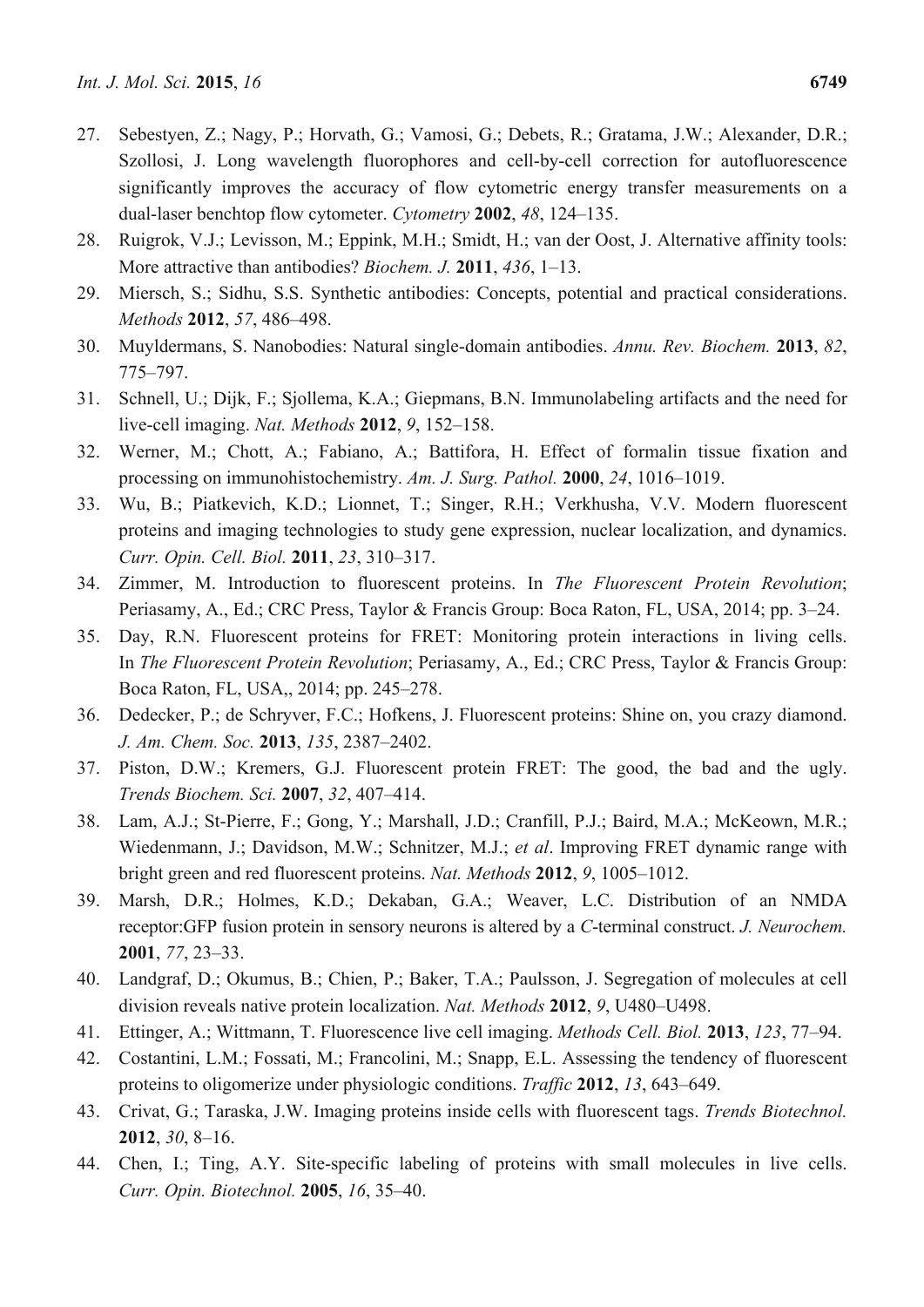- 27. Sebestyen, Z.; Nagy, P.; Horvath, G.; Vamosi, G.; Debets, R.; Gratama, J.W.; Alexander, D.R.; Szollosi, J. Long wavelength fluorophores and cell-by-cell correction for autofluorescence significantly improves the accuracy of flow cytometric energy transfer measurements on a dual-laser benchtop flow cytometer. *Cytometry* **2002**, *48*, 124–135.
- 28. Ruigrok, V.J.; Levisson, M.; Eppink, M.H.; Smidt, H.; van der Oost, J. Alternative affinity tools: More attractive than antibodies? *Biochem. J.* **2011**, *436*, 1–13.
- 29. Miersch, S.; Sidhu, S.S. Synthetic antibodies: Concepts, potential and practical considerations. *Methods* **2012**, *57*, 486–498.
- 30. Muyldermans, S. Nanobodies: Natural single-domain antibodies. *Annu. Rev. Biochem.* **2013**, *82*, 775–797.
- 31. Schnell, U.; Dijk, F.; Sjollema, K.A.; Giepmans, B.N. Immunolabeling artifacts and the need for live-cell imaging. *Nat. Methods* **2012**, *9*, 152–158.
- 32. Werner, M.; Chott, A.; Fabiano, A.; Battifora, H. Effect of formalin tissue fixation and processing on immunohistochemistry. *Am. J. Surg. Pathol.* **2000**, *24*, 1016–1019.
- 33. Wu, B.; Piatkevich, K.D.; Lionnet, T.; Singer, R.H.; Verkhusha, V.V. Modern fluorescent proteins and imaging technologies to study gene expression, nuclear localization, and dynamics. *Curr. Opin. Cell. Biol.* **2011**, *23*, 310–317.
- 34. Zimmer, M. Introduction to fluorescent proteins. In *The Fluorescent Protein Revolution*; Periasamy, A., Ed.; CRC Press, Taylor & Francis Group: Boca Raton, FL, USA, 2014; pp. 3–24.
- 35. Day, R.N. Fluorescent proteins for FRET: Monitoring protein interactions in living cells. In *The Fluorescent Protein Revolution*; Periasamy, A., Ed.; CRC Press, Taylor & Francis Group: Boca Raton, FL, USA,, 2014; pp. 245–278.
- 36. Dedecker, P.; de Schryver, F.C.; Hofkens, J. Fluorescent proteins: Shine on, you crazy diamond. *J. Am. Chem. Soc.* **2013**, *135*, 2387–2402.
- 37. Piston, D.W.; Kremers, G.J. Fluorescent protein FRET: The good, the bad and the ugly. *Trends Biochem. Sci.* **2007**, *32*, 407–414.
- 38. Lam, A.J.; St-Pierre, F.; Gong, Y.; Marshall, J.D.; Cranfill, P.J.; Baird, M.A.; McKeown, M.R.; Wiedenmann, J.; Davidson, M.W.; Schnitzer, M.J.; *et al*. Improving FRET dynamic range with bright green and red fluorescent proteins. *Nat. Methods* **2012**, *9*, 1005–1012.
- 39. Marsh, D.R.; Holmes, K.D.; Dekaban, G.A.; Weaver, L.C. Distribution of an NMDA receptor:GFP fusion protein in sensory neurons is altered by a *C*-terminal construct. *J. Neurochem.*  **2001**, *77*, 23–33.
- 40. Landgraf, D.; Okumus, B.; Chien, P.; Baker, T.A.; Paulsson, J. Segregation of molecules at cell division reveals native protein localization. *Nat. Methods* **2012**, *9*, U480–U498.
- 41. Ettinger, A.; Wittmann, T. Fluorescence live cell imaging. *Methods Cell. Biol.* **2013**, *123*, 77–94.
- 42. Costantini, L.M.; Fossati, M.; Francolini, M.; Snapp, E.L. Assessing the tendency of fluorescent proteins to oligomerize under physiologic conditions. *Traffic* **2012**, *13*, 643–649.
- 43. Crivat, G.; Taraska, J.W. Imaging proteins inside cells with fluorescent tags. *Trends Biotechnol.*  **2012**, *30*, 8–16.
- 44. Chen, I.; Ting, A.Y. Site-specific labeling of proteins with small molecules in live cells. *Curr. Opin. Biotechnol.* **2005**, *16*, 35–40.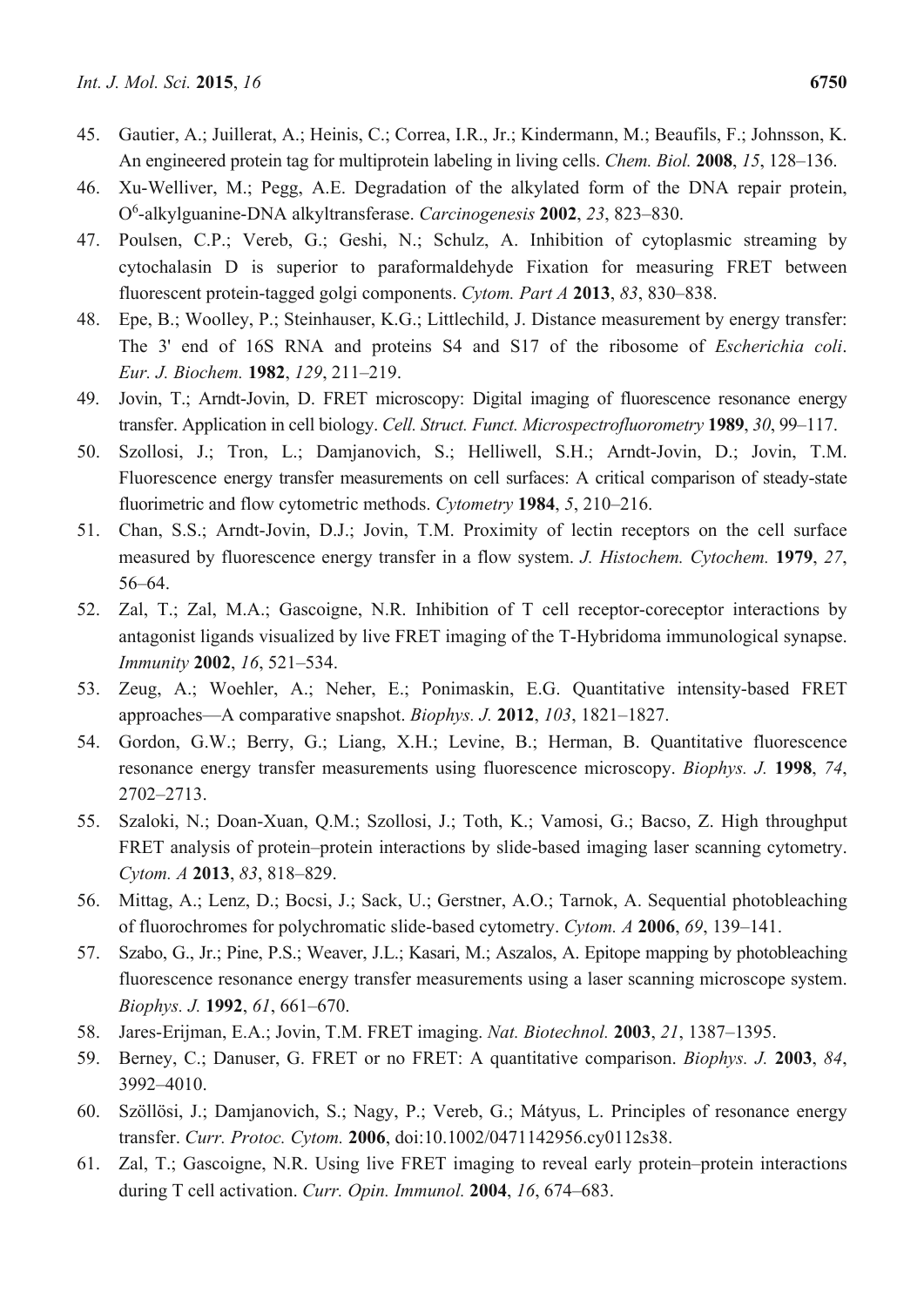- 45. Gautier, A.; Juillerat, A.; Heinis, C.; Correa, I.R., Jr.; Kindermann, M.; Beaufils, F.; Johnsson, K. An engineered protein tag for multiprotein labeling in living cells. *Chem. Biol.* **2008**, *15*, 128–136.
- 46. Xu-Welliver, M.; Pegg, A.E. Degradation of the alkylated form of the DNA repair protein, O6 -alkylguanine-DNA alkyltransferase. *Carcinogenesis* **2002**, *23*, 823–830.
- 47. Poulsen, C.P.; Vereb, G.; Geshi, N.; Schulz, A. Inhibition of cytoplasmic streaming by cytochalasin D is superior to paraformaldehyde Fixation for measuring FRET between fluorescent protein-tagged golgi components. *Cytom. Part A* **2013**, *83*, 830–838.
- 48. Epe, B.; Woolley, P.; Steinhauser, K.G.; Littlechild, J. Distance measurement by energy transfer: The 3' end of 16S RNA and proteins S4 and S17 of the ribosome of *Escherichia coli*. *Eur. J. Biochem.* **1982**, *129*, 211–219.
- 49. Jovin, T.; Arndt-Jovin, D. FRET microscopy: Digital imaging of fluorescence resonance energy transfer. Application in cell biology. *Cell. Struct. Funct. Microspectrofluorometry* **1989**, *30*, 99–117.
- 50. Szollosi, J.; Tron, L.; Damjanovich, S.; Helliwell, S.H.; Arndt-Jovin, D.; Jovin, T.M. Fluorescence energy transfer measurements on cell surfaces: A critical comparison of steady-state fluorimetric and flow cytometric methods. *Cytometry* **1984**, *5*, 210–216.
- 51. Chan, S.S.; Arndt-Jovin, D.J.; Jovin, T.M. Proximity of lectin receptors on the cell surface measured by fluorescence energy transfer in a flow system. *J. Histochem. Cytochem.* **1979**, *27*, 56–64.
- 52. Zal, T.; Zal, M.A.; Gascoigne, N.R. Inhibition of T cell receptor-coreceptor interactions by antagonist ligands visualized by live FRET imaging of the T-Hybridoma immunological synapse. *Immunity* **2002**, *16*, 521–534.
- 53. Zeug, A.; Woehler, A.; Neher, E.; Ponimaskin, E.G. Quantitative intensity-based FRET approaches—A comparative snapshot. *Biophys. J.* **2012**, *103*, 1821–1827.
- 54. Gordon, G.W.; Berry, G.; Liang, X.H.; Levine, B.; Herman, B. Quantitative fluorescence resonance energy transfer measurements using fluorescence microscopy. *Biophys. J.* **1998**, *74*, 2702–2713.
- 55. Szaloki, N.; Doan-Xuan, Q.M.; Szollosi, J.; Toth, K.; Vamosi, G.; Bacso, Z. High throughput FRET analysis of protein–protein interactions by slide-based imaging laser scanning cytometry. *Cytom. A* **2013**, *83*, 818–829.
- 56. Mittag, A.; Lenz, D.; Bocsi, J.; Sack, U.; Gerstner, A.O.; Tarnok, A. Sequential photobleaching of fluorochromes for polychromatic slide-based cytometry. *Cytom. A* **2006**, *69*, 139–141.
- 57. Szabo, G., Jr.; Pine, P.S.; Weaver, J.L.; Kasari, M.; Aszalos, A. Epitope mapping by photobleaching fluorescence resonance energy transfer measurements using a laser scanning microscope system. *Biophys. J.* **1992**, *61*, 661–670.
- 58. Jares-Erijman, E.A.; Jovin, T.M. FRET imaging. *Nat. Biotechnol.* **2003**, *21*, 1387–1395.
- 59. Berney, C.; Danuser, G. FRET or no FRET: A quantitative comparison. *Biophys. J.* **2003**, *84*, 3992–4010.
- 60. Szöllösi, J.; Damjanovich, S.; Nagy, P.; Vereb, G.; Mátyus, L. Principles of resonance energy transfer. *Curr. Protoc. Cytom.* **2006**, doi:10.1002/0471142956.cy0112s38.
- 61. Zal, T.; Gascoigne, N.R. Using live FRET imaging to reveal early protein–protein interactions during T cell activation. *Curr. Opin. Immunol.* **2004**, *16*, 674–683.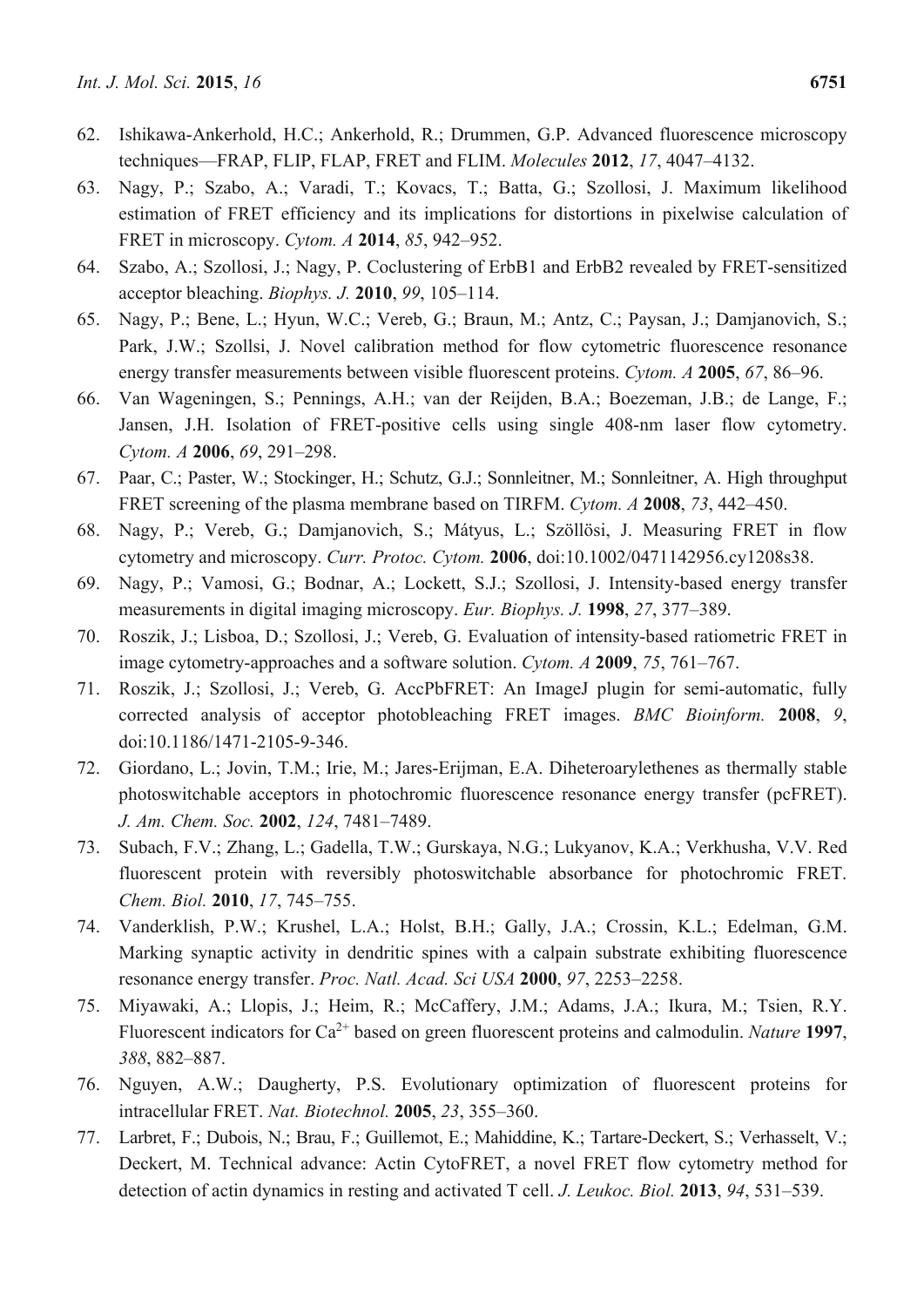- 62. Ishikawa-Ankerhold, H.C.; Ankerhold, R.; Drummen, G.P. Advanced fluorescence microscopy techniques—FRAP, FLIP, FLAP, FRET and FLIM. *Molecules* **2012**, *17*, 4047–4132.
- 63. Nagy, P.; Szabo, A.; Varadi, T.; Kovacs, T.; Batta, G.; Szollosi, J. Maximum likelihood estimation of FRET efficiency and its implications for distortions in pixelwise calculation of FRET in microscopy. *Cytom. A* **2014**, *85*, 942–952.
- 64. Szabo, A.; Szollosi, J.; Nagy, P. Coclustering of ErbB1 and ErbB2 revealed by FRET-sensitized acceptor bleaching. *Biophys. J.* **2010**, *99*, 105–114.
- 65. Nagy, P.; Bene, L.; Hyun, W.C.; Vereb, G.; Braun, M.; Antz, C.; Paysan, J.; Damjanovich, S.; Park, J.W.; Szollsi, J. Novel calibration method for flow cytometric fluorescence resonance energy transfer measurements between visible fluorescent proteins. *Cytom. A* **2005**, *67*, 86–96.
- 66. Van Wageningen, S.; Pennings, A.H.; van der Reijden, B.A.; Boezeman, J.B.; de Lange, F.; Jansen, J.H. Isolation of FRET-positive cells using single 408-nm laser flow cytometry. *Cytom. A* **2006**, *69*, 291–298.
- 67. Paar, C.; Paster, W.; Stockinger, H.; Schutz, G.J.; Sonnleitner, M.; Sonnleitner, A. High throughput FRET screening of the plasma membrane based on TIRFM. *Cytom. A* **2008**, *73*, 442–450.
- 68. Nagy, P.; Vereb, G.; Damjanovich, S.; Mátyus, L.; Szöllösi, J. Measuring FRET in flow cytometry and microscopy. *Curr. Protoc. Cytom.* **2006**, doi:10.1002/0471142956.cy1208s38.
- 69. Nagy, P.; Vamosi, G.; Bodnar, A.; Lockett, S.J.; Szollosi, J. Intensity-based energy transfer measurements in digital imaging microscopy. *Eur. Biophys. J.* **1998**, *27*, 377–389.
- 70. Roszik, J.; Lisboa, D.; Szollosi, J.; Vereb, G. Evaluation of intensity-based ratiometric FRET in image cytometry-approaches and a software solution. *Cytom. A* **2009**, *75*, 761–767.
- 71. Roszik, J.; Szollosi, J.; Vereb, G. AccPbFRET: An ImageJ plugin for semi-automatic, fully corrected analysis of acceptor photobleaching FRET images. *BMC Bioinform.* **2008**, *9*, doi:10.1186/1471-2105-9-346.
- 72. Giordano, L.; Jovin, T.M.; Irie, M.; Jares-Erijman, E.A. Diheteroarylethenes as thermally stable photoswitchable acceptors in photochromic fluorescence resonance energy transfer (pcFRET). *J. Am. Chem. Soc.* **2002**, *124*, 7481–7489.
- 73. Subach, F.V.; Zhang, L.; Gadella, T.W.; Gurskaya, N.G.; Lukyanov, K.A.; Verkhusha, V.V. Red fluorescent protein with reversibly photoswitchable absorbance for photochromic FRET. *Chem. Biol.* **2010**, *17*, 745–755.
- 74. Vanderklish, P.W.; Krushel, L.A.; Holst, B.H.; Gally, J.A.; Crossin, K.L.; Edelman, G.M. Marking synaptic activity in dendritic spines with a calpain substrate exhibiting fluorescence resonance energy transfer. *Proc. Natl. Acad. Sci USA* **2000**, *97*, 2253–2258.
- 75. Miyawaki, A.; Llopis, J.; Heim, R.; McCaffery, J.M.; Adams, J.A.; Ikura, M.; Tsien, R.Y. Fluorescent indicators for Ca2+ based on green fluorescent proteins and calmodulin. *Nature* **1997**, *388*, 882–887.
- 76. Nguyen, A.W.; Daugherty, P.S. Evolutionary optimization of fluorescent proteins for intracellular FRET. *Nat. Biotechnol.* **2005**, *23*, 355–360.
- 77. Larbret, F.; Dubois, N.; Brau, F.; Guillemot, E.; Mahiddine, K.; Tartare-Deckert, S.; Verhasselt, V.; Deckert, M. Technical advance: Actin CytoFRET, a novel FRET flow cytometry method for detection of actin dynamics in resting and activated T cell. *J. Leukoc. Biol.* **2013**, *94*, 531–539.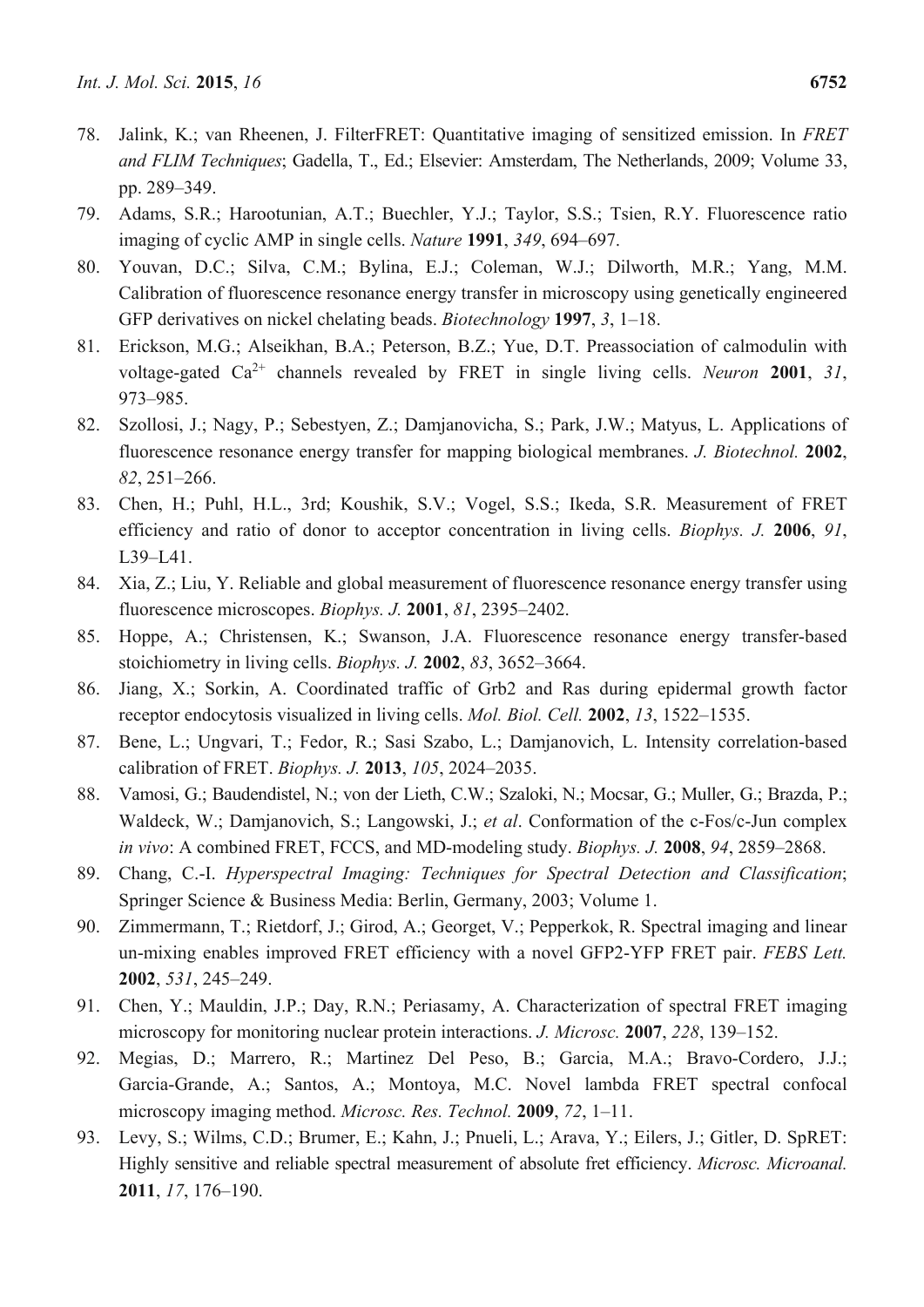- 78. Jalink, K.; van Rheenen, J. FilterFRET: Quantitative imaging of sensitized emission. In *FRET and FLIM Techniques*; Gadella, T., Ed.; Elsevier: Amsterdam, The Netherlands, 2009; Volume 33, pp. 289–349.
- 79. Adams, S.R.; Harootunian, A.T.; Buechler, Y.J.; Taylor, S.S.; Tsien, R.Y. Fluorescence ratio imaging of cyclic AMP in single cells. *Nature* **1991**, *349*, 694–697.
- 80. Youvan, D.C.; Silva, C.M.; Bylina, E.J.; Coleman, W.J.; Dilworth, M.R.; Yang, M.M. Calibration of fluorescence resonance energy transfer in microscopy using genetically engineered GFP derivatives on nickel chelating beads. *Biotechnology* **1997**, *3*, 1–18.
- 81. Erickson, M.G.; Alseikhan, B.A.; Peterson, B.Z.; Yue, D.T. Preassociation of calmodulin with voltage-gated Ca2+ channels revealed by FRET in single living cells. *Neuron* **2001**, *31*, 973–985.
- 82. Szollosi, J.; Nagy, P.; Sebestyen, Z.; Damjanovicha, S.; Park, J.W.; Matyus, L. Applications of fluorescence resonance energy transfer for mapping biological membranes. *J. Biotechnol.* **2002**, *82*, 251–266.
- 83. Chen, H.; Puhl, H.L., 3rd; Koushik, S.V.; Vogel, S.S.; Ikeda, S.R. Measurement of FRET efficiency and ratio of donor to acceptor concentration in living cells. *Biophys. J.* **2006**, *91*, L39–L41.
- 84. Xia, Z.; Liu, Y. Reliable and global measurement of fluorescence resonance energy transfer using fluorescence microscopes. *Biophys. J.* **2001**, *81*, 2395–2402.
- 85. Hoppe, A.; Christensen, K.; Swanson, J.A. Fluorescence resonance energy transfer-based stoichiometry in living cells. *Biophys. J.* **2002**, *83*, 3652–3664.
- 86. Jiang, X.; Sorkin, A. Coordinated traffic of Grb2 and Ras during epidermal growth factor receptor endocytosis visualized in living cells. *Mol. Biol. Cell.* **2002**, *13*, 1522–1535.
- 87. Bene, L.; Ungvari, T.; Fedor, R.; Sasi Szabo, L.; Damjanovich, L. Intensity correlation-based calibration of FRET. *Biophys. J.* **2013**, *105*, 2024–2035.
- 88. Vamosi, G.; Baudendistel, N.; von der Lieth, C.W.; Szaloki, N.; Mocsar, G.; Muller, G.; Brazda, P.; Waldeck, W.; Damjanovich, S.; Langowski, J.; *et al*. Conformation of the c-Fos/c-Jun complex *in vivo*: A combined FRET, FCCS, and MD-modeling study. *Biophys. J.* **2008**, *94*, 2859–2868.
- 89. Chang, C.-I. *Hyperspectral Imaging: Techniques for Spectral Detection and Classification*; Springer Science & Business Media: Berlin, Germany, 2003; Volume 1.
- 90. Zimmermann, T.; Rietdorf, J.; Girod, A.; Georget, V.; Pepperkok, R. Spectral imaging and linear un-mixing enables improved FRET efficiency with a novel GFP2-YFP FRET pair. *FEBS Lett.*  **2002**, *531*, 245–249.
- 91. Chen, Y.; Mauldin, J.P.; Day, R.N.; Periasamy, A. Characterization of spectral FRET imaging microscopy for monitoring nuclear protein interactions. *J. Microsc.* **2007**, *228*, 139–152.
- 92. Megias, D.; Marrero, R.; Martinez Del Peso, B.; Garcia, M.A.; Bravo-Cordero, J.J.; Garcia-Grande, A.; Santos, A.; Montoya, M.C. Novel lambda FRET spectral confocal microscopy imaging method. *Microsc. Res. Technol.* **2009**, *72*, 1–11.
- 93. Levy, S.; Wilms, C.D.; Brumer, E.; Kahn, J.; Pnueli, L.; Arava, Y.; Eilers, J.; Gitler, D. SpRET: Highly sensitive and reliable spectral measurement of absolute fret efficiency. *Microsc. Microanal.*  **2011**, *17*, 176–190.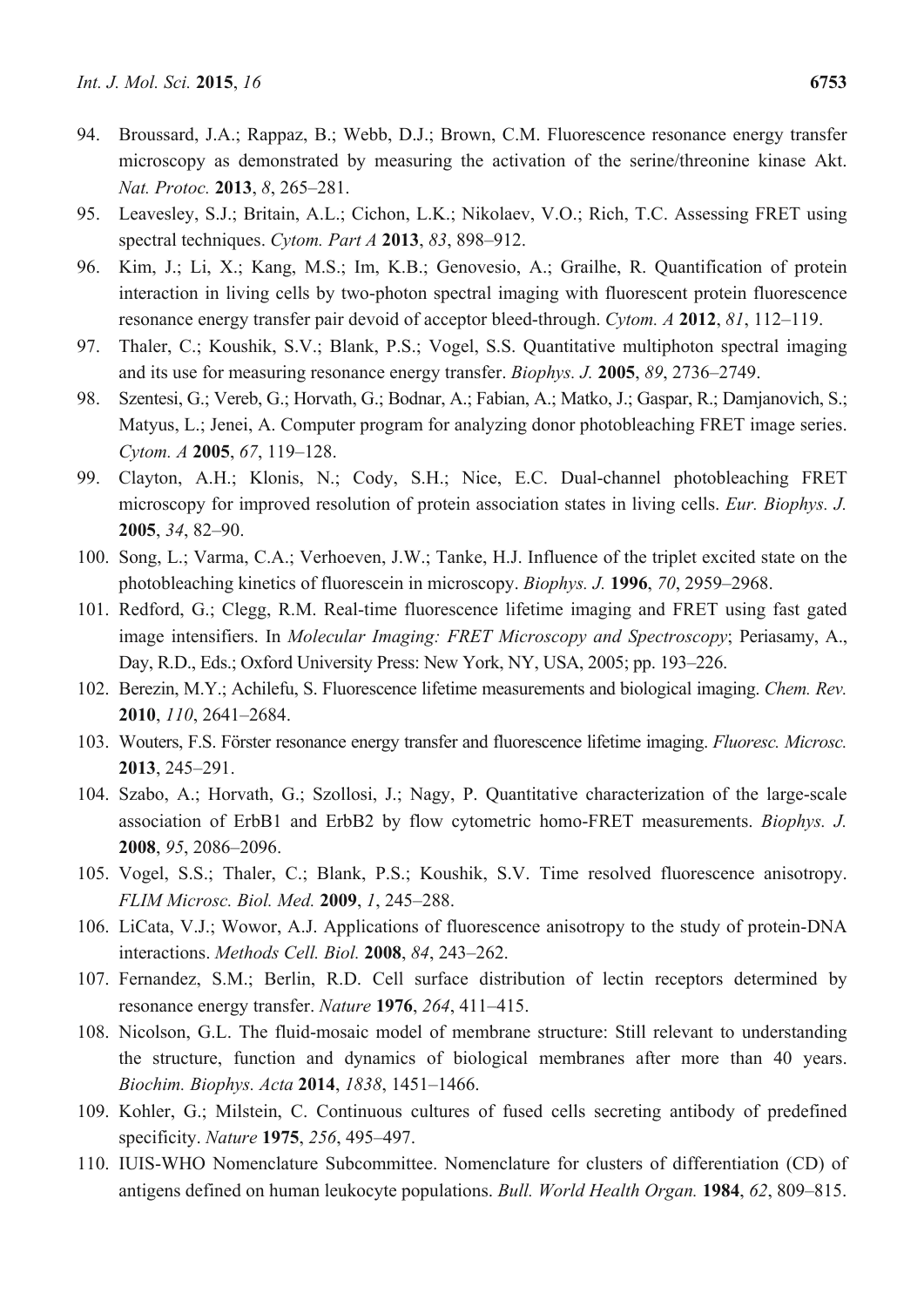- 94. Broussard, J.A.; Rappaz, B.; Webb, D.J.; Brown, C.M. Fluorescence resonance energy transfer microscopy as demonstrated by measuring the activation of the serine/threonine kinase Akt. *Nat. Protoc.* **2013**, *8*, 265–281.
- 95. Leavesley, S.J.; Britain, A.L.; Cichon, L.K.; Nikolaev, V.O.; Rich, T.C. Assessing FRET using spectral techniques. *Cytom. Part A* **2013**, *83*, 898–912.
- 96. Kim, J.; Li, X.; Kang, M.S.; Im, K.B.; Genovesio, A.; Grailhe, R. Quantification of protein interaction in living cells by two-photon spectral imaging with fluorescent protein fluorescence resonance energy transfer pair devoid of acceptor bleed-through. *Cytom. A* **2012**, *81*, 112–119.
- 97. Thaler, C.; Koushik, S.V.; Blank, P.S.; Vogel, S.S. Quantitative multiphoton spectral imaging and its use for measuring resonance energy transfer. *Biophys. J.* **2005**, *89*, 2736–2749.
- 98. Szentesi, G.; Vereb, G.; Horvath, G.; Bodnar, A.; Fabian, A.; Matko, J.; Gaspar, R.; Damjanovich, S.; Matyus, L.; Jenei, A. Computer program for analyzing donor photobleaching FRET image series. *Cytom. A* **2005**, *67*, 119–128.
- 99. Clayton, A.H.; Klonis, N.; Cody, S.H.; Nice, E.C. Dual-channel photobleaching FRET microscopy for improved resolution of protein association states in living cells. *Eur. Biophys. J.*  **2005**, *34*, 82–90.
- 100. Song, L.; Varma, C.A.; Verhoeven, J.W.; Tanke, H.J. Influence of the triplet excited state on the photobleaching kinetics of fluorescein in microscopy. *Biophys. J.* **1996**, *70*, 2959–2968.
- 101. Redford, G.; Clegg, R.M. Real-time fluorescence lifetime imaging and FRET using fast gated image intensifiers. In *Molecular Imaging: FRET Microscopy and Spectroscopy*; Periasamy, A., Day, R.D., Eds.; Oxford University Press: New York, NY, USA, 2005; pp. 193–226.
- 102. Berezin, M.Y.; Achilefu, S. Fluorescence lifetime measurements and biological imaging. *Chem. Rev.*  **2010**, *110*, 2641–2684.
- 103. Wouters, F.S. Förster resonance energy transfer and fluorescence lifetime imaging. *Fluoresc. Microsc.*  **2013**, 245–291.
- 104. Szabo, A.; Horvath, G.; Szollosi, J.; Nagy, P. Quantitative characterization of the large-scale association of ErbB1 and ErbB2 by flow cytometric homo-FRET measurements. *Biophys. J.*  **2008**, *95*, 2086–2096.
- 105. Vogel, S.S.; Thaler, C.; Blank, P.S.; Koushik, S.V. Time resolved fluorescence anisotropy. *FLIM Microsc. Biol. Med.* **2009**, *1*, 245–288.
- 106. LiCata, V.J.; Wowor, A.J. Applications of fluorescence anisotropy to the study of protein-DNA interactions. *Methods Cell. Biol.* **2008**, *84*, 243–262.
- 107. Fernandez, S.M.; Berlin, R.D. Cell surface distribution of lectin receptors determined by resonance energy transfer. *Nature* **1976**, *264*, 411–415.
- 108. Nicolson, G.L. The fluid-mosaic model of membrane structure: Still relevant to understanding the structure, function and dynamics of biological membranes after more than 40 years. *Biochim. Biophys. Acta* **2014**, *1838*, 1451–1466.
- 109. Kohler, G.; Milstein, C. Continuous cultures of fused cells secreting antibody of predefined specificity. *Nature* **1975**, *256*, 495–497.
- 110. IUIS-WHO Nomenclature Subcommittee. Nomenclature for clusters of differentiation (CD) of antigens defined on human leukocyte populations. *Bull. World Health Organ.* **1984**, *62*, 809–815.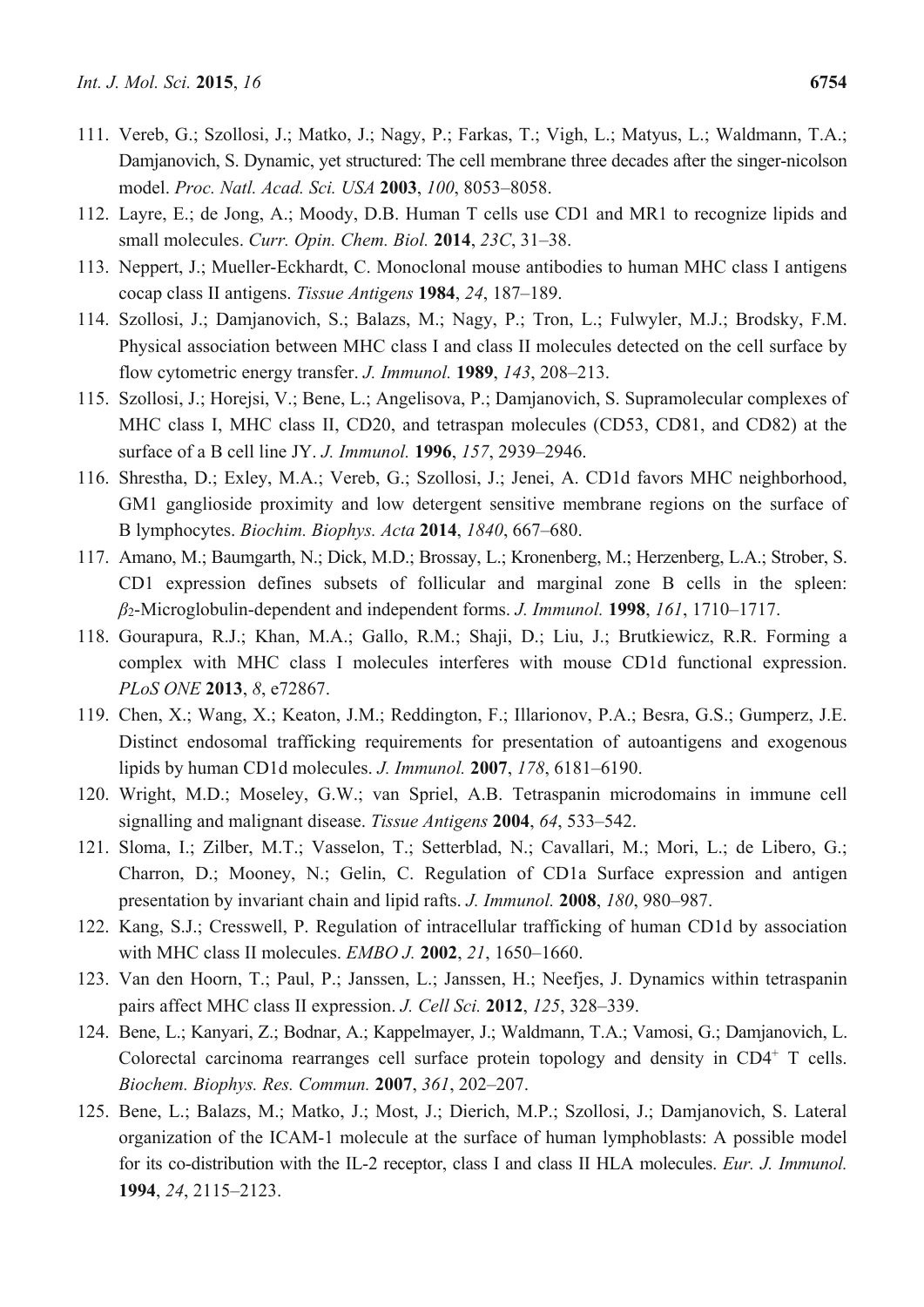- 111. Vereb, G.; Szollosi, J.; Matko, J.; Nagy, P.; Farkas, T.; Vigh, L.; Matyus, L.; Waldmann, T.A.; Damjanovich, S. Dynamic, yet structured: The cell membrane three decades after the singer-nicolson model. *Proc. Natl. Acad. Sci. USA* **2003**, *100*, 8053–8058.
- 112. Layre, E.; de Jong, A.; Moody, D.B. Human T cells use CD1 and MR1 to recognize lipids and small molecules. *Curr. Opin. Chem. Biol.* **2014**, *23C*, 31–38.
- 113. Neppert, J.; Mueller-Eckhardt, C. Monoclonal mouse antibodies to human MHC class I antigens cocap class II antigens. *Tissue Antigens* **1984**, *24*, 187–189.
- 114. Szollosi, J.; Damjanovich, S.; Balazs, M.; Nagy, P.; Tron, L.; Fulwyler, M.J.; Brodsky, F.M. Physical association between MHC class I and class II molecules detected on the cell surface by flow cytometric energy transfer. *J. Immunol.* **1989**, *143*, 208–213.
- 115. Szollosi, J.; Horejsi, V.; Bene, L.; Angelisova, P.; Damjanovich, S. Supramolecular complexes of MHC class I, MHC class II, CD20, and tetraspan molecules (CD53, CD81, and CD82) at the surface of a B cell line JY. *J. Immunol.* **1996**, *157*, 2939–2946.
- 116. Shrestha, D.; Exley, M.A.; Vereb, G.; Szollosi, J.; Jenei, A. CD1d favors MHC neighborhood, GM1 ganglioside proximity and low detergent sensitive membrane regions on the surface of B lymphocytes. *Biochim. Biophys. Acta* **2014**, *1840*, 667–680.
- 117. Amano, M.; Baumgarth, N.; Dick, M.D.; Brossay, L.; Kronenberg, M.; Herzenberg, L.A.; Strober, S. CD1 expression defines subsets of follicular and marginal zone B cells in the spleen: *β*2-Microglobulin-dependent and independent forms. *J. Immunol.* **1998**, *161*, 1710–1717.
- 118. Gourapura, R.J.; Khan, M.A.; Gallo, R.M.; Shaji, D.; Liu, J.; Brutkiewicz, R.R. Forming a complex with MHC class I molecules interferes with mouse CD1d functional expression. *PLoS ONE* **2013**, *8*, e72867.
- 119. Chen, X.; Wang, X.; Keaton, J.M.; Reddington, F.; Illarionov, P.A.; Besra, G.S.; Gumperz, J.E. Distinct endosomal trafficking requirements for presentation of autoantigens and exogenous lipids by human CD1d molecules. *J. Immunol.* **2007**, *178*, 6181–6190.
- 120. Wright, M.D.; Moseley, G.W.; van Spriel, A.B. Tetraspanin microdomains in immune cell signalling and malignant disease. *Tissue Antigens* **2004**, *64*, 533–542.
- 121. Sloma, I.; Zilber, M.T.; Vasselon, T.; Setterblad, N.; Cavallari, M.; Mori, L.; de Libero, G.; Charron, D.; Mooney, N.; Gelin, C. Regulation of CD1a Surface expression and antigen presentation by invariant chain and lipid rafts. *J. Immunol.* **2008**, *180*, 980–987.
- 122. Kang, S.J.; Cresswell, P. Regulation of intracellular trafficking of human CD1d by association with MHC class II molecules. *EMBO J.* **2002**, *21*, 1650–1660.
- 123. Van den Hoorn, T.; Paul, P.; Janssen, L.; Janssen, H.; Neefjes, J. Dynamics within tetraspanin pairs affect MHC class II expression. *J. Cell Sci.* **2012**, *125*, 328–339.
- 124. Bene, L.; Kanyari, Z.; Bodnar, A.; Kappelmayer, J.; Waldmann, T.A.; Vamosi, G.; Damjanovich, L. Colorectal carcinoma rearranges cell surface protein topology and density in CD4<sup>+</sup> T cells. *Biochem. Biophys. Res. Commun.* **2007**, *361*, 202–207.
- 125. Bene, L.; Balazs, M.; Matko, J.; Most, J.; Dierich, M.P.; Szollosi, J.; Damjanovich, S. Lateral organization of the ICAM-1 molecule at the surface of human lymphoblasts: A possible model for its co-distribution with the IL-2 receptor, class I and class II HLA molecules. *Eur. J. Immunol.*  **1994**, *24*, 2115–2123.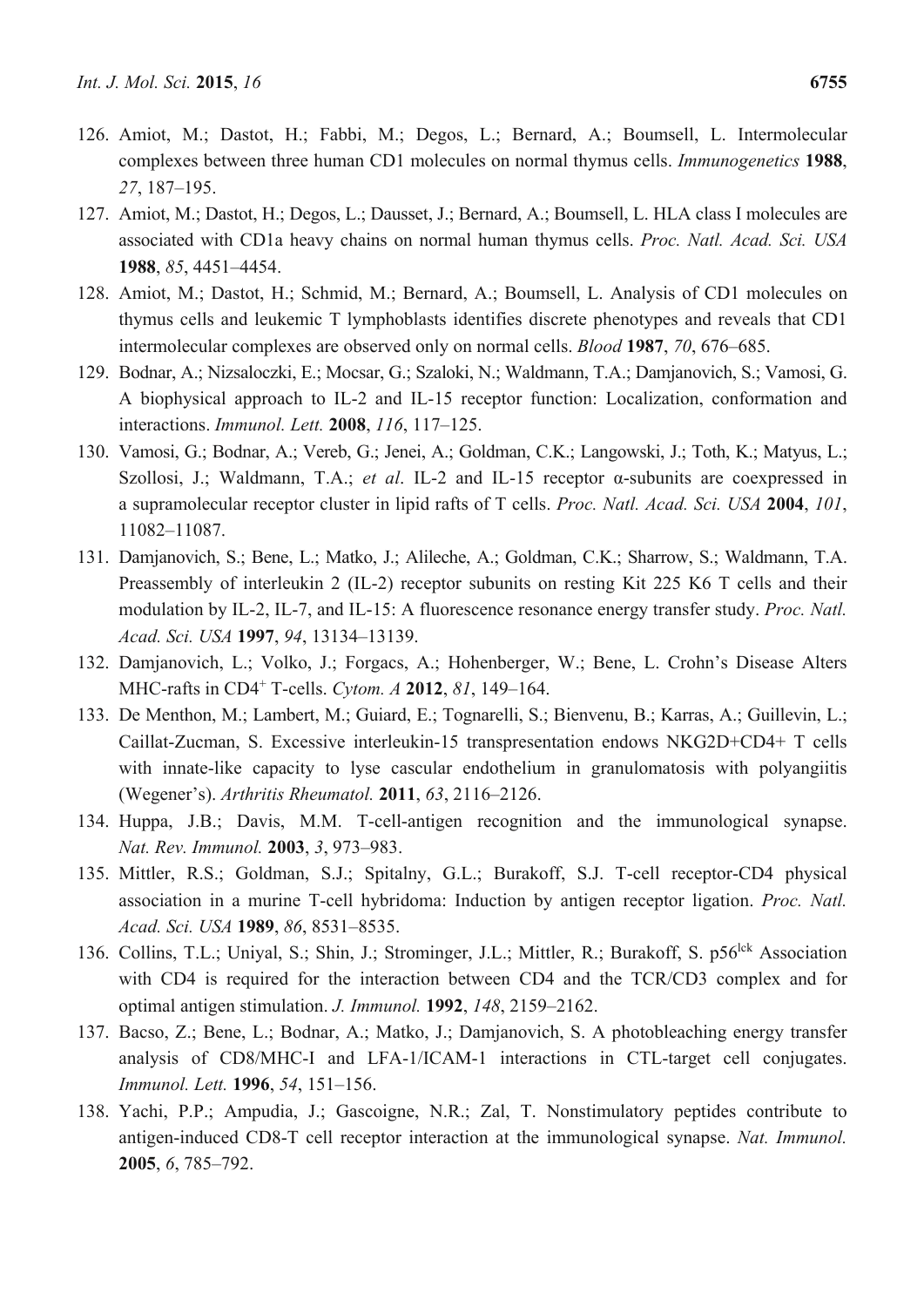- 126. Amiot, M.; Dastot, H.; Fabbi, M.; Degos, L.; Bernard, A.; Boumsell, L. Intermolecular complexes between three human CD1 molecules on normal thymus cells. *Immunogenetics* **1988**, *27*, 187–195.
- 127. Amiot, M.; Dastot, H.; Degos, L.; Dausset, J.; Bernard, A.; Boumsell, L. HLA class I molecules are associated with CD1a heavy chains on normal human thymus cells. *Proc. Natl. Acad. Sci. USA*  **1988**, *85*, 4451–4454.
- 128. Amiot, M.; Dastot, H.; Schmid, M.; Bernard, A.; Boumsell, L. Analysis of CD1 molecules on thymus cells and leukemic T lymphoblasts identifies discrete phenotypes and reveals that CD1 intermolecular complexes are observed only on normal cells. *Blood* **1987**, *70*, 676–685.
- 129. Bodnar, A.; Nizsaloczki, E.; Mocsar, G.; Szaloki, N.; Waldmann, T.A.; Damjanovich, S.; Vamosi, G. A biophysical approach to IL-2 and IL-15 receptor function: Localization, conformation and interactions. *Immunol. Lett.* **2008**, *116*, 117–125.
- 130. Vamosi, G.; Bodnar, A.; Vereb, G.; Jenei, A.; Goldman, C.K.; Langowski, J.; Toth, K.; Matyus, L.; Szollosi, J.; Waldmann, T.A.; *et al*. IL-2 and IL-15 receptor α-subunits are coexpressed in a supramolecular receptor cluster in lipid rafts of T cells. *Proc. Natl. Acad. Sci. USA* **2004**, *101*, 11082–11087.
- 131. Damjanovich, S.; Bene, L.; Matko, J.; Alileche, A.; Goldman, C.K.; Sharrow, S.; Waldmann, T.A. Preassembly of interleukin 2 (IL-2) receptor subunits on resting Kit 225 K6 T cells and their modulation by IL-2, IL-7, and IL-15: A fluorescence resonance energy transfer study. *Proc. Natl. Acad. Sci. USA* **1997**, *94*, 13134–13139.
- 132. Damjanovich, L.; Volko, J.; Forgacs, A.; Hohenberger, W.; Bene, L. Crohn's Disease Alters MHC-rafts in CD4+ T-cells. *Cytom. A* **2012**, *81*, 149–164.
- 133. De Menthon, M.; Lambert, M.; Guiard, E.; Tognarelli, S.; Bienvenu, B.; Karras, A.; Guillevin, L.; Caillat-Zucman, S. Excessive interleukin-15 transpresentation endows NKG2D+CD4+ T cells with innate-like capacity to lyse cascular endothelium in granulomatosis with polyangiitis (Wegener's). *Arthritis Rheumatol.* **2011**, *63*, 2116–2126.
- 134. Huppa, J.B.; Davis, M.M. T-cell-antigen recognition and the immunological synapse. *Nat. Rev. Immunol.* **2003**, *3*, 973–983.
- 135. Mittler, R.S.; Goldman, S.J.; Spitalny, G.L.; Burakoff, S.J. T-cell receptor-CD4 physical association in a murine T-cell hybridoma: Induction by antigen receptor ligation. *Proc. Natl. Acad. Sci. USA* **1989**, *86*, 8531–8535.
- 136. Collins, T.L.; Uniyal, S.; Shin, J.; Strominger, J.L.; Mittler, R.; Burakoff, S. p56<sup>lck</sup> Association with CD4 is required for the interaction between CD4 and the TCR/CD3 complex and for optimal antigen stimulation. *J. Immunol.* **1992**, *148*, 2159–2162.
- 137. Bacso, Z.; Bene, L.; Bodnar, A.; Matko, J.; Damjanovich, S. A photobleaching energy transfer analysis of CD8/MHC-I and LFA-1/ICAM-1 interactions in CTL-target cell conjugates. *Immunol. Lett.* **1996**, *54*, 151–156.
- 138. Yachi, P.P.; Ampudia, J.; Gascoigne, N.R.; Zal, T. Nonstimulatory peptides contribute to antigen-induced CD8-T cell receptor interaction at the immunological synapse. *Nat. Immunol.*  **2005**, *6*, 785–792.